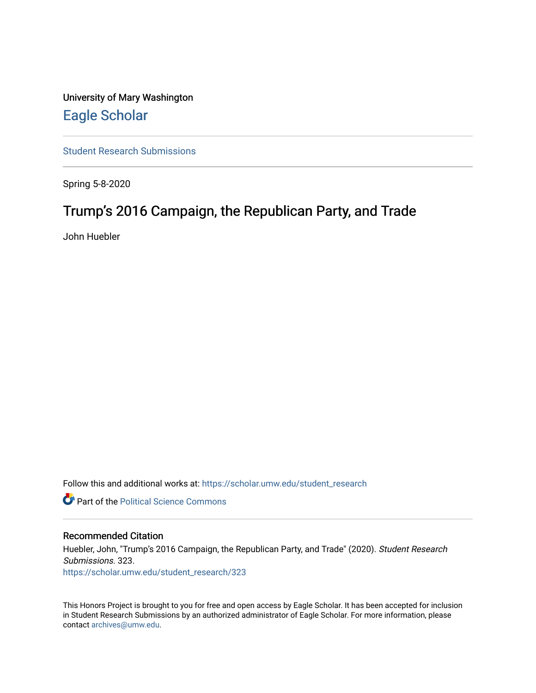University of Mary Washington [Eagle Scholar](https://scholar.umw.edu/) 

[Student Research Submissions](https://scholar.umw.edu/student_research) 

Spring 5-8-2020

# Trump's 2016 Campaign, the Republican Party, and Trade

John Huebler

Follow this and additional works at: [https://scholar.umw.edu/student\\_research](https://scholar.umw.edu/student_research?utm_source=scholar.umw.edu%2Fstudent_research%2F323&utm_medium=PDF&utm_campaign=PDFCoverPages)

**Part of the Political Science Commons** 

#### Recommended Citation

Huebler, John, "Trump's 2016 Campaign, the Republican Party, and Trade" (2020). Student Research Submissions. 323. [https://scholar.umw.edu/student\\_research/323](https://scholar.umw.edu/student_research/323?utm_source=scholar.umw.edu%2Fstudent_research%2F323&utm_medium=PDF&utm_campaign=PDFCoverPages)

This Honors Project is brought to you for free and open access by Eagle Scholar. It has been accepted for inclusion in Student Research Submissions by an authorized administrator of Eagle Scholar. For more information, please contact [archives@umw.edu](mailto:archives@umw.edu).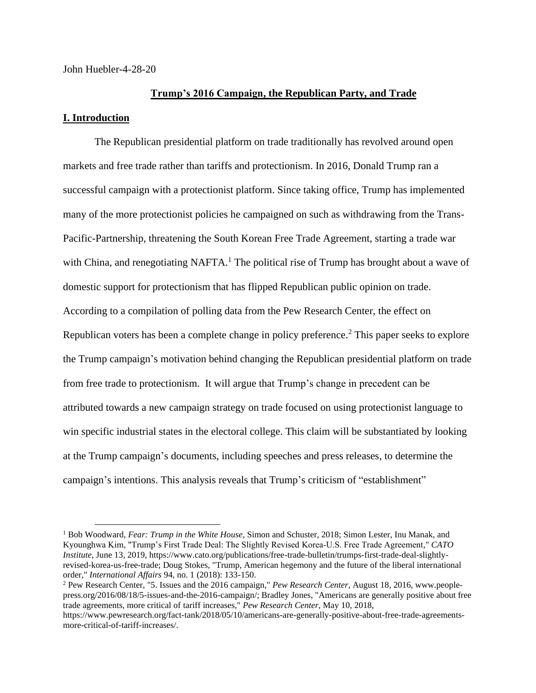John Huebler-4-28-20

# **Trump's 2016 Campaign, the Republican Party, and Trade**

### **I. Introduction**

The Republican presidential platform on trade traditionally has revolved around open markets and free trade rather than tariffs and protectionism. In 2016, Donald Trump ran a successful campaign with a protectionist platform. Since taking office, Trump has implemented many of the more protectionist policies he campaigned on such as withdrawing from the Trans-Pacific-Partnership, threatening the South Korean Free Trade Agreement, starting a trade war with China, and renegotiating NAFTA.<sup>1</sup> The political rise of Trump has brought about a wave of domestic support for protectionism that has flipped Republican public opinion on trade. According to a compilation of polling data from the Pew Research Center, the effect on Republican voters has been a complete change in policy preference.<sup>2</sup> This paper seeks to explore the Trump campaign's motivation behind changing the Republican presidential platform on trade from free trade to protectionism. It will argue that Trump's change in precedent can be attributed towards a new campaign strategy on trade focused on using protectionist language to win specific industrial states in the electoral college. This claim will be substantiated by looking at the Trump campaign's documents, including speeches and press releases, to determine the campaign's intentions. This analysis reveals that Trump's criticism of "establishment"

<sup>1</sup> Bob Woodward, *Fear: Trump in the White House*, Simon and Schuster, 2018; Simon Lester, Inu Manak, and Kyounghwa Kim, "Trump's First Trade Deal: The Slightly Revised Korea‑U.S. Free Trade Agreement," *CATO Institute*, June 13, 2019, https://www.cato.org/publications/free-trade-bulletin/trumps-first-trade-deal-slightlyrevised-korea-us-free-trade; Doug Stokes, "Trump, American hegemony and the future of the liberal international order," *International Affairs* 94, no. 1 (2018): 133-150.

<sup>2</sup> Pew Research Center, "5. Issues and the 2016 campaign," *Pew Research Center*, August 18, 2016, www.peoplepress.org/2016/08/18/5-issues-and-the-2016-campaign/; Bradley Jones, "Americans are generally positive about free trade agreements, more critical of tariff increases," *Pew Research Center*, May 10, 2018,

https://www.pewresearch.org/fact-tank/2018/05/10/americans-are-generally-positive-about-free-trade-agreementsmore-critical-of-tariff-increases/.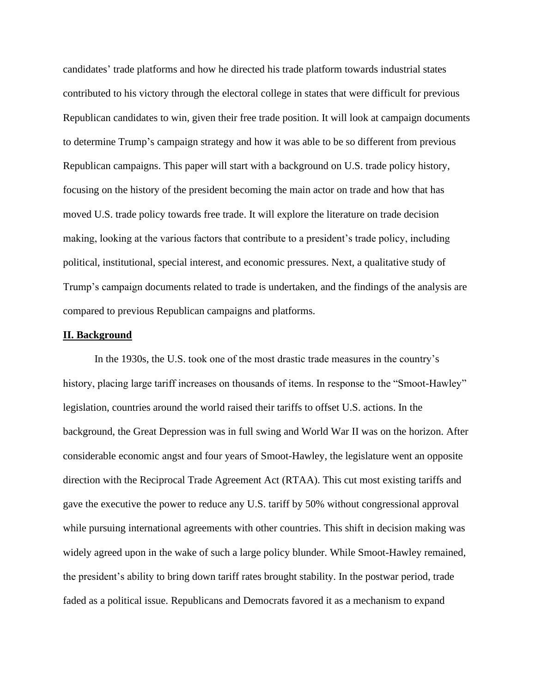candidates' trade platforms and how he directed his trade platform towards industrial states contributed to his victory through the electoral college in states that were difficult for previous Republican candidates to win, given their free trade position. It will look at campaign documents to determine Trump's campaign strategy and how it was able to be so different from previous Republican campaigns. This paper will start with a background on U.S. trade policy history, focusing on the history of the president becoming the main actor on trade and how that has moved U.S. trade policy towards free trade. It will explore the literature on trade decision making, looking at the various factors that contribute to a president's trade policy, including political, institutional, special interest, and economic pressures. Next, a qualitative study of Trump's campaign documents related to trade is undertaken, and the findings of the analysis are compared to previous Republican campaigns and platforms.

#### **II. Background**

In the 1930s, the U.S. took one of the most drastic trade measures in the country's history, placing large tariff increases on thousands of items. In response to the "Smoot-Hawley" legislation, countries around the world raised their tariffs to offset U.S. actions. In the background, the Great Depression was in full swing and World War II was on the horizon. After considerable economic angst and four years of Smoot-Hawley, the legislature went an opposite direction with the Reciprocal Trade Agreement Act (RTAA). This cut most existing tariffs and gave the executive the power to reduce any U.S. tariff by 50% without congressional approval while pursuing international agreements with other countries. This shift in decision making was widely agreed upon in the wake of such a large policy blunder. While Smoot-Hawley remained, the president's ability to bring down tariff rates brought stability. In the postwar period, trade faded as a political issue. Republicans and Democrats favored it as a mechanism to expand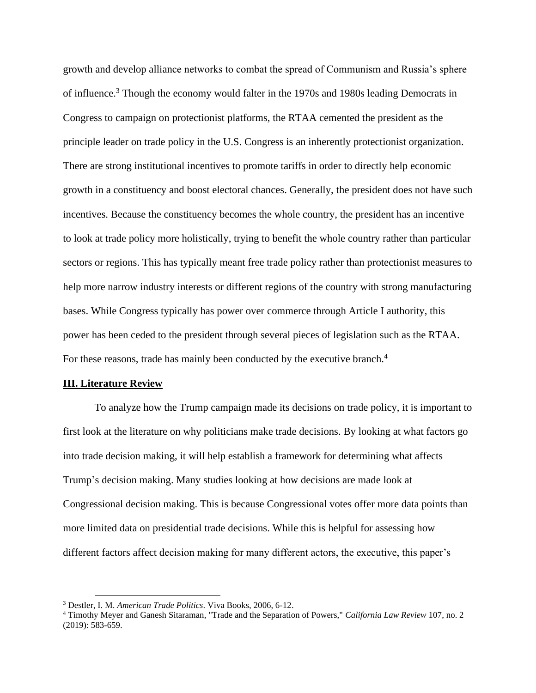growth and develop alliance networks to combat the spread of Communism and Russia's sphere of influence.<sup>3</sup> Though the economy would falter in the 1970s and 1980s leading Democrats in Congress to campaign on protectionist platforms, the RTAA cemented the president as the principle leader on trade policy in the U.S. Congress is an inherently protectionist organization. There are strong institutional incentives to promote tariffs in order to directly help economic growth in a constituency and boost electoral chances. Generally, the president does not have such incentives. Because the constituency becomes the whole country, the president has an incentive to look at trade policy more holistically, trying to benefit the whole country rather than particular sectors or regions. This has typically meant free trade policy rather than protectionist measures to help more narrow industry interests or different regions of the country with strong manufacturing bases. While Congress typically has power over commerce through Article I authority, this power has been ceded to the president through several pieces of legislation such as the RTAA. For these reasons, trade has mainly been conducted by the executive branch.<sup>4</sup>

#### **III. Literature Review**

To analyze how the Trump campaign made its decisions on trade policy, it is important to first look at the literature on why politicians make trade decisions. By looking at what factors go into trade decision making, it will help establish a framework for determining what affects Trump's decision making. Many studies looking at how decisions are made look at Congressional decision making. This is because Congressional votes offer more data points than more limited data on presidential trade decisions. While this is helpful for assessing how different factors affect decision making for many different actors, the executive, this paper's

<sup>3</sup> Destler, I. M. *American Trade Politics*. Viva Books, 2006, 6-12.

<sup>4</sup> Timothy Meyer and Ganesh Sitaraman, "Trade and the Separation of Powers," *California Law Review* 107, no. 2 (2019): 583-659.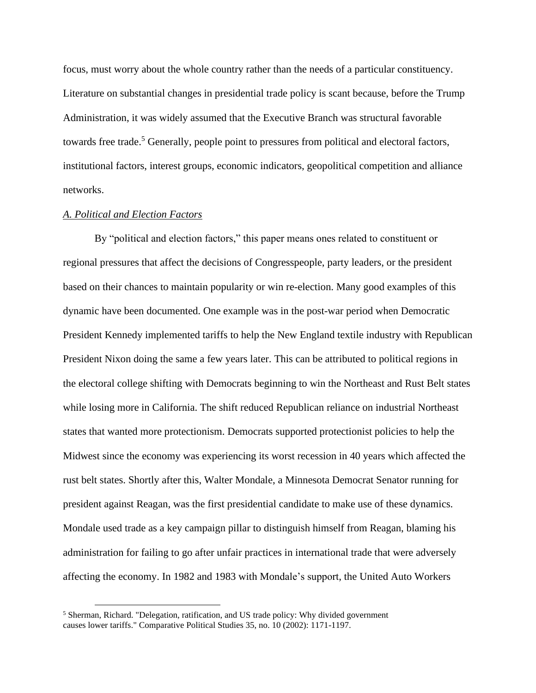focus, must worry about the whole country rather than the needs of a particular constituency. Literature on substantial changes in presidential trade policy is scant because, before the Trump Administration, it was widely assumed that the Executive Branch was structural favorable towards free trade.<sup>5</sup> Generally, people point to pressures from political and electoral factors, institutional factors, interest groups, economic indicators, geopolitical competition and alliance networks.

#### *A. Political and Election Factors*

By "political and election factors," this paper means ones related to constituent or regional pressures that affect the decisions of Congresspeople, party leaders, or the president based on their chances to maintain popularity or win re-election. Many good examples of this dynamic have been documented. One example was in the post-war period when Democratic President Kennedy implemented tariffs to help the New England textile industry with Republican President Nixon doing the same a few years later. This can be attributed to political regions in the electoral college shifting with Democrats beginning to win the Northeast and Rust Belt states while losing more in California. The shift reduced Republican reliance on industrial Northeast states that wanted more protectionism. Democrats supported protectionist policies to help the Midwest since the economy was experiencing its worst recession in 40 years which affected the rust belt states. Shortly after this, Walter Mondale, a Minnesota Democrat Senator running for president against Reagan, was the first presidential candidate to make use of these dynamics. Mondale used trade as a key campaign pillar to distinguish himself from Reagan, blaming his administration for failing to go after unfair practices in international trade that were adversely affecting the economy. In 1982 and 1983 with Mondale's support, the United Auto Workers

<sup>5</sup> Sherman, Richard. "Delegation, ratification, and US trade policy: Why divided government causes lower tariffs." Comparative Political Studies 35, no. 10 (2002): 1171-1197.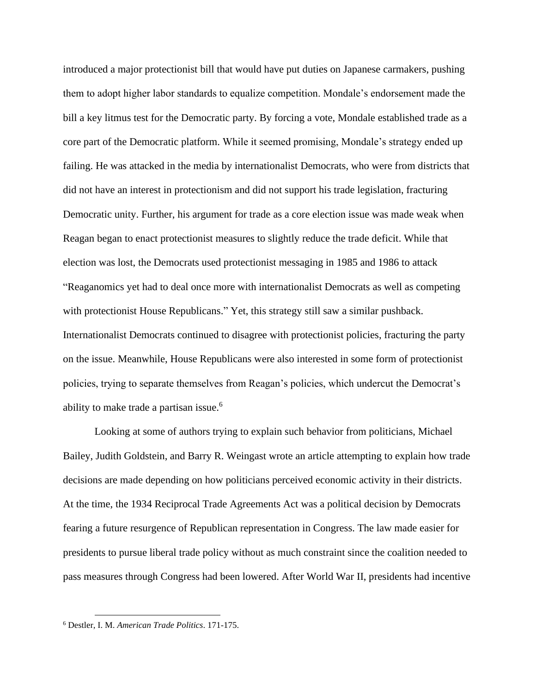introduced a major protectionist bill that would have put duties on Japanese carmakers, pushing them to adopt higher labor standards to equalize competition. Mondale's endorsement made the bill a key litmus test for the Democratic party. By forcing a vote, Mondale established trade as a core part of the Democratic platform. While it seemed promising, Mondale's strategy ended up failing. He was attacked in the media by internationalist Democrats, who were from districts that did not have an interest in protectionism and did not support his trade legislation, fracturing Democratic unity. Further, his argument for trade as a core election issue was made weak when Reagan began to enact protectionist measures to slightly reduce the trade deficit. While that election was lost, the Democrats used protectionist messaging in 1985 and 1986 to attack "Reaganomics yet had to deal once more with internationalist Democrats as well as competing with protectionist House Republicans." Yet, this strategy still saw a similar pushback. Internationalist Democrats continued to disagree with protectionist policies, fracturing the party on the issue. Meanwhile, House Republicans were also interested in some form of protectionist policies, trying to separate themselves from Reagan's policies, which undercut the Democrat's ability to make trade a partisan issue.<sup>6</sup>

Looking at some of authors trying to explain such behavior from politicians, Michael Bailey, Judith Goldstein, and Barry R. Weingast wrote an article attempting to explain how trade decisions are made depending on how politicians perceived economic activity in their districts. At the time, the 1934 Reciprocal Trade Agreements Act was a political decision by Democrats fearing a future resurgence of Republican representation in Congress. The law made easier for presidents to pursue liberal trade policy without as much constraint since the coalition needed to pass measures through Congress had been lowered. After World War II, presidents had incentive

<sup>6</sup> Destler, I. M. *American Trade Politics*. 171-175.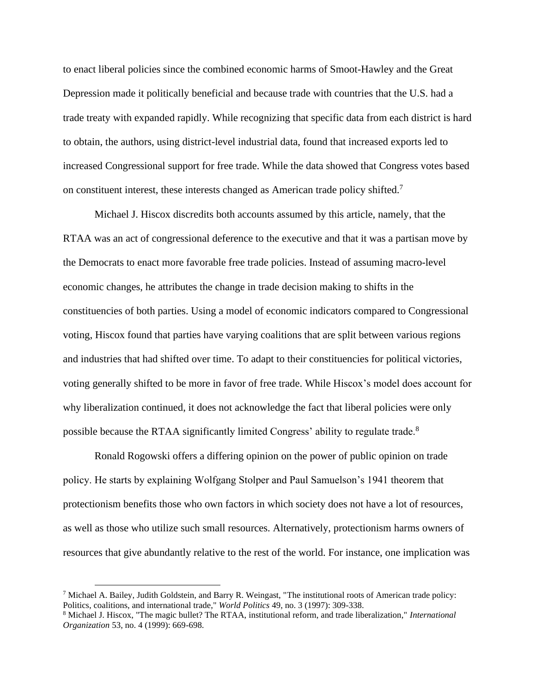to enact liberal policies since the combined economic harms of Smoot-Hawley and the Great Depression made it politically beneficial and because trade with countries that the U.S. had a trade treaty with expanded rapidly. While recognizing that specific data from each district is hard to obtain, the authors, using district-level industrial data, found that increased exports led to increased Congressional support for free trade. While the data showed that Congress votes based on constituent interest, these interests changed as American trade policy shifted.<sup>7</sup>

Michael J. Hiscox discredits both accounts assumed by this article, namely, that the RTAA was an act of congressional deference to the executive and that it was a partisan move by the Democrats to enact more favorable free trade policies. Instead of assuming macro-level economic changes, he attributes the change in trade decision making to shifts in the constituencies of both parties. Using a model of economic indicators compared to Congressional voting, Hiscox found that parties have varying coalitions that are split between various regions and industries that had shifted over time. To adapt to their constituencies for political victories, voting generally shifted to be more in favor of free trade. While Hiscox's model does account for why liberalization continued, it does not acknowledge the fact that liberal policies were only possible because the RTAA significantly limited Congress' ability to regulate trade.<sup>8</sup>

Ronald Rogowski offers a differing opinion on the power of public opinion on trade policy. He starts by explaining Wolfgang Stolper and Paul Samuelson's 1941 theorem that protectionism benefits those who own factors in which society does not have a lot of resources, as well as those who utilize such small resources. Alternatively, protectionism harms owners of resources that give abundantly relative to the rest of the world. For instance, one implication was

 $^7$  Michael A. Bailey, Judith Goldstein, and Barry R. Weingast, "The institutional roots of American trade policy: Politics, coalitions, and international trade," *World Politics* 49, no. 3 (1997): 309-338.

<sup>8</sup> Michael J. Hiscox, "The magic bullet? The RTAA, institutional reform, and trade liberalization," *International Organization* 53, no. 4 (1999): 669-698.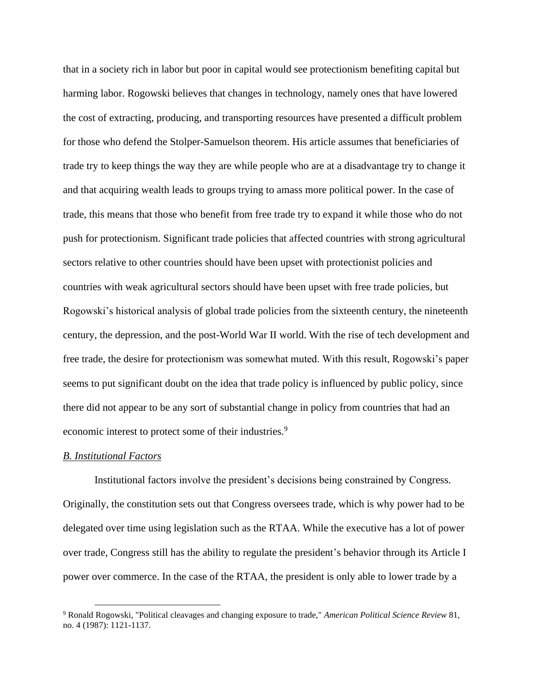that in a society rich in labor but poor in capital would see protectionism benefiting capital but harming labor. Rogowski believes that changes in technology, namely ones that have lowered the cost of extracting, producing, and transporting resources have presented a difficult problem for those who defend the Stolper-Samuelson theorem. His article assumes that beneficiaries of trade try to keep things the way they are while people who are at a disadvantage try to change it and that acquiring wealth leads to groups trying to amass more political power. In the case of trade, this means that those who benefit from free trade try to expand it while those who do not push for protectionism. Significant trade policies that affected countries with strong agricultural sectors relative to other countries should have been upset with protectionist policies and countries with weak agricultural sectors should have been upset with free trade policies, but Rogowski's historical analysis of global trade policies from the sixteenth century, the nineteenth century, the depression, and the post-World War II world. With the rise of tech development and free trade, the desire for protectionism was somewhat muted. With this result, Rogowski's paper seems to put significant doubt on the idea that trade policy is influenced by public policy, since there did not appear to be any sort of substantial change in policy from countries that had an economic interest to protect some of their industries.<sup>9</sup>

#### *B. Institutional Factors*

Institutional factors involve the president's decisions being constrained by Congress. Originally, the constitution sets out that Congress oversees trade, which is why power had to be delegated over time using legislation such as the RTAA. While the executive has a lot of power over trade, Congress still has the ability to regulate the president's behavior through its Article I power over commerce. In the case of the RTAA, the president is only able to lower trade by a

<sup>9</sup> Ronald Rogowski, "Political cleavages and changing exposure to trade," *American Political Science Review* 81, no. 4 (1987): 1121-1137.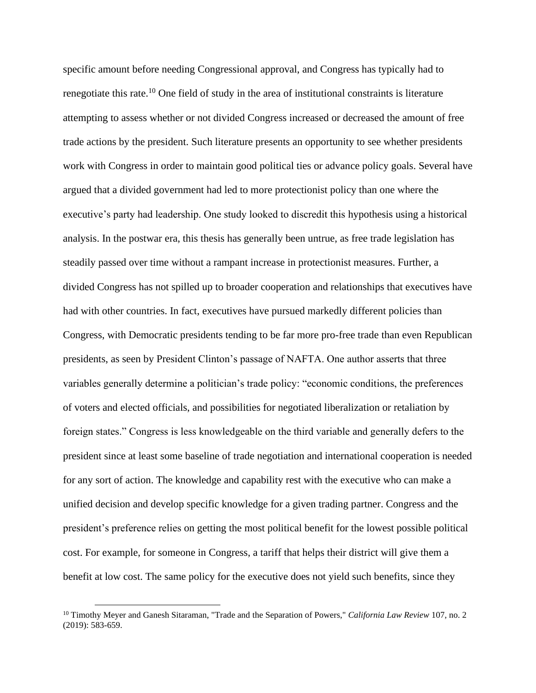specific amount before needing Congressional approval, and Congress has typically had to renegotiate this rate.<sup>10</sup> One field of study in the area of institutional constraints is literature attempting to assess whether or not divided Congress increased or decreased the amount of free trade actions by the president. Such literature presents an opportunity to see whether presidents work with Congress in order to maintain good political ties or advance policy goals. Several have argued that a divided government had led to more protectionist policy than one where the executive's party had leadership. One study looked to discredit this hypothesis using a historical analysis. In the postwar era, this thesis has generally been untrue, as free trade legislation has steadily passed over time without a rampant increase in protectionist measures. Further, a divided Congress has not spilled up to broader cooperation and relationships that executives have had with other countries. In fact, executives have pursued markedly different policies than Congress, with Democratic presidents tending to be far more pro-free trade than even Republican presidents, as seen by President Clinton's passage of NAFTA. One author asserts that three variables generally determine a politician's trade policy: "economic conditions, the preferences of voters and elected officials, and possibilities for negotiated liberalization or retaliation by foreign states." Congress is less knowledgeable on the third variable and generally defers to the president since at least some baseline of trade negotiation and international cooperation is needed for any sort of action. The knowledge and capability rest with the executive who can make a unified decision and develop specific knowledge for a given trading partner. Congress and the president's preference relies on getting the most political benefit for the lowest possible political cost. For example, for someone in Congress, a tariff that helps their district will give them a benefit at low cost. The same policy for the executive does not yield such benefits, since they

<sup>10</sup> Timothy Meyer and Ganesh Sitaraman, "Trade and the Separation of Powers," *California Law Review* 107, no. 2 (2019): 583-659.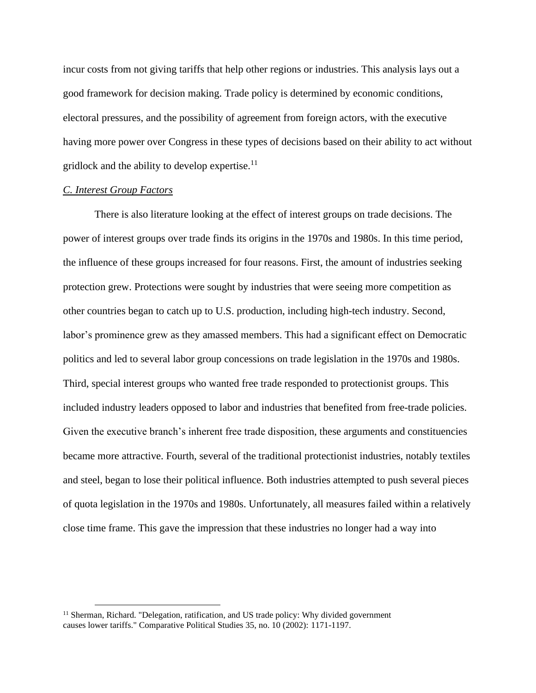incur costs from not giving tariffs that help other regions or industries. This analysis lays out a good framework for decision making. Trade policy is determined by economic conditions, electoral pressures, and the possibility of agreement from foreign actors, with the executive having more power over Congress in these types of decisions based on their ability to act without gridlock and the ability to develop expertise.<sup>11</sup>

#### *C. Interest Group Factors*

There is also literature looking at the effect of interest groups on trade decisions. The power of interest groups over trade finds its origins in the 1970s and 1980s. In this time period, the influence of these groups increased for four reasons. First, the amount of industries seeking protection grew. Protections were sought by industries that were seeing more competition as other countries began to catch up to U.S. production, including high-tech industry. Second, labor's prominence grew as they amassed members. This had a significant effect on Democratic politics and led to several labor group concessions on trade legislation in the 1970s and 1980s. Third, special interest groups who wanted free trade responded to protectionist groups. This included industry leaders opposed to labor and industries that benefited from free-trade policies. Given the executive branch's inherent free trade disposition, these arguments and constituencies became more attractive. Fourth, several of the traditional protectionist industries, notably textiles and steel, began to lose their political influence. Both industries attempted to push several pieces of quota legislation in the 1970s and 1980s. Unfortunately, all measures failed within a relatively close time frame. This gave the impression that these industries no longer had a way into

<sup>&</sup>lt;sup>11</sup> Sherman, Richard. "Delegation, ratification, and US trade policy: Why divided government causes lower tariffs." Comparative Political Studies 35, no. 10 (2002): 1171-1197.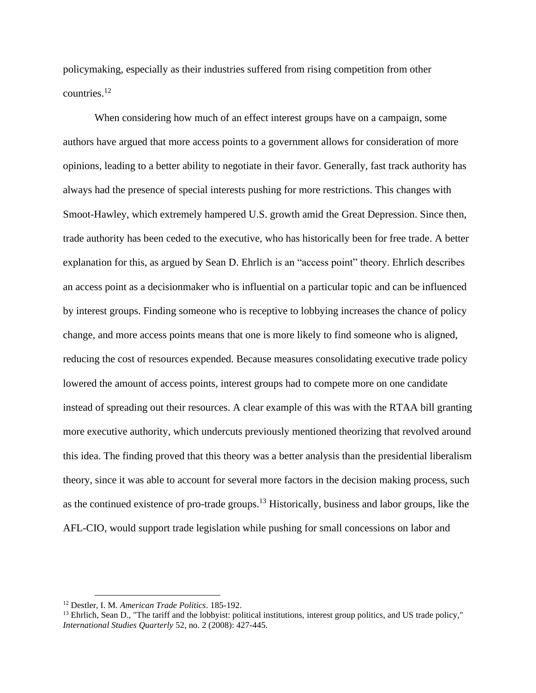policymaking, especially as their industries suffered from rising competition from other countries.<sup>12</sup>

When considering how much of an effect interest groups have on a campaign, some authors have argued that more access points to a government allows for consideration of more opinions, leading to a better ability to negotiate in their favor. Generally, fast track authority has always had the presence of special interests pushing for more restrictions. This changes with Smoot-Hawley, which extremely hampered U.S. growth amid the Great Depression. Since then, trade authority has been ceded to the executive, who has historically been for free trade. A better explanation for this, as argued by Sean D. Ehrlich is an "access point" theory. Ehrlich describes an access point as a decisionmaker who is influential on a particular topic and can be influenced by interest groups. Finding someone who is receptive to lobbying increases the chance of policy change, and more access points means that one is more likely to find someone who is aligned, reducing the cost of resources expended. Because measures consolidating executive trade policy lowered the amount of access points, interest groups had to compete more on one candidate instead of spreading out their resources. A clear example of this was with the RTAA bill granting more executive authority, which undercuts previously mentioned theorizing that revolved around this idea. The finding proved that this theory was a better analysis than the presidential liberalism theory, since it was able to account for several more factors in the decision making process, such as the continued existence of pro-trade groups.<sup>13</sup> Historically, business and labor groups, like the AFL-CIO, would support trade legislation while pushing for small concessions on labor and

<sup>12</sup> Destler, I. M. *American Trade Politics*. 185-192.

<sup>&</sup>lt;sup>13</sup> Ehrlich, Sean D., "The tariff and the lobbyist: political institutions, interest group politics, and US trade policy," *International Studies Quarterly* 52, no. 2 (2008): 427-445.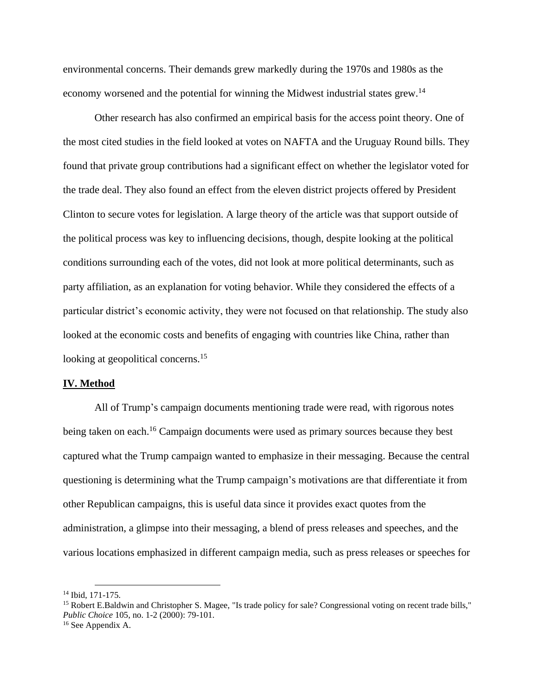environmental concerns. Their demands grew markedly during the 1970s and 1980s as the economy worsened and the potential for winning the Midwest industrial states grew.<sup>14</sup>

Other research has also confirmed an empirical basis for the access point theory. One of the most cited studies in the field looked at votes on NAFTA and the Uruguay Round bills. They found that private group contributions had a significant effect on whether the legislator voted for the trade deal. They also found an effect from the eleven district projects offered by President Clinton to secure votes for legislation. A large theory of the article was that support outside of the political process was key to influencing decisions, though, despite looking at the political conditions surrounding each of the votes, did not look at more political determinants, such as party affiliation, as an explanation for voting behavior. While they considered the effects of a particular district's economic activity, they were not focused on that relationship. The study also looked at the economic costs and benefits of engaging with countries like China, rather than looking at geopolitical concerns.<sup>15</sup>

#### **IV. Method**

All of Trump's campaign documents mentioning trade were read, with rigorous notes being taken on each.<sup>16</sup> Campaign documents were used as primary sources because they best captured what the Trump campaign wanted to emphasize in their messaging. Because the central questioning is determining what the Trump campaign's motivations are that differentiate it from other Republican campaigns, this is useful data since it provides exact quotes from the administration, a glimpse into their messaging, a blend of press releases and speeches, and the various locations emphasized in different campaign media, such as press releases or speeches for

<sup>14</sup> Ibid, 171-175.

<sup>&</sup>lt;sup>15</sup> Robert E.Baldwin and Christopher S. Magee, "Is trade policy for sale? Congressional voting on recent trade bills," *Public Choice* 105, no. 1-2 (2000): 79-101.

<sup>&</sup>lt;sup>16</sup> See Appendix A.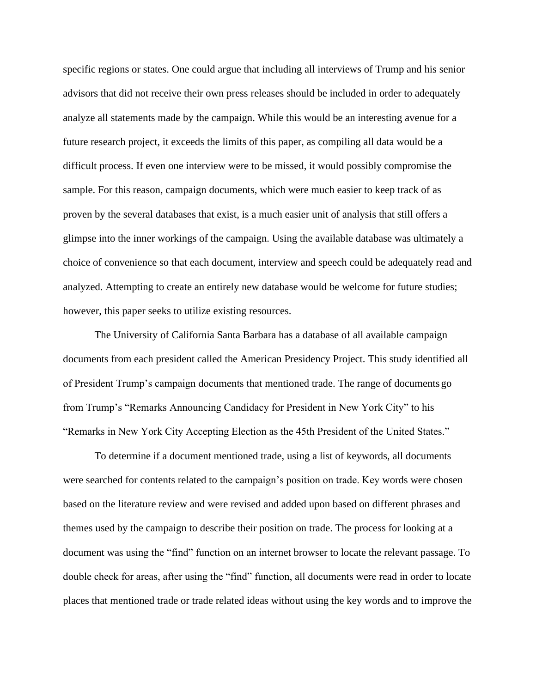specific regions or states. One could argue that including all interviews of Trump and his senior advisors that did not receive their own press releases should be included in order to adequately analyze all statements made by the campaign. While this would be an interesting avenue for a future research project, it exceeds the limits of this paper, as compiling all data would be a difficult process. If even one interview were to be missed, it would possibly compromise the sample. For this reason, campaign documents, which were much easier to keep track of as proven by the several databases that exist, is a much easier unit of analysis that still offers a glimpse into the inner workings of the campaign. Using the available database was ultimately a choice of convenience so that each document, interview and speech could be adequately read and analyzed. Attempting to create an entirely new database would be welcome for future studies; however, this paper seeks to utilize existing resources.

The University of California Santa Barbara has a database of all available campaign documents from each president called the American Presidency Project. This study identified all of President Trump's campaign documents that mentioned trade. The range of documents go from Trump's "Remarks Announcing Candidacy for President in New York City" to his "Remarks in New York City Accepting Election as the 45th President of the United States."

To determine if a document mentioned trade, using a list of keywords, all documents were searched for contents related to the campaign's position on trade. Key words were chosen based on the literature review and were revised and added upon based on different phrases and themes used by the campaign to describe their position on trade. The process for looking at a document was using the "find" function on an internet browser to locate the relevant passage. To double check for areas, after using the "find" function, all documents were read in order to locate places that mentioned trade or trade related ideas without using the key words and to improve the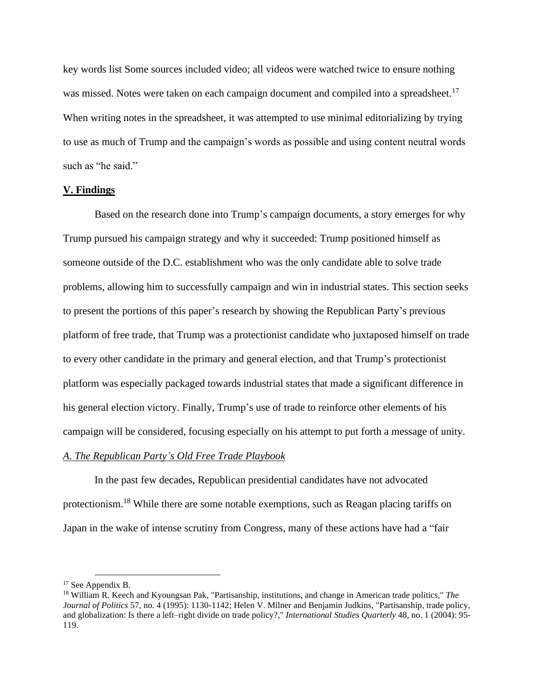key words list Some sources included video; all videos were watched twice to ensure nothing was missed. Notes were taken on each campaign document and compiled into a spreadsheet.<sup>17</sup> When writing notes in the spreadsheet, it was attempted to use minimal editorializing by trying to use as much of Trump and the campaign's words as possible and using content neutral words such as "he said."

### **V. Findings**

Based on the research done into Trump's campaign documents, a story emerges for why Trump pursued his campaign strategy and why it succeeded: Trump positioned himself as someone outside of the D.C. establishment who was the only candidate able to solve trade problems, allowing him to successfully campaign and win in industrial states. This section seeks to present the portions of this paper's research by showing the Republican Party's previous platform of free trade, that Trump was a protectionist candidate who juxtaposed himself on trade to every other candidate in the primary and general election, and that Trump's protectionist platform was especially packaged towards industrial states that made a significant difference in his general election victory. Finally, Trump's use of trade to reinforce other elements of his campaign will be considered, focusing especially on his attempt to put forth a message of unity.

#### *A. The Republican Party's Old Free Trade Playbook*

In the past few decades, Republican presidential candidates have not advocated protectionism.<sup>18</sup> While there are some notable exemptions, such as Reagan placing tariffs on Japan in the wake of intense scrutiny from Congress, many of these actions have had a "fair

<sup>&</sup>lt;sup>17</sup> See Appendix B.

<sup>18</sup> William R. Keech and Kyoungsan Pak, "Partisanship, institutions, and change in American trade politics," *The Journal of Politics* 57, no. 4 (1995): 1130-1142; Helen V. Milner and Benjamin Judkins, "Partisanship, trade policy, and globalization: Is there a left–right divide on trade policy?," *International Studies Quarterly* 48, no. 1 (2004): 95- 119.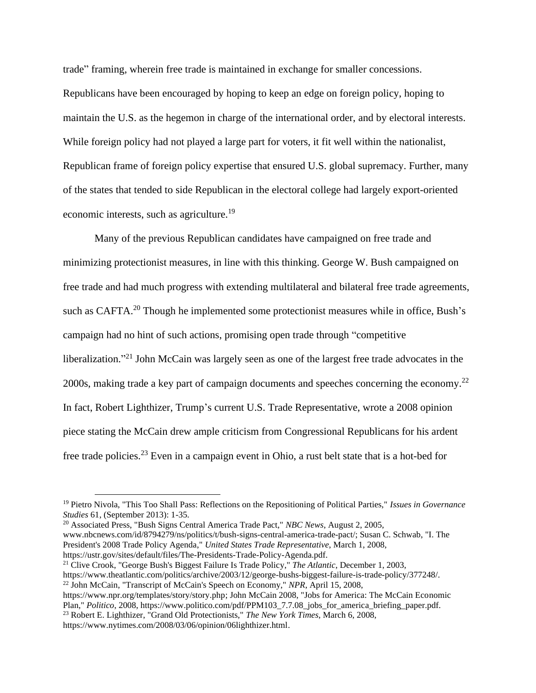trade" framing, wherein free trade is maintained in exchange for smaller concessions. Republicans have been encouraged by hoping to keep an edge on foreign policy, hoping to maintain the U.S. as the hegemon in charge of the international order, and by electoral interests. While foreign policy had not played a large part for voters, it fit well within the nationalist, Republican frame of foreign policy expertise that ensured U.S. global supremacy. Further, many of the states that tended to side Republican in the electoral college had largely export-oriented economic interests, such as agriculture.<sup>19</sup>

Many of the previous Republican candidates have campaigned on free trade and minimizing protectionist measures, in line with this thinking. George W. Bush campaigned on free trade and had much progress with extending multilateral and bilateral free trade agreements, such as CAFTA.<sup>20</sup> Though he implemented some protectionist measures while in office, Bush's campaign had no hint of such actions, promising open trade through "competitive liberalization."<sup>21</sup> John McCain was largely seen as one of the largest free trade advocates in the 2000s, making trade a key part of campaign documents and speeches concerning the economy.<sup>22</sup> In fact, Robert Lighthizer, Trump's current U.S. Trade Representative, wrote a 2008 opinion piece stating the McCain drew ample criticism from Congressional Republicans for his ardent free trade policies.<sup>23</sup> Even in a campaign event in Ohio, a rust belt state that is a hot-bed for

<sup>20</sup> Associated Press, "Bush Signs Central America Trade Pact," *NBC News*, August 2, 2005, www.nbcnews.com/id/8794279/ns/politics/t/bush-signs-central-america-trade-pact/; Susan C. Schwab, "I. The President's 2008 Trade Policy Agenda," *United States Trade Representative*, March 1, 2008, https://ustr.gov/sites/default/files/The-Presidents-Trade-Policy-Agenda.pdf.

<sup>21</sup> Clive Crook, "George Bush's Biggest Failure Is Trade Policy," *The Atlantic*, December 1, 2003, https://www.theatlantic.com/politics/archive/2003/12/george-bushs-biggest-failure-is-trade-policy/377248/.

<sup>22</sup> John McCain, "Transcript of McCain's Speech on Economy," *NPR*, April 15, 2008,

https://www.npr.org/templates/story/story.php; John McCain 2008, "Jobs for America: The McCain Economic Plan," *Politico*, 2008, https://www.politico.com/pdf/PPM103\_7.7.08\_jobs\_for\_america\_briefing\_paper.pdf. <sup>23</sup> Robert E. Lighthizer, "Grand Old Protectionists," *The New York Times*, March 6, 2008, https://www.nytimes.com/2008/03/06/opinion/06lighthizer.html.

<sup>19</sup> Pietro Nivola, "This Too Shall Pass: Reflections on the Repositioning of Political Parties," *Issues in Governance Studies* 61, (September 2013): 1-35.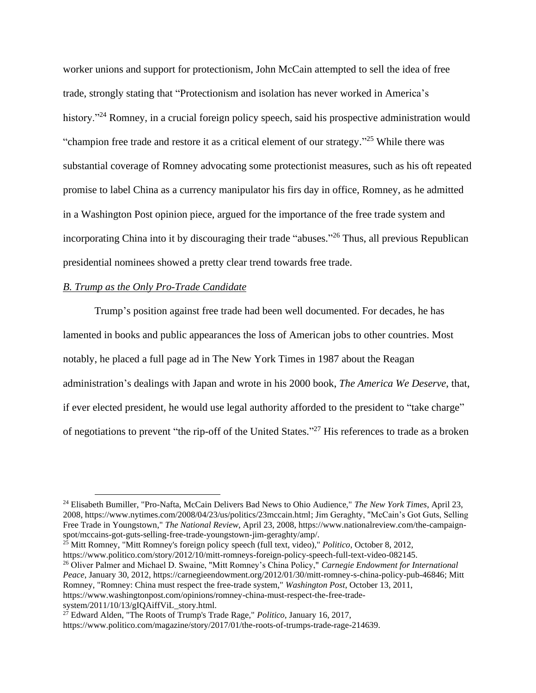worker unions and support for protectionism, John McCain attempted to sell the idea of free trade, strongly stating that "Protectionism and isolation has never worked in America's history."<sup>24</sup> Romney, in a crucial foreign policy speech, said his prospective administration would "champion free trade and restore it as a critical element of our strategy."<sup>25</sup> While there was substantial coverage of Romney advocating some protectionist measures, such as his oft repeated promise to label China as a currency manipulator his firs day in office, Romney, as he admitted in a Washington Post opinion piece, argued for the importance of the free trade system and incorporating China into it by discouraging their trade "abuses." <sup>26</sup> Thus, all previous Republican presidential nominees showed a pretty clear trend towards free trade.

#### *B. Trump as the Only Pro-Trade Candidate*

Trump's position against free trade had been well documented. For decades, he has lamented in books and public appearances the loss of American jobs to other countries. Most notably, he placed a full page ad in The New York Times in 1987 about the Reagan administration's dealings with Japan and wrote in his 2000 book, *The America We Deserve*, that, if ever elected president, he would use legal authority afforded to the president to "take charge" of negotiations to prevent "the rip-off of the United States."<sup>27</sup> His references to trade as a broken

<sup>25</sup> Mitt Romney, "Mitt Romney's foreign policy speech (full text, video)," *Politico*, October 8, 2012, https://www.politico.com/story/2012/10/mitt-romneys-foreign-policy-speech-full-text-video-082145.

<sup>26</sup> Oliver Palmer and Michael D. Swaine, "Mitt Romney's China Policy," *Carnegie Endowment for International Peace*, January 30, 2012, https://carnegieendowment.org/2012/01/30/mitt-romney-s-china-policy-pub-46846; Mitt Romney, "Romney: China must respect the free-trade system," *Washington Post*, October 13, 2011, https://www.washingtonpost.com/opinions/romney-china-must-respect-the-free-trade-

system/2011/10/13/gIQAiffViL\_story.html.

<sup>24</sup> Elisabeth Bumiller, "Pro-Nafta, McCain Delivers Bad News to Ohio Audience," *The New York Times*, April 23, 2008, https://www.nytimes.com/2008/04/23/us/politics/23mccain.html; Jim Geraghty, "McCain's Got Guts, Selling Free Trade in Youngstown," *The National Review*, April 23, 2008, https://www.nationalreview.com/the-campaignspot/mccains-got-guts-selling-free-trade-youngstown-jim-geraghty/amp/.

<sup>27</sup> Edward Alden, "The Roots of Trump's Trade Rage," *Politico*, January 16, 2017,

https://www.politico.com/magazine/story/2017/01/the-roots-of-trumps-trade-rage-214639.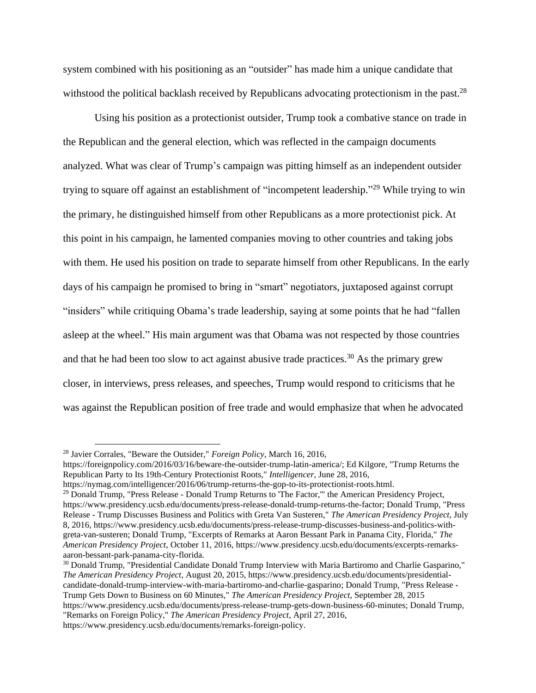system combined with his positioning as an "outsider" has made him a unique candidate that withstood the political backlash received by Republicans advocating protectionism in the past.<sup>28</sup>

Using his position as a protectionist outsider, Trump took a combative stance on trade in the Republican and the general election, which was reflected in the campaign documents analyzed. What was clear of Trump's campaign was pitting himself as an independent outsider trying to square off against an establishment of "incompetent leadership."<sup>29</sup> While trying to win the primary, he distinguished himself from other Republicans as a more protectionist pick. At this point in his campaign, he lamented companies moving to other countries and taking jobs with them. He used his position on trade to separate himself from other Republicans. In the early days of his campaign he promised to bring in "smart" negotiators, juxtaposed against corrupt "insiders" while critiquing Obama's trade leadership, saying at some points that he had "fallen asleep at the wheel." His main argument was that Obama was not respected by those countries and that he had been too slow to act against abusive trade practices.<sup>30</sup> As the primary grew closer, in interviews, press releases, and speeches, Trump would respond to criticisms that he was against the Republican position of free trade and would emphasize that when he advocated

"Remarks on Foreign Policy," *The American Presidency Project*, April 27, 2016, https://www.presidency.ucsb.edu/documents/remarks-foreign-policy.

<sup>28</sup> Javier Corrales, "Beware the Outsider," *Foreign Policy*, March 16, 2016,

https://foreignpolicy.com/2016/03/16/beware-the-outsider-trump-latin-america/; Ed Kilgore, "Trump Returns the Republican Party to Its 19th-Century Protectionist Roots," *Intelligencer*, June 28, 2016,

https://nymag.com/intelligencer/2016/06/trump-returns-the-gop-to-its-protectionist-roots.html.

<sup>&</sup>lt;sup>29</sup> Donald Trump, "Press Release - Donald Trump Returns to The Factor," the American Presidency Project, https://www.presidency.ucsb.edu/documents/press-release-donald-trump-returns-the-factor; Donald Trump, "Press Release - Trump Discusses Business and Politics with Greta Van Susteren," *The American Presidency Project*, July 8, 2016, https://www.presidency.ucsb.edu/documents/press-release-trump-discusses-business-and-politics-withgreta-van-susteren; Donald Trump, "Excerpts of Remarks at Aaron Bessant Park in Panama City, Florida," *The American Presidency Project*, October 11, 2016, https://www.presidency.ucsb.edu/documents/excerpts-remarksaaron-bessant-park-panama-city-florida.

<sup>&</sup>lt;sup>30</sup> Donald Trump, "Presidential Candidate Donald Trump Interview with Maria Bartiromo and Charlie Gasparino," *The American Presidency Project*, August 20, 2015, https://www.presidency.ucsb.edu/documents/presidentialcandidate-donald-trump-interview-with-maria-bartiromo-and-charlie-gasparino; Donald Trump, "Press Release - Trump Gets Down to Business on 60 Minutes," *The American Presidency Project*, September 28, 2015 https://www.presidency.ucsb.edu/documents/press-release-trump-gets-down-business-60-minutes; Donald Trump,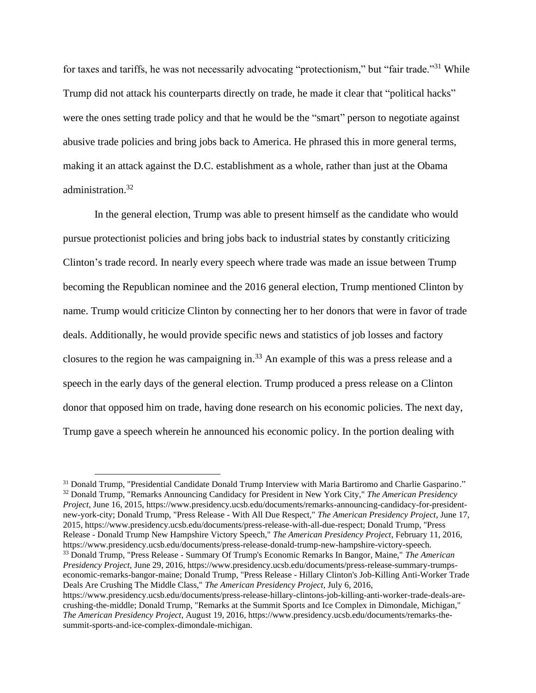for taxes and tariffs, he was not necessarily advocating "protectionism," but "fair trade."<sup>31</sup> While Trump did not attack his counterparts directly on trade, he made it clear that "political hacks" were the ones setting trade policy and that he would be the "smart" person to negotiate against abusive trade policies and bring jobs back to America. He phrased this in more general terms, making it an attack against the D.C. establishment as a whole, rather than just at the Obama administration. 32

In the general election, Trump was able to present himself as the candidate who would pursue protectionist policies and bring jobs back to industrial states by constantly criticizing Clinton's trade record. In nearly every speech where trade was made an issue between Trump becoming the Republican nominee and the 2016 general election, Trump mentioned Clinton by name. Trump would criticize Clinton by connecting her to her donors that were in favor of trade deals. Additionally, he would provide specific news and statistics of job losses and factory closures to the region he was campaigning in. <sup>33</sup> An example of this was a press release and a speech in the early days of the general election. Trump produced a press release on a Clinton donor that opposed him on trade, having done research on his economic policies. The next day, Trump gave a speech wherein he announced his economic policy. In the portion dealing with

<sup>&</sup>lt;sup>31</sup> Donald Trump, "Presidential Candidate Donald Trump Interview with Maria Bartiromo and Charlie Gasparino." <sup>32</sup> Donald Trump, "Remarks Announcing Candidacy for President in New York City," *The American Presidency Project*, June 16, 2015, https://www.presidency.ucsb.edu/documents/remarks-announcing-candidacy-for-presidentnew-york-city; Donald Trump, "Press Release - With All Due Respect," *The American Presidency Project*, June 17, 2015, https://www.presidency.ucsb.edu/documents/press-release-with-all-due-respect; Donald Trump, "Press Release - Donald Trump New Hampshire Victory Speech," *The American Presidency Project*, February 11, 2016, https://www.presidency.ucsb.edu/documents/press-release-donald-trump-new-hampshire-victory-speech. <sup>33</sup> Donald Trump, "Press Release - Summary Of Trump's Economic Remarks In Bangor, Maine," *The American Presidency Project*, June 29, 2016, https://www.presidency.ucsb.edu/documents/press-release-summary-trumpseconomic-remarks-bangor-maine; Donald Trump, "Press Release - Hillary Clinton's Job-Killing Anti-Worker Trade Deals Are Crushing The Middle Class," *The American Presidency Project*, July 6, 2016, https://www.presidency.ucsb.edu/documents/press-release-hillary-clintons-job-killing-anti-worker-trade-deals-are-

crushing-the-middle; Donald Trump, "Remarks at the Summit Sports and Ice Complex in Dimondale, Michigan," *The American Presidency Project*, August 19, 2016, https://www.presidency.ucsb.edu/documents/remarks-thesummit-sports-and-ice-complex-dimondale-michigan.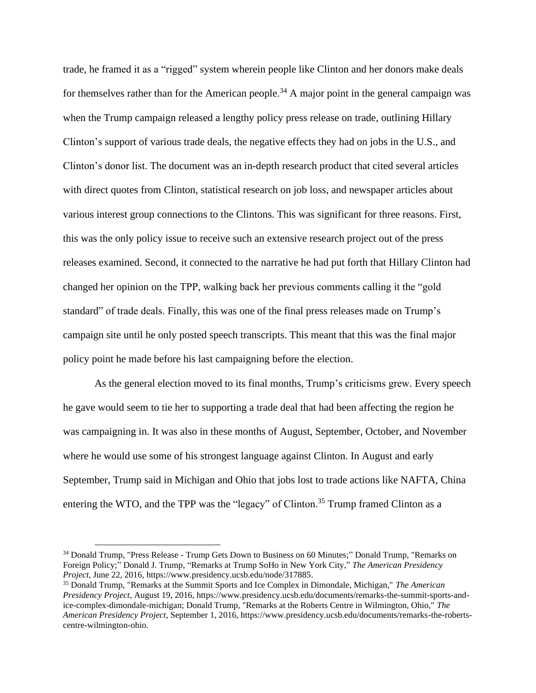trade, he framed it as a "rigged" system wherein people like Clinton and her donors make deals for themselves rather than for the American people.<sup>34</sup> A major point in the general campaign was when the Trump campaign released a lengthy policy press release on trade, outlining Hillary Clinton's support of various trade deals, the negative effects they had on jobs in the U.S., and Clinton's donor list. The document was an in-depth research product that cited several articles with direct quotes from Clinton, statistical research on job loss, and newspaper articles about various interest group connections to the Clintons. This was significant for three reasons. First, this was the only policy issue to receive such an extensive research project out of the press releases examined. Second, it connected to the narrative he had put forth that Hillary Clinton had changed her opinion on the TPP, walking back her previous comments calling it the "gold standard" of trade deals. Finally, this was one of the final press releases made on Trump's campaign site until he only posted speech transcripts. This meant that this was the final major policy point he made before his last campaigning before the election.

As the general election moved to its final months, Trump's criticisms grew. Every speech he gave would seem to tie her to supporting a trade deal that had been affecting the region he was campaigning in. It was also in these months of August, September, October, and November where he would use some of his strongest language against Clinton. In August and early September, Trump said in Michigan and Ohio that jobs lost to trade actions like NAFTA, China entering the WTO, and the TPP was the "legacy" of Clinton.<sup>35</sup> Trump framed Clinton as a

<sup>34</sup> Donald Trump, "Press Release - Trump Gets Down to Business on 60 Minutes;" Donald Trump, "Remarks on Foreign Policy;" Donald J. Trump, "Remarks at Trump SoHo in New York City," *The American Presidency Project*, June 22, 2016, https://www.presidency.ucsb.edu/node/317885.

<sup>35</sup> Donald Trump, "Remarks at the Summit Sports and Ice Complex in Dimondale, Michigan," *The American Presidency Project*, August 19, 2016, https://www.presidency.ucsb.edu/documents/remarks-the-summit-sports-andice-complex-dimondale-michigan; Donald Trump, "Remarks at the Roberts Centre in Wilmington, Ohio," *The American Presidency Project*, September 1, 2016, https://www.presidency.ucsb.edu/documents/remarks-the-robertscentre-wilmington-ohio.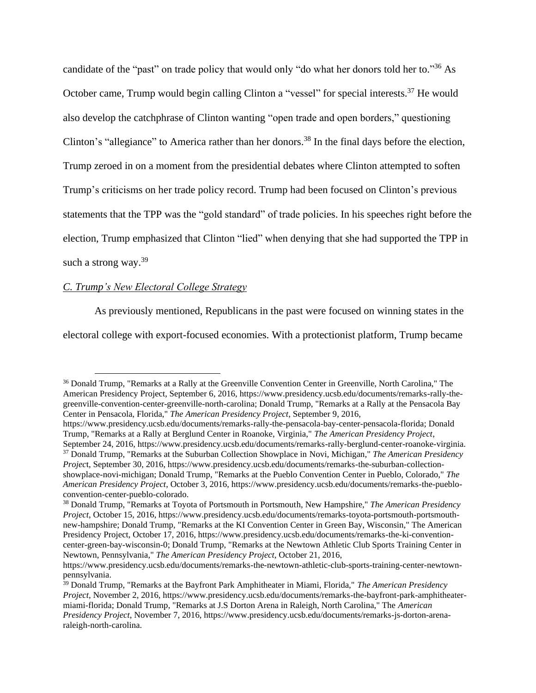candidate of the "past" on trade policy that would only "do what her donors told her to."<sup>36</sup> As October came, Trump would begin calling Clinton a "vessel" for special interests.<sup>37</sup> He would also develop the catchphrase of Clinton wanting "open trade and open borders," questioning Clinton's "allegiance" to America rather than her donors.<sup>38</sup> In the final days before the election, Trump zeroed in on a moment from the presidential debates where Clinton attempted to soften Trump's criticisms on her trade policy record. Trump had been focused on Clinton's previous statements that the TPP was the "gold standard" of trade policies. In his speeches right before the election, Trump emphasized that Clinton "lied" when denying that she had supported the TPP in such a strong way. $39$ 

#### *C. Trump's New Electoral College Strategy*

As previously mentioned, Republicans in the past were focused on winning states in the

electoral college with export-focused economies. With a protectionist platform, Trump became

<sup>36</sup> Donald Trump, "Remarks at a Rally at the Greenville Convention Center in Greenville, North Carolina," The American Presidency Project, September 6, 2016, https://www.presidency.ucsb.edu/documents/remarks-rally-thegreenville-convention-center-greenville-north-carolina; Donald Trump, "Remarks at a Rally at the Pensacola Bay Center in Pensacola, Florida," *The American Presidency Project*, September 9, 2016,

https://www.presidency.ucsb.edu/documents/remarks-rally-the-pensacola-bay-center-pensacola-florida; Donald Trump, "Remarks at a Rally at Berglund Center in Roanoke, Virginia," *The American Presidency Project*,

September 24, 2016, https://www.presidency.ucsb.edu/documents/remarks-rally-berglund-center-roanoke-virginia. <sup>37</sup> Donald Trump, "Remarks at the Suburban Collection Showplace in Novi, Michigan," *The American Presidency Projec*t, September 30, 2016, https://www.presidency.ucsb.edu/documents/remarks-the-suburban-collectionshowplace-novi-michigan; Donald Trump, "Remarks at the Pueblo Convention Center in Pueblo, Colorado," *The American Presidency Project*, October 3, 2016, https://www.presidency.ucsb.edu/documents/remarks-the-puebloconvention-center-pueblo-colorado.

<sup>38</sup> Donald Trump, "Remarks at Toyota of Portsmouth in Portsmouth, New Hampshire," *The American Presidency Project*, October 15, 2016, https://www.presidency.ucsb.edu/documents/remarks-toyota-portsmouth-portsmouthnew-hampshire; Donald Trump, "Remarks at the KI Convention Center in Green Bay, Wisconsin," The American Presidency Project, October 17, 2016, https://www.presidency.ucsb.edu/documents/remarks-the-ki-conventioncenter-green-bay-wisconsin-0; Donald Trump, "Remarks at the Newtown Athletic Club Sports Training Center in Newtown, Pennsylvania," *The American Presidency Project*, October 21, 2016,

https://www.presidency.ucsb.edu/documents/remarks-the-newtown-athletic-club-sports-training-center-newtownpennsylvania.

<sup>39</sup> Donald Trump, "Remarks at the Bayfront Park Amphitheater in Miami, Florida," *The American Presidency Project*, November 2, 2016, https://www.presidency.ucsb.edu/documents/remarks-the-bayfront-park-amphitheatermiami-florida; Donald Trump, "Remarks at J.S Dorton Arena in Raleigh, North Carolina," The *American Presidency Project*, November 7, 2016, https://www.presidency.ucsb.edu/documents/remarks-js-dorton-arenaraleigh-north-carolina.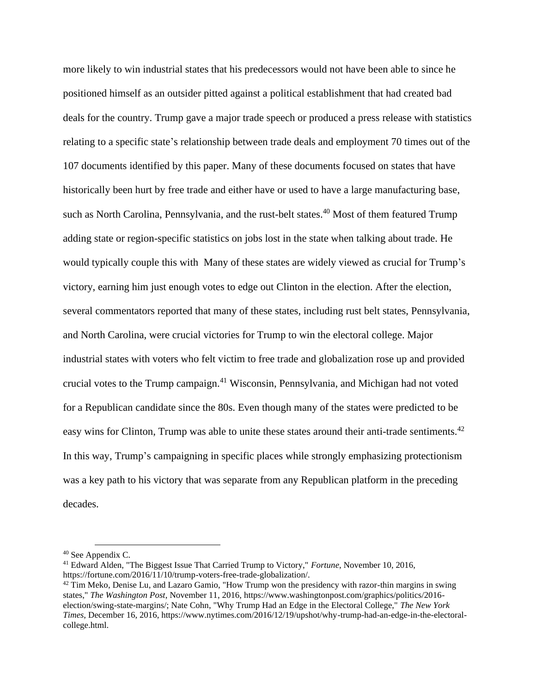more likely to win industrial states that his predecessors would not have been able to since he positioned himself as an outsider pitted against a political establishment that had created bad deals for the country. Trump gave a major trade speech or produced a press release with statistics relating to a specific state's relationship between trade deals and employment 70 times out of the 107 documents identified by this paper. Many of these documents focused on states that have historically been hurt by free trade and either have or used to have a large manufacturing base, such as North Carolina, Pennsylvania, and the rust-belt states.<sup>40</sup> Most of them featured Trump adding state or region-specific statistics on jobs lost in the state when talking about trade. He would typically couple this with Many of these states are widely viewed as crucial for Trump's victory, earning him just enough votes to edge out Clinton in the election. After the election, several commentators reported that many of these states, including rust belt states, Pennsylvania, and North Carolina, were crucial victories for Trump to win the electoral college. Major industrial states with voters who felt victim to free trade and globalization rose up and provided crucial votes to the Trump campaign.<sup>41</sup> Wisconsin, Pennsylvania, and Michigan had not voted for a Republican candidate since the 80s. Even though many of the states were predicted to be easy wins for Clinton, Trump was able to unite these states around their anti-trade sentiments.<sup>42</sup> In this way, Trump's campaigning in specific places while strongly emphasizing protectionism was a key path to his victory that was separate from any Republican platform in the preceding decades.

<sup>40</sup> See Appendix C.

<sup>41</sup> Edward Alden, "The Biggest Issue That Carried Trump to Victory," *Fortune*, November 10, 2016, https://fortune.com/2016/11/10/trump-voters-free-trade-globalization/.

 $42$  Tim Meko, Denise Lu, and Lazaro Gamio, "How Trump won the presidency with razor-thin margins in swing states," *The Washington Post*, November 11, 2016, https://www.washingtonpost.com/graphics/politics/2016 election/swing-state-margins/; Nate Cohn, "Why Trump Had an Edge in the Electoral College," *The New York Times*, December 16, 2016, https://www.nytimes.com/2016/12/19/upshot/why-trump-had-an-edge-in-the-electoralcollege.html.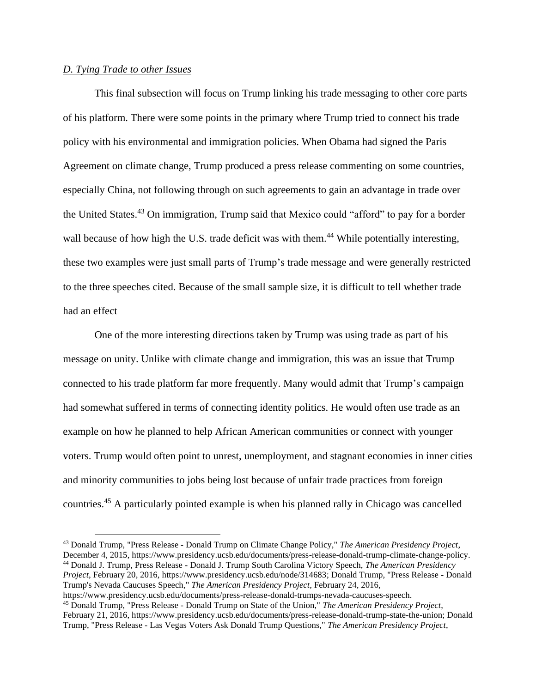### *D. Tying Trade to other Issues*

This final subsection will focus on Trump linking his trade messaging to other core parts of his platform. There were some points in the primary where Trump tried to connect his trade policy with his environmental and immigration policies. When Obama had signed the Paris Agreement on climate change, Trump produced a press release commenting on some countries, especially China, not following through on such agreements to gain an advantage in trade over the United States.<sup>43</sup> On immigration, Trump said that Mexico could "afford" to pay for a border wall because of how high the U.S. trade deficit was with them.<sup>44</sup> While potentially interesting, these two examples were just small parts of Trump's trade message and were generally restricted to the three speeches cited. Because of the small sample size, it is difficult to tell whether trade had an effect

One of the more interesting directions taken by Trump was using trade as part of his message on unity. Unlike with climate change and immigration, this was an issue that Trump connected to his trade platform far more frequently. Many would admit that Trump's campaign had somewhat suffered in terms of connecting identity politics. He would often use trade as an example on how he planned to help African American communities or connect with younger voters. Trump would often point to unrest, unemployment, and stagnant economies in inner cities and minority communities to jobs being lost because of unfair trade practices from foreign countries.<sup>45</sup> A particularly pointed example is when his planned rally in Chicago was cancelled

<sup>43</sup> Donald Trump, "Press Release - Donald Trump on Climate Change Policy," *The American Presidency Project*, December 4, 2015, https://www.presidency.ucsb.edu/documents/press-release-donald-trump-climate-change-policy. <sup>44</sup> Donald J. Trump, Press Release - Donald J. Trump South Carolina Victory Speech, *The American Presidency Project*, February 20, 2016, https://www.presidency.ucsb.edu/node/314683; Donald Trump, "Press Release - Donald Trump's Nevada Caucuses Speech," *The American Presidency Project*, February 24, 2016,

https://www.presidency.ucsb.edu/documents/press-release-donald-trumps-nevada-caucuses-speech.

<sup>45</sup> Donald Trump, "Press Release - Donald Trump on State of the Union," *The American Presidency Project*, February 21, 2016, https://www.presidency.ucsb.edu/documents/press-release-donald-trump-state-the-union; Donald Trump, "Press Release - Las Vegas Voters Ask Donald Trump Questions," *The American Presidency Project*,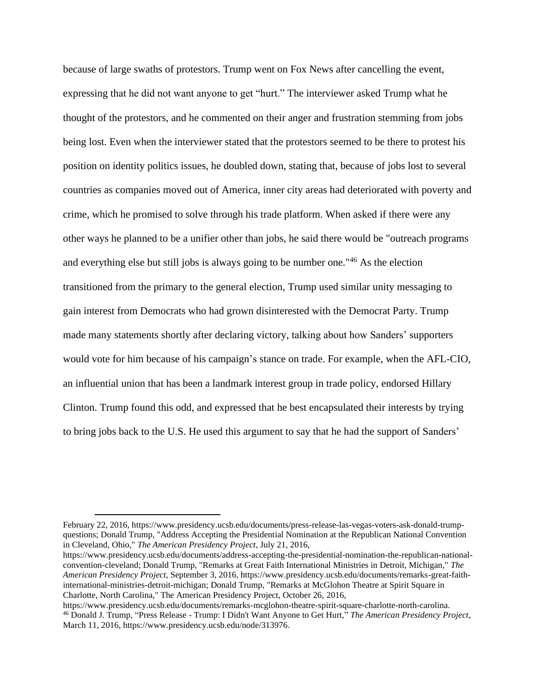because of large swaths of protestors. Trump went on Fox News after cancelling the event, expressing that he did not want anyone to get "hurt." The interviewer asked Trump what he thought of the protestors, and he commented on their anger and frustration stemming from jobs being lost. Even when the interviewer stated that the protestors seemed to be there to protest his position on identity politics issues, he doubled down, stating that, because of jobs lost to several countries as companies moved out of America, inner city areas had deteriorated with poverty and crime, which he promised to solve through his trade platform. When asked if there were any other ways he planned to be a unifier other than jobs, he said there would be "outreach programs and everything else but still jobs is always going to be number one."<sup>46</sup> As the election transitioned from the primary to the general election, Trump used similar unity messaging to gain interest from Democrats who had grown disinterested with the Democrat Party. Trump made many statements shortly after declaring victory, talking about how Sanders' supporters would vote for him because of his campaign's stance on trade. For example, when the AFL-CIO, an influential union that has been a landmark interest group in trade policy, endorsed Hillary Clinton. Trump found this odd, and expressed that he best encapsulated their interests by trying to bring jobs back to the U.S. He used this argument to say that he had the support of Sanders'

February 22, 2016, https://www.presidency.ucsb.edu/documents/press-release-las-vegas-voters-ask-donald-trumpquestions; Donald Trump, "Address Accepting the Presidential Nomination at the Republican National Convention in Cleveland, Ohio," *The American Presidency Project*, July 21, 2016,

https://www.presidency.ucsb.edu/documents/address-accepting-the-presidential-nomination-the-republican-nationalconvention-cleveland; Donald Trump, "Remarks at Great Faith International Ministries in Detroit, Michigan," *The American Presidency Project*, September 3, 2016, https://www.presidency.ucsb.edu/documents/remarks-great-faithinternational-ministries-detroit-michigan; Donald Trump, "Remarks at McGlohon Theatre at Spirit Square in Charlotte, North Carolina," The American Presidency Project, October 26, 2016,

https://www.presidency.ucsb.edu/documents/remarks-mcglohon-theatre-spirit-square-charlotte-north-carolina. <sup>46</sup> Donald J. Trump, "Press Release - Trump: I Didn't Want Anyone to Get Hurt," *The American Presidency Project*, March 11, 2016, https://www.presidency.ucsb.edu/node/313976.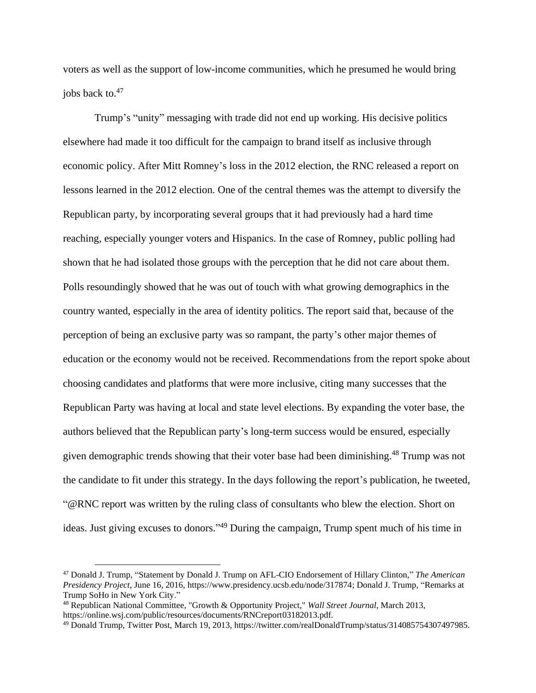voters as well as the support of low-income communities, which he presumed he would bring jobs back to.<sup>47</sup>

Trump's "unity" messaging with trade did not end up working. His decisive politics elsewhere had made it too difficult for the campaign to brand itself as inclusive through economic policy. After Mitt Romney's loss in the 2012 election, the RNC released a report on lessons learned in the 2012 election. One of the central themes was the attempt to diversify the Republican party, by incorporating several groups that it had previously had a hard time reaching, especially younger voters and Hispanics. In the case of Romney, public polling had shown that he had isolated those groups with the perception that he did not care about them. Polls resoundingly showed that he was out of touch with what growing demographics in the country wanted, especially in the area of identity politics. The report said that, because of the perception of being an exclusive party was so rampant, the party's other major themes of education or the economy would not be received. Recommendations from the report spoke about choosing candidates and platforms that were more inclusive, citing many successes that the Republican Party was having at local and state level elections. By expanding the voter base, the authors believed that the Republican party's long-term success would be ensured, especially given demographic trends showing that their voter base had been diminishing.<sup>48</sup> Trump was not the candidate to fit under this strategy. In the days following the report's publication, he tweeted, "@RNC report was written by the ruling class of consultants who blew the election. Short on ideas. Just giving excuses to donors."<sup>49</sup> During the campaign, Trump spent much of his time in

<sup>47</sup> Donald J. Trump, "Statement by Donald J. Trump on AFL-CIO Endorsement of Hillary Clinton," *The American Presidency Project*, June 16, 2016, https://www.presidency.ucsb.edu/node/317874; Donald J. Trump, "Remarks at Trump SoHo in New York City."

<sup>48</sup> Republican National Committee, "Growth & Opportunity Project," *Wall Street Journal*, March 2013, https://online.wsj.com/public/resources/documents/RNCreport03182013.pdf.

<sup>49</sup> Donald Trump, Twitter Post, March 19, 2013, https://twitter.com/realDonaldTrump/status/314085754307497985.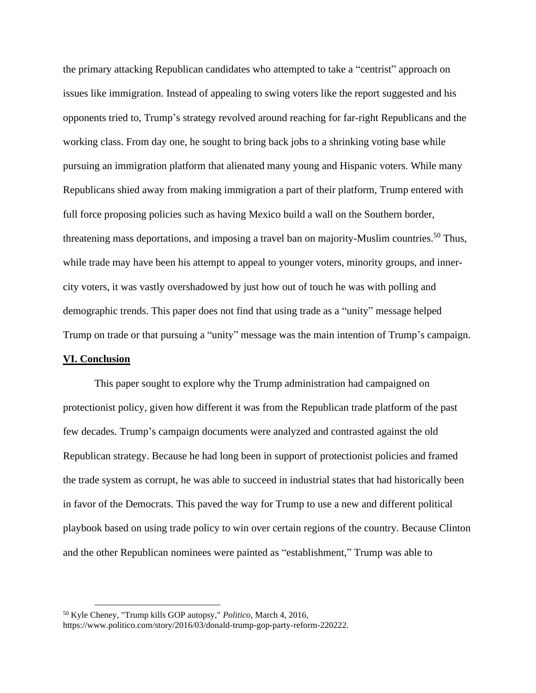the primary attacking Republican candidates who attempted to take a "centrist" approach on issues like immigration. Instead of appealing to swing voters like the report suggested and his opponents tried to, Trump's strategy revolved around reaching for far-right Republicans and the working class. From day one, he sought to bring back jobs to a shrinking voting base while pursuing an immigration platform that alienated many young and Hispanic voters. While many Republicans shied away from making immigration a part of their platform, Trump entered with full force proposing policies such as having Mexico build a wall on the Southern border, threatening mass deportations, and imposing a travel ban on majority-Muslim countries.<sup>50</sup> Thus, while trade may have been his attempt to appeal to younger voters, minority groups, and innercity voters, it was vastly overshadowed by just how out of touch he was with polling and demographic trends. This paper does not find that using trade as a "unity" message helped Trump on trade or that pursuing a "unity" message was the main intention of Trump's campaign.

## **VI. Conclusion**

This paper sought to explore why the Trump administration had campaigned on protectionist policy, given how different it was from the Republican trade platform of the past few decades. Trump's campaign documents were analyzed and contrasted against the old Republican strategy. Because he had long been in support of protectionist policies and framed the trade system as corrupt, he was able to succeed in industrial states that had historically been in favor of the Democrats. This paved the way for Trump to use a new and different political playbook based on using trade policy to win over certain regions of the country. Because Clinton and the other Republican nominees were painted as "establishment," Trump was able to

<sup>50</sup> Kyle Cheney, "Trump kills GOP autopsy," *Politico*, March 4, 2016, https://www.politico.com/story/2016/03/donald-trump-gop-party-reform-220222.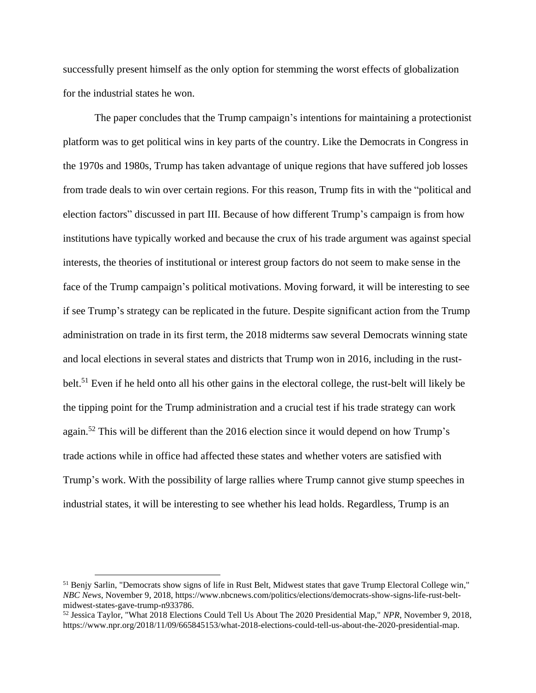successfully present himself as the only option for stemming the worst effects of globalization for the industrial states he won.

The paper concludes that the Trump campaign's intentions for maintaining a protectionist platform was to get political wins in key parts of the country. Like the Democrats in Congress in the 1970s and 1980s, Trump has taken advantage of unique regions that have suffered job losses from trade deals to win over certain regions. For this reason, Trump fits in with the "political and election factors" discussed in part III. Because of how different Trump's campaign is from how institutions have typically worked and because the crux of his trade argument was against special interests, the theories of institutional or interest group factors do not seem to make sense in the face of the Trump campaign's political motivations. Moving forward, it will be interesting to see if see Trump's strategy can be replicated in the future. Despite significant action from the Trump administration on trade in its first term, the 2018 midterms saw several Democrats winning state and local elections in several states and districts that Trump won in 2016, including in the rustbelt.<sup>51</sup> Even if he held onto all his other gains in the electoral college, the rust-belt will likely be the tipping point for the Trump administration and a crucial test if his trade strategy can work again.<sup>52</sup> This will be different than the 2016 election since it would depend on how Trump's trade actions while in office had affected these states and whether voters are satisfied with Trump's work. With the possibility of large rallies where Trump cannot give stump speeches in industrial states, it will be interesting to see whether his lead holds. Regardless, Trump is an

<sup>51</sup> Benjy Sarlin, "Democrats show signs of life in Rust Belt, Midwest states that gave Trump Electoral College win," *NBC News*, November 9, 2018, https://www.nbcnews.com/politics/elections/democrats-show-signs-life-rust-beltmidwest-states-gave-trump-n933786.

<sup>52</sup> Jessica Taylor, "What 2018 Elections Could Tell Us About The 2020 Presidential Map," *NPR*, November 9, 2018, https://www.npr.org/2018/11/09/665845153/what-2018-elections-could-tell-us-about-the-2020-presidential-map.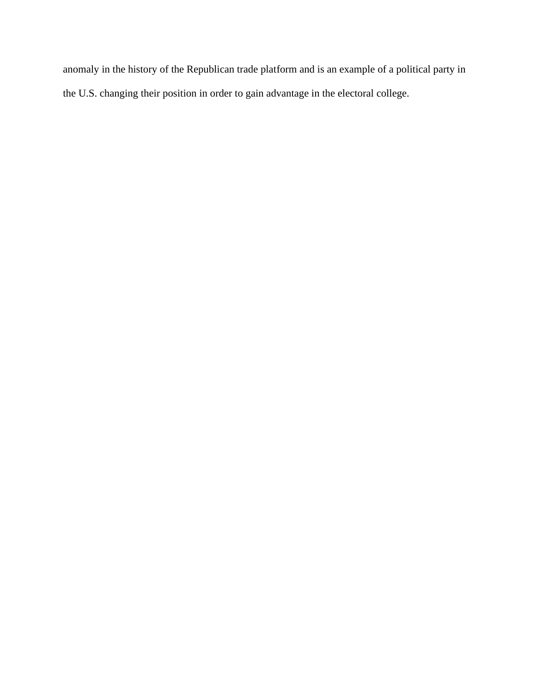anomaly in the history of the Republican trade platform and is an example of a political party in the U.S. changing their position in order to gain advantage in the electoral college.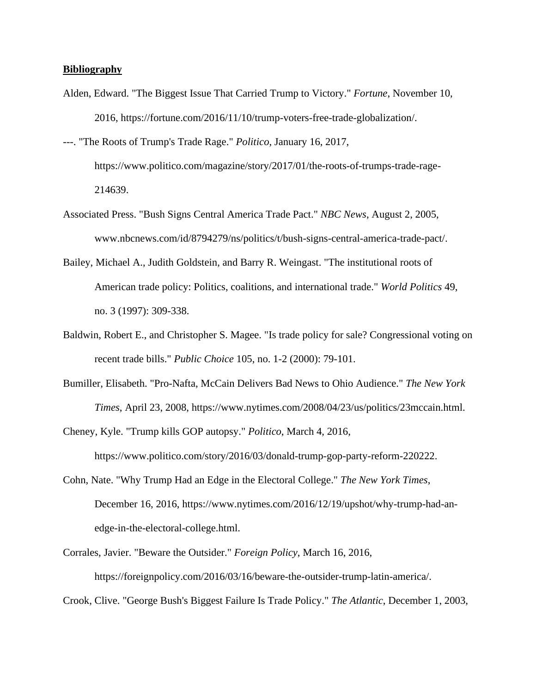#### **Bibliography**

- Alden, Edward. "The Biggest Issue That Carried Trump to Victory." *Fortune*, November 10, 2016, https://fortune.com/2016/11/10/trump-voters-free-trade-globalization/.
- ---. "The Roots of Trump's Trade Rage." *Politico*, January 16, 2017, https://www.politico.com/magazine/story/2017/01/the-roots-of-trumps-trade-rage-214639.
- Associated Press. "Bush Signs Central America Trade Pact." *NBC News*, August 2, 2005, www.nbcnews.com/id/8794279/ns/politics/t/bush-signs-central-america-trade-pact/.
- Bailey, Michael A., Judith Goldstein, and Barry R. Weingast. "The institutional roots of American trade policy: Politics, coalitions, and international trade." *World Politics* 49, no. 3 (1997): 309-338.
- Baldwin, Robert E., and Christopher S. Magee. "Is trade policy for sale? Congressional voting on recent trade bills." *Public Choice* 105, no. 1-2 (2000): 79-101.
- Bumiller, Elisabeth. "Pro-Nafta, McCain Delivers Bad News to Ohio Audience." *The New York Times*, April 23, 2008, https://www.nytimes.com/2008/04/23/us/politics/23mccain.html.
- Cheney, Kyle. "Trump kills GOP autopsy." *Politico*, March 4, 2016, https://www.politico.com/story/2016/03/donald-trump-gop-party-reform-220222.
- Cohn, Nate. "Why Trump Had an Edge in the Electoral College." *The New York Times*, December 16, 2016, https://www.nytimes.com/2016/12/19/upshot/why-trump-had-anedge-in-the-electoral-college.html.
- Corrales, Javier. "Beware the Outsider." *Foreign Policy*, March 16, 2016, https://foreignpolicy.com/2016/03/16/beware-the-outsider-trump-latin-america/.
- Crook, Clive. "George Bush's Biggest Failure Is Trade Policy." *The Atlantic*, December 1, 2003,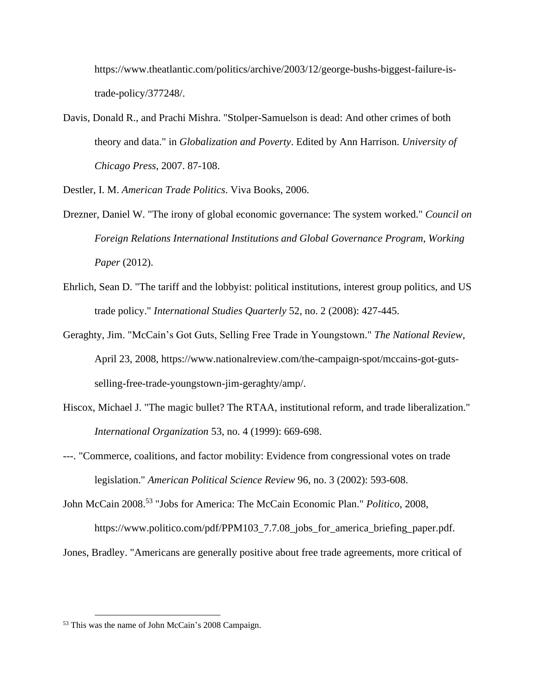https://www.theatlantic.com/politics/archive/2003/12/george-bushs-biggest-failure-istrade-policy/377248/.

Davis, Donald R., and Prachi Mishra. "Stolper-Samuelson is dead: And other crimes of both theory and data." in *Globalization and Poverty*. Edited by Ann Harrison. *University of Chicago Press*, 2007. 87-108.

Destler, I. M. *American Trade Politics*. Viva Books, 2006.

- Drezner, Daniel W. "The irony of global economic governance: The system worked." *Council on Foreign Relations International Institutions and Global Governance Program, Working Paper* (2012).
- Ehrlich, Sean D. "The tariff and the lobbyist: political institutions, interest group politics, and US trade policy." *International Studies Quarterly* 52, no. 2 (2008): 427-445.
- Geraghty, Jim. "McCain's Got Guts, Selling Free Trade in Youngstown." *The National Review*, April 23, 2008, https://www.nationalreview.com/the-campaign-spot/mccains-got-gutsselling-free-trade-youngstown-jim-geraghty/amp/.
- Hiscox, Michael J. "The magic bullet? The RTAA, institutional reform, and trade liberalization." *International Organization* 53, no. 4 (1999): 669-698.
- ---. "Commerce, coalitions, and factor mobility: Evidence from congressional votes on trade legislation." *American Political Science Review* 96, no. 3 (2002): 593-608.

John McCain 2008. <sup>53</sup> "Jobs for America: The McCain Economic Plan." *Politico*, 2008, https://www.politico.com/pdf/PPM103\_7.7.08\_jobs\_for\_america\_briefing\_paper.pdf.

Jones, Bradley. "Americans are generally positive about free trade agreements, more critical of

<sup>53</sup> This was the name of John McCain's 2008 Campaign.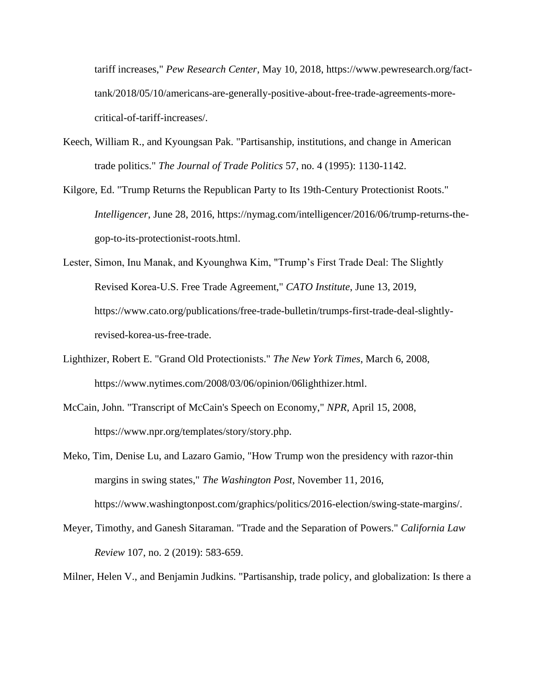tariff increases," *Pew Research Center*, May 10, 2018, https://www.pewresearch.org/facttank/2018/05/10/americans-are-generally-positive-about-free-trade-agreements-morecritical-of-tariff-increases/.

- Keech, William R., and Kyoungsan Pak. "Partisanship, institutions, and change in American trade politics." *The Journal of Trade Politics* 57, no. 4 (1995): 1130-1142.
- Kilgore, Ed. "Trump Returns the Republican Party to Its 19th-Century Protectionist Roots." *Intelligencer*, June 28, 2016, https://nymag.com/intelligencer/2016/06/trump-returns-thegop-to-its-protectionist-roots.html.
- Lester, Simon, Inu Manak, and Kyounghwa Kim, "Trump's First Trade Deal: The Slightly Revised Korea‑U.S. Free Trade Agreement," *CATO Institute*, June 13, 2019, https://www.cato.org/publications/free-trade-bulletin/trumps-first-trade-deal-slightlyrevised-korea-us-free-trade.
- Lighthizer, Robert E. "Grand Old Protectionists." *The New York Times*, March 6, 2008, https://www.nytimes.com/2008/03/06/opinion/06lighthizer.html.
- McCain, John. "Transcript of McCain's Speech on Economy," *NPR*, April 15, 2008, https://www.npr.org/templates/story/story.php.
- Meko, Tim, Denise Lu, and Lazaro Gamio, "How Trump won the presidency with razor-thin margins in swing states," *The Washington Post*, November 11, 2016, https://www.washingtonpost.com/graphics/politics/2016-election/swing-state-margins/.
- Meyer, Timothy, and Ganesh Sitaraman. "Trade and the Separation of Powers." *California Law Review* 107, no. 2 (2019): 583-659.
- Milner, Helen V., and Benjamin Judkins. "Partisanship, trade policy, and globalization: Is there a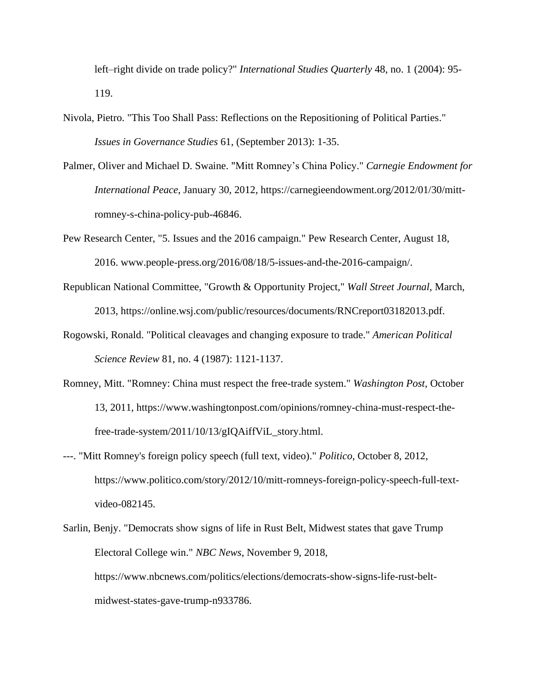left–right divide on trade policy?" *International Studies Quarterly* 48, no. 1 (2004): 95- 119.

- Nivola, Pietro. "This Too Shall Pass: Reflections on the Repositioning of Political Parties." *Issues in Governance Studies* 61, (September 2013): 1-35.
- Palmer, Oliver and Michael D. Swaine. "Mitt Romney's China Policy." *Carnegie Endowment for International Peace*, January 30, 2012, https://carnegieendowment.org/2012/01/30/mittromney-s-china-policy-pub-46846.
- Pew Research Center, "5. Issues and the 2016 campaign." Pew Research Center, August 18, 2016. www.people-press.org/2016/08/18/5-issues-and-the-2016-campaign/.
- Republican National Committee, "Growth & Opportunity Project," *Wall Street Journal*, March, 2013, https://online.wsj.com/public/resources/documents/RNCreport03182013.pdf.
- Rogowski, Ronald. "Political cleavages and changing exposure to trade." *American Political Science Review* 81, no. 4 (1987): 1121-1137.
- Romney, Mitt. "Romney: China must respect the free-trade system." *Washington Post*, October 13, 2011, https://www.washingtonpost.com/opinions/romney-china-must-respect-thefree-trade-system/2011/10/13/gIQAiffViL\_story.html.
- ---. "Mitt Romney's foreign policy speech (full text, video)." *Politico*, October 8, 2012, https://www.politico.com/story/2012/10/mitt-romneys-foreign-policy-speech-full-textvideo-082145.
- Sarlin, Benjy. "Democrats show signs of life in Rust Belt, Midwest states that gave Trump Electoral College win." *NBC News*, November 9, 2018, https://www.nbcnews.com/politics/elections/democrats-show-signs-life-rust-beltmidwest-states-gave-trump-n933786.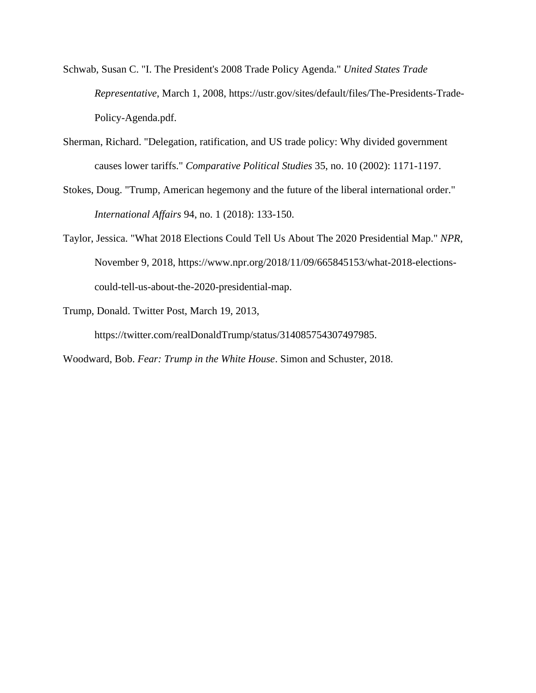- Schwab, Susan C. "I. The President's 2008 Trade Policy Agenda." *United States Trade Representative*, March 1, 2008, https://ustr.gov/sites/default/files/The-Presidents-Trade-Policy-Agenda.pdf.
- Sherman, Richard. "Delegation, ratification, and US trade policy: Why divided government causes lower tariffs." *Comparative Political Studies* 35, no. 10 (2002): 1171-1197.
- Stokes, Doug. "Trump, American hegemony and the future of the liberal international order." *International Affairs* 94, no. 1 (2018): 133-150.
- Taylor, Jessica. "What 2018 Elections Could Tell Us About The 2020 Presidential Map." *NPR*, November 9, 2018, https://www.npr.org/2018/11/09/665845153/what-2018-electionscould-tell-us-about-the-2020-presidential-map.
- Trump, Donald. Twitter Post, March 19, 2013,

https://twitter.com/realDonaldTrump/status/314085754307497985.

Woodward, Bob. *Fear: Trump in the White House*. Simon and Schuster, 2018.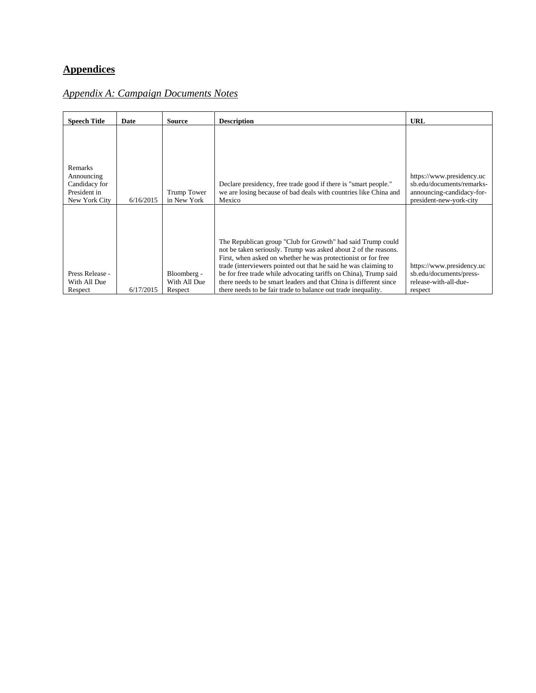# **Appendices**

# *Appendix A: Campaign Documents Notes*

| <b>Speech Title</b>                                                     | Date      | Source                                 | <b>Description</b>                                                                                                                                                                                                                                                                                                                                                                                                                                                           | <b>URL</b>                                                                                                     |
|-------------------------------------------------------------------------|-----------|----------------------------------------|------------------------------------------------------------------------------------------------------------------------------------------------------------------------------------------------------------------------------------------------------------------------------------------------------------------------------------------------------------------------------------------------------------------------------------------------------------------------------|----------------------------------------------------------------------------------------------------------------|
| Remarks<br>Announcing<br>Candidacy for<br>President in<br>New York City | 6/16/2015 | <b>Trump Tower</b><br>in New York      | Declare presidency, free trade good if there is "smart people."<br>we are losing because of bad deals with countries like China and<br>Mexico                                                                                                                                                                                                                                                                                                                                | https://www.presidency.uc<br>sb.edu/documents/remarks-<br>announcing-candidacy-for-<br>president-new-york-city |
| Press Release -<br>With All Due<br>Respect                              | 6/17/2015 | Bloomberg -<br>With All Due<br>Respect | The Republican group "Club for Growth" had said Trump could<br>not be taken seriously. Trump was asked about 2 of the reasons.<br>First, when asked on whether he was protectionist or for free<br>trade (interviewers pointed out that he said he was claiming to<br>be for free trade while advocating tariffs on China), Trump said<br>there needs to be smart leaders and that China is different since<br>there needs to be fair trade to balance out trade inequality. | https://www.presidency.uc<br>sb.edu/documents/press-<br>release-with-all-due-<br>respect                       |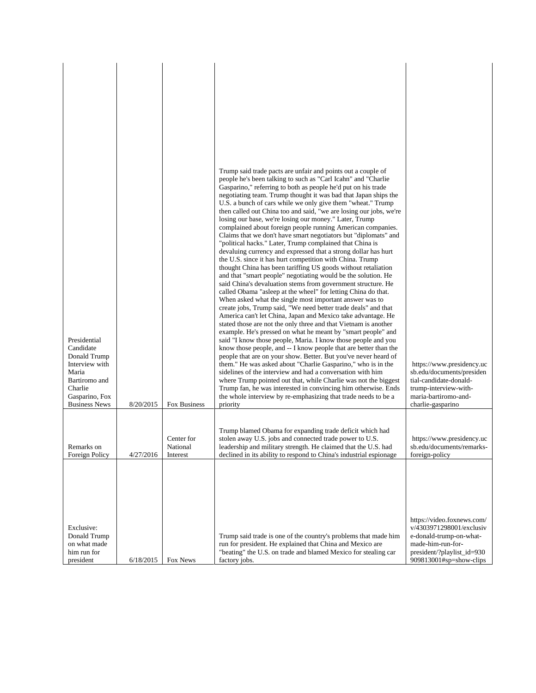| Presidential<br>Candidate<br>Donald Trump<br>Interview with<br>Maria<br>Bartiromo and<br>Charlie<br>Gasparino, Fox |           |                                    | Trump said trade pacts are unfair and points out a couple of<br>people he's been talking to such as "Carl Icahn" and "Charlie<br>Gasparino," referring to both as people he'd put on his trade<br>negotiating team. Trump thought it was bad that Japan ships the<br>U.S. a bunch of cars while we only give them "wheat." Trump<br>then called out China too and said, "we are losing our jobs, we're<br>losing our base, we're losing our money." Later, Trump<br>complained about foreign people running American companies.<br>Claims that we don't have smart negotiators but "diplomats" and<br>"political hacks." Later, Trump complained that China is<br>devaluing currency and expressed that a strong dollar has hurt<br>the U.S. since it has hurt competition with China. Trump<br>thought China has been tariffing US goods without retaliation<br>and that "smart people" negotiating would be the solution. He<br>said China's devaluation stems from government structure. He<br>called Obama "asleep at the wheel" for letting China do that.<br>When asked what the single most important answer was to<br>create jobs, Trump said, "We need better trade deals" and that<br>America can't let China, Japan and Mexico take advantage. He<br>stated those are not the only three and that Vietnam is another<br>example. He's pressed on what he meant by "smart people" and<br>said "I know those people, Maria. I know those people and you<br>know those people, and -- I know people that are better than the<br>people that are on your show. Better. But you've never heard of<br>them." He was asked about "Charlie Gasparino," who is in the<br>sidelines of the interview and had a conversation with him<br>where Trump pointed out that, while Charlie was not the biggest<br>Trump fan, he was interested in convincing him otherwise. Ends<br>the whole interview by re-emphasizing that trade needs to be a | https://www.presidency.uc<br>sb.edu/documents/presiden<br>tial-candidate-donald-<br>trump-interview-with-<br>maria-bartiromo-and-                               |
|--------------------------------------------------------------------------------------------------------------------|-----------|------------------------------------|----------------------------------------------------------------------------------------------------------------------------------------------------------------------------------------------------------------------------------------------------------------------------------------------------------------------------------------------------------------------------------------------------------------------------------------------------------------------------------------------------------------------------------------------------------------------------------------------------------------------------------------------------------------------------------------------------------------------------------------------------------------------------------------------------------------------------------------------------------------------------------------------------------------------------------------------------------------------------------------------------------------------------------------------------------------------------------------------------------------------------------------------------------------------------------------------------------------------------------------------------------------------------------------------------------------------------------------------------------------------------------------------------------------------------------------------------------------------------------------------------------------------------------------------------------------------------------------------------------------------------------------------------------------------------------------------------------------------------------------------------------------------------------------------------------------------------------------------------------------------------------------------------------------------------------------------|-----------------------------------------------------------------------------------------------------------------------------------------------------------------|
| <b>Business News</b>                                                                                               | 8/20/2015 | Fox Business                       | priority                                                                                                                                                                                                                                                                                                                                                                                                                                                                                                                                                                                                                                                                                                                                                                                                                                                                                                                                                                                                                                                                                                                                                                                                                                                                                                                                                                                                                                                                                                                                                                                                                                                                                                                                                                                                                                                                                                                                     | charlie-gasparino                                                                                                                                               |
| Remarks on<br>Foreign Policy                                                                                       | 4/27/2016 | Center for<br>National<br>Interest | Trump blamed Obama for expanding trade deficit which had<br>stolen away U.S. jobs and connected trade power to U.S.<br>leadership and military strength. He claimed that the U.S. had<br>declined in its ability to respond to China's industrial espionage                                                                                                                                                                                                                                                                                                                                                                                                                                                                                                                                                                                                                                                                                                                                                                                                                                                                                                                                                                                                                                                                                                                                                                                                                                                                                                                                                                                                                                                                                                                                                                                                                                                                                  | https://www.presidency.uc<br>sb.edu/documents/remarks-<br>foreign-policy                                                                                        |
| Exclusive:<br>Donald Trump<br>on what made<br>him run for<br>president                                             | 6/18/2015 | Fox News                           | Trump said trade is one of the country's problems that made him<br>run for president. He explained that China and Mexico are<br>"beating" the U.S. on trade and blamed Mexico for stealing car<br>factory jobs.                                                                                                                                                                                                                                                                                                                                                                                                                                                                                                                                                                                                                                                                                                                                                                                                                                                                                                                                                                                                                                                                                                                                                                                                                                                                                                                                                                                                                                                                                                                                                                                                                                                                                                                              | https://video.foxnews.com/<br>v/4303971298001/exclusiv<br>e-donald-trump-on-what-<br>made-him-run-for-<br>president/?playlist_id=930<br>909813001#sp=show-clips |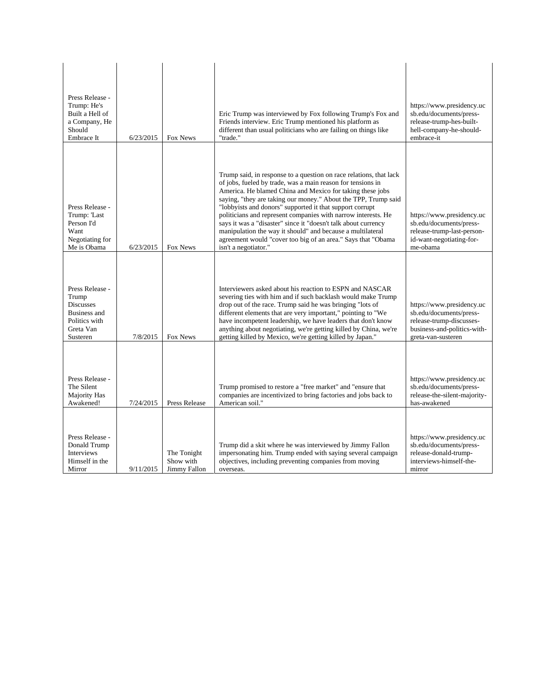| Press Release -<br>Trump: He's<br>Built a Hell of<br>a Company, He<br>Should<br>Embrace It                    | 6/23/2015 | Fox News                                 | Eric Trump was interviewed by Fox following Trump's Fox and<br>Friends interview. Eric Trump mentioned his platform as<br>different than usual politicians who are failing on things like<br>"trade."                                                                                                                                                                                                                                                                                                                                                                                                                 | https://www.presidency.uc<br>sb.edu/documents/press-<br>release-trump-hes-built-<br>hell-company-he-should-<br>embrace-it             |
|---------------------------------------------------------------------------------------------------------------|-----------|------------------------------------------|-----------------------------------------------------------------------------------------------------------------------------------------------------------------------------------------------------------------------------------------------------------------------------------------------------------------------------------------------------------------------------------------------------------------------------------------------------------------------------------------------------------------------------------------------------------------------------------------------------------------------|---------------------------------------------------------------------------------------------------------------------------------------|
| Press Release -<br>Trump: 'Last<br>Person I'd<br>Want<br>Negotiating for<br>Me is Obama                       | 6/23/2015 | Fox News                                 | Trump said, in response to a question on race relations, that lack<br>of jobs, fueled by trade, was a main reason for tensions in<br>America. He blamed China and Mexico for taking these jobs<br>saying, "they are taking our money." About the TPP, Trump said<br>"lobbyists and donors" supported it that support corrupt<br>politicians and represent companies with narrow interests. He<br>says it was a "disaster" since it "doesn't talk about currency<br>manipulation the way it should" and because a multilateral<br>agreement would "cover too big of an area." Says that "Obama<br>isn't a negotiator." | https://www.presidency.uc<br>sb.edu/documents/press-<br>release-trump-last-person-<br>id-want-negotiating-for-<br>me-obama            |
| Press Release -<br>Trump<br><b>Discusses</b><br><b>Business</b> and<br>Politics with<br>Greta Van<br>Susteren | 7/8/2015  | Fox News                                 | Interviewers asked about his reaction to ESPN and NASCAR<br>severing ties with him and if such backlash would make Trump<br>drop out of the race. Trump said he was bringing "lots of<br>different elements that are very important," pointing to "We<br>have incompetent leadership, we have leaders that don't know<br>anything about negotiating, we're getting killed by China, we're<br>getting killed by Mexico, we're getting killed by Japan."                                                                                                                                                                | https://www.presidency.uc<br>sb.edu/documents/press-<br>release-trump-discusses-<br>business-and-politics-with-<br>greta-van-susteren |
| Press Release -<br>The Silent<br>Majority Has<br>Awakened!                                                    | 7/24/2015 | Press Release                            | Trump promised to restore a "free market" and "ensure that<br>companies are incentivized to bring factories and jobs back to<br>American soil."                                                                                                                                                                                                                                                                                                                                                                                                                                                                       | https://www.presidency.uc<br>sb.edu/documents/press-<br>release-the-silent-majority-<br>has-awakened                                  |
| Press Release -<br>Donald Trump<br>Interviews<br>Himself in the<br>Mirror                                     | 9/11/2015 | The Tonight<br>Show with<br>Jimmy Fallon | Trump did a skit where he was interviewed by Jimmy Fallon<br>impersonating him. Trump ended with saying several campaign<br>objectives, including preventing companies from moving<br>overseas.                                                                                                                                                                                                                                                                                                                                                                                                                       | https://www.presidency.uc<br>sb.edu/documents/press-<br>release-donald-trump-<br>interviews-himself-the-<br>mirror                    |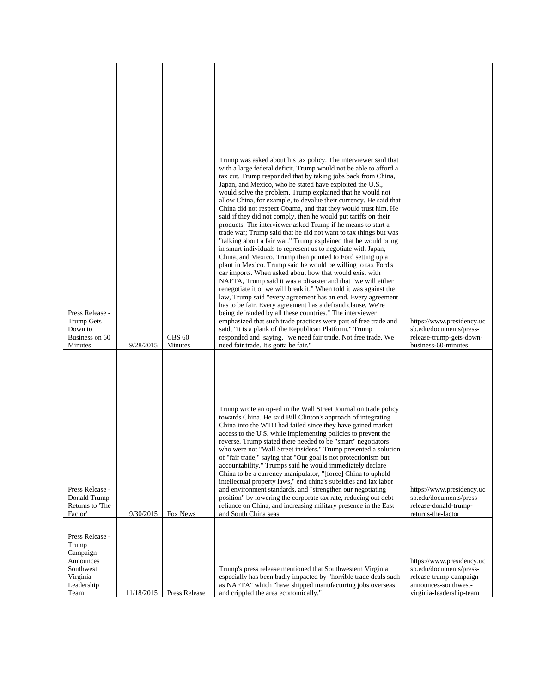|                                      |            |                          | Trump was asked about his tax policy. The interviewer said that                                                                    |                                                 |
|--------------------------------------|------------|--------------------------|------------------------------------------------------------------------------------------------------------------------------------|-------------------------------------------------|
|                                      |            |                          | with a large federal deficit, Trump would not be able to afford a<br>tax cut. Trump responded that by taking jobs back from China, |                                                 |
|                                      |            |                          | Japan, and Mexico, who he stated have exploited the U.S.,                                                                          |                                                 |
|                                      |            |                          | would solve the problem. Trump explained that he would not<br>allow China, for example, to devalue their currency. He said that    |                                                 |
|                                      |            |                          | China did not respect Obama, and that they would trust him. He                                                                     |                                                 |
|                                      |            |                          | said if they did not comply, then he would put tariffs on their<br>products. The interviewer asked Trump if he means to start a    |                                                 |
|                                      |            |                          | trade war; Trump said that he did not want to tax things but was                                                                   |                                                 |
|                                      |            |                          | "talking about a fair war." Trump explained that he would bring<br>in smart individuals to represent us to negotiate with Japan,   |                                                 |
|                                      |            |                          | China, and Mexico. Trump then pointed to Ford setting up a                                                                         |                                                 |
|                                      |            |                          | plant in Mexico. Trump said he would be willing to tax Ford's<br>car imports. When asked about how that would exist with           |                                                 |
|                                      |            |                          | NAFTA, Trump said it was a :disaster and that "we will either                                                                      |                                                 |
|                                      |            |                          | renegotiate it or we will break it." When told it was against the<br>law, Trump said "every agreement has an end. Every agreement  |                                                 |
|                                      |            |                          | has to be fair. Every agreement has a defraud clause. We're                                                                        |                                                 |
| Press Release -<br><b>Trump Gets</b> |            |                          | being defrauded by all these countries." The interviewer<br>emphasized that such trade practices were part of free trade and       | https://www.presidency.uc                       |
| Down to                              |            |                          | said, "it is a plank of the Republican Platform." Trump                                                                            | sb.edu/documents/press-                         |
| Business on 60<br>Minutes            | 9/28/2015  | <b>CBS 60</b><br>Minutes | responded and saying, "we need fair trade. Not free trade. We<br>need fair trade. It's gotta be fair."                             | release-trump-gets-down-<br>business-60-minutes |
|                                      |            |                          |                                                                                                                                    |                                                 |
|                                      |            |                          |                                                                                                                                    |                                                 |
|                                      |            |                          |                                                                                                                                    |                                                 |
|                                      |            |                          |                                                                                                                                    |                                                 |
|                                      |            |                          |                                                                                                                                    |                                                 |
|                                      |            |                          | Trump wrote an op-ed in the Wall Street Journal on trade policy<br>towards China. He said Bill Clinton's approach of integrating   |                                                 |
|                                      |            |                          | China into the WTO had failed since they have gained market                                                                        |                                                 |
|                                      |            |                          | access to the U.S. while implementing policies to prevent the<br>reverse. Trump stated there needed to be "smart" negotiators      |                                                 |
|                                      |            |                          | who were not "Wall Street insiders." Trump presented a solution                                                                    |                                                 |
|                                      |            |                          | of "fair trade," saying that "Our goal is not protectionism but<br>accountability." Trumps said he would immediately declare       |                                                 |
|                                      |            |                          | China to be a currency manipulator, "[force] China to uphold                                                                       |                                                 |
| Press Release -                      |            |                          | intellectual property laws," end china's subsidies and lax labor<br>and environment standards, and "strengthen our negotiating     | https://www.presidency.uc                       |
| Donald Trump                         |            |                          | position" by lowering the corporate tax rate, reducing out debt                                                                    | sb.edu/documents/press-                         |
| Returns to The<br>Factor'            | 9/30/2015  | Fox News                 | reliance on China, and increasing military presence in the East<br>and South China seas.                                           | release-donald-trump-<br>returns-the-factor     |
|                                      |            |                          |                                                                                                                                    |                                                 |
| Press Release -                      |            |                          |                                                                                                                                    |                                                 |
| Trump<br>Campaign                    |            |                          |                                                                                                                                    |                                                 |
| Announces                            |            |                          |                                                                                                                                    | https://www.presidency.uc                       |
| Southwest                            |            |                          | Trump's press release mentioned that Southwestern Virginia                                                                         | sb.edu/documents/press-                         |
| Virginia<br>Leadership               |            |                          | especially has been badly impacted by "horrible trade deals such<br>as NAFTA" which "have shipped manufacturing jobs overseas      | release-trump-campaign-<br>announces-southwest- |
| Team                                 | 11/18/2015 | Press Release            | and crippled the area economically."                                                                                               | virginia-leadership-team                        |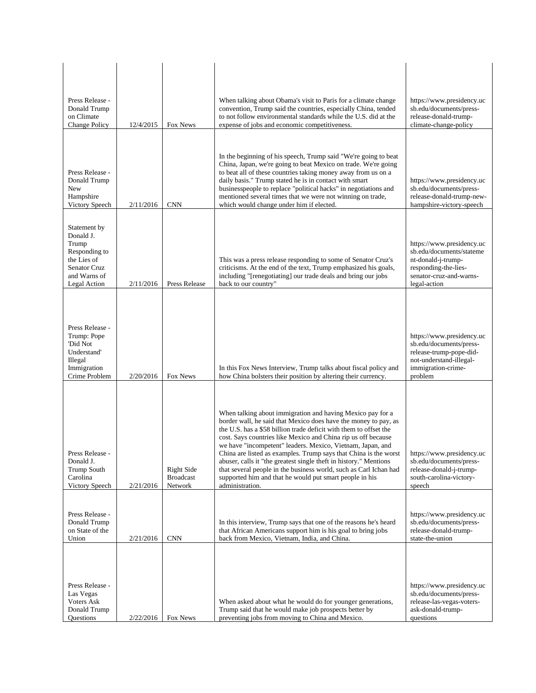| Press Release -<br>Donald Trump<br>on Climate<br><b>Change Policy</b>                                              | 12/4/2015 | Fox News                                         | When talking about Obama's visit to Paris for a climate change<br>convention, Trump said the countries, especially China, tended<br>to not follow environmental standards while the U.S. did at the<br>expense of jobs and economic competitiveness.                                                                                                                                                                                                                                                                                                                                                                          | https://www.presidency.uc<br>sb.edu/documents/press-<br>release-donald-trump-<br>climate-change-policy                                         |
|--------------------------------------------------------------------------------------------------------------------|-----------|--------------------------------------------------|-------------------------------------------------------------------------------------------------------------------------------------------------------------------------------------------------------------------------------------------------------------------------------------------------------------------------------------------------------------------------------------------------------------------------------------------------------------------------------------------------------------------------------------------------------------------------------------------------------------------------------|------------------------------------------------------------------------------------------------------------------------------------------------|
| Press Release -<br>Donald Trump<br>New<br>Hampshire<br>Victory Speech                                              | 2/11/2016 | <b>CNN</b>                                       | In the beginning of his speech, Trump said "We're going to beat<br>China, Japan, we're going to beat Mexico on trade. We're going<br>to beat all of these countries taking money away from us on a<br>daily basis." Trump stated he is in contact with smart<br>businesspeople to replace "political hacks" in negotiations and<br>mentioned several times that we were not winning on trade,<br>which would change under him if elected.                                                                                                                                                                                     | https://www.presidency.uc<br>sb.edu/documents/press-<br>release-donald-trump-new-<br>hampshire-victory-speech                                  |
| Statement by<br>Donald J.<br>Trump<br>Responding to<br>the Lies of<br>Senator Cruz<br>and Warns of<br>Legal Action | 2/11/2016 | Press Release                                    | This was a press release responding to some of Senator Cruz's<br>criticisms. At the end of the text, Trump emphasized his goals,<br>including "[renegotiating] our trade deals and bring our jobs<br>back to our country"                                                                                                                                                                                                                                                                                                                                                                                                     | https://www.presidency.uc<br>sb.edu/documents/stateme<br>nt-donald-j-trump-<br>responding-the-lies-<br>senator-cruz-and-warns-<br>legal-action |
| Press Release -<br>Trump: Pope<br>'Did Not<br>Understand'<br>Illegal<br>Immigration<br>Crime Problem               | 2/20/2016 | Fox News                                         | In this Fox News Interview, Trump talks about fiscal policy and<br>how China bolsters their position by altering their currency.                                                                                                                                                                                                                                                                                                                                                                                                                                                                                              | https://www.presidency.uc<br>sb.edu/documents/press-<br>release-trump-pope-did-<br>not-understand-illegal-<br>immigration-crime-<br>problem    |
| Press Release -<br>Donald J.<br><b>Trump South</b><br>Carolina<br>Victory Speech                                   | 2/21/2016 | <b>Right Side</b><br><b>Broadcast</b><br>Network | When talking about immigration and having Mexico pay for a<br>border wall, he said that Mexico does have the money to pay, as<br>the U.S. has a \$58 billion trade deficit with them to offset the<br>cost. Says countries like Mexico and China rip us off because<br>we have "incompetent" leaders. Mexico, Vietnam, Japan, and<br>China are listed as examples. Trump says that China is the worst<br>abuser, calls it "the greatest single theft in history." Mentions<br>that several people in the business world, such as Carl Ichan had<br>supported him and that he would put smart people in his<br>administration. | https://www.presidency.uc<br>sb.edu/documents/press-<br>release-donald-j-trump-<br>south-carolina-victory-<br>speech                           |
| Press Release -<br>Donald Trump<br>on State of the<br>Union                                                        | 2/21/2016 | <b>CNN</b>                                       | In this interview, Trump says that one of the reasons he's heard<br>that African Americans support him is his goal to bring jobs<br>back from Mexico, Vietnam, India, and China.                                                                                                                                                                                                                                                                                                                                                                                                                                              | https://www.presidency.uc<br>sb.edu/documents/press-<br>release-donald-trump-<br>state-the-union                                               |
| Press Release -<br>Las Vegas<br><b>Voters Ask</b><br>Donald Trump<br>Questions                                     | 2/22/2016 | Fox News                                         | When asked about what he would do for younger generations,<br>Trump said that he would make job prospects better by<br>preventing jobs from moving to China and Mexico.                                                                                                                                                                                                                                                                                                                                                                                                                                                       | https://www.presidency.uc<br>sb.edu/documents/press-<br>release-las-vegas-voters-<br>ask-donald-trump-<br>questions                            |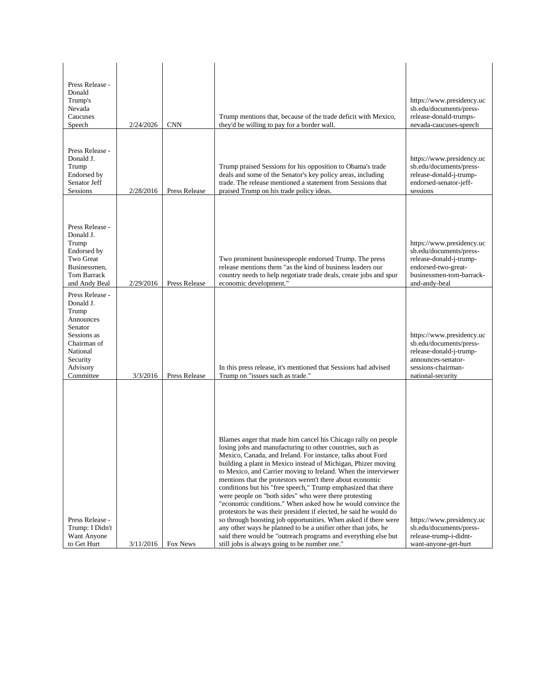| Press Release -<br>Donald<br>Trump's<br>Nevada<br>Caucuses<br>Speech                                                                         | 2/24/2026 | <b>CNN</b>    | Trump mentions that, because of the trade deficit with Mexico,<br>they'd be willing to pay for a border wall.                                                                                                                                                                                                                                                                                                                                                                                                                                                                                                                                                                                                                                                                                                                                                                                                  | https://www.presidency.uc<br>sb.edu/documents/press-<br>release-donald-trumps-<br>nevada-caucuses-speech                                            |
|----------------------------------------------------------------------------------------------------------------------------------------------|-----------|---------------|----------------------------------------------------------------------------------------------------------------------------------------------------------------------------------------------------------------------------------------------------------------------------------------------------------------------------------------------------------------------------------------------------------------------------------------------------------------------------------------------------------------------------------------------------------------------------------------------------------------------------------------------------------------------------------------------------------------------------------------------------------------------------------------------------------------------------------------------------------------------------------------------------------------|-----------------------------------------------------------------------------------------------------------------------------------------------------|
| Press Release -<br>Donald J.<br>Trump<br>Endorsed by<br>Senator Jeff<br>Sessions                                                             | 2/28/2016 | Press Release | Trump praised Sessions for his opposition to Obama's trade<br>deals and some of the Senator's key policy areas, including<br>trade. The release mentioned a statement from Sessions that<br>praised Trump on his trade policy ideas.                                                                                                                                                                                                                                                                                                                                                                                                                                                                                                                                                                                                                                                                           | https://www.presidency.uc<br>sb.edu/documents/press-<br>release-donald-j-trump-<br>endorsed-senator-jeff-<br>sessions                               |
| Press Release -<br>Donald J.<br>Trump<br>Endorsed by<br>Two Great<br>Businessmen,<br>Tom Barrack<br>and Andy Beal                            | 2/29/2016 | Press Release | Two prominent businesspeople endorsed Trump. The press<br>release mentions them "as the kind of business leaders our<br>country needs to help negotiate trade deals, create jobs and spur<br>economic development."                                                                                                                                                                                                                                                                                                                                                                                                                                                                                                                                                                                                                                                                                            | https://www.presidency.uc<br>sb.edu/documents/press-<br>release-donald-j-trump-<br>endorsed-two-great-<br>businessmen-tom-barrack-<br>and-andy-beal |
| Press Release -<br>Donald J.<br>Trump<br>Announces<br>Senator<br>Sessions as<br>Chairman of<br>National<br>Security<br>Advisory<br>Committee | 3/3/2016  | Press Release | In this press release, it's mentioned that Sessions had advised<br>Trump on "issues such as trade."                                                                                                                                                                                                                                                                                                                                                                                                                                                                                                                                                                                                                                                                                                                                                                                                            | https://www.presidency.uc<br>sb.edu/documents/press-<br>release-donald-j-trump-<br>announces-senator-<br>sessions-chairman-<br>national-security    |
| Press Release -<br>Trump: I Didn't<br>Want Anyone<br>to Get Hurt                                                                             | 3/11/2016 | Fox News      | Blames anger that made him cancel his Chicago rally on people<br>losing jobs and manufacturing to other countries, such as<br>Mexico, Canada, and Ireland. For instance, talks about Ford<br>building a plant in Mexico instead of Michigan, Phizer moving<br>to Mexico, and Carrier moving to Ireland. When the interviewer<br>mentions that the protestors weren't there about economic<br>conditions but his "free speech," Trump emphasized that there<br>were people on "both sides" who were there protesting<br>"economic conditions." When asked how he would convince the<br>protestors he was their president if elected, he said he would do<br>so through boosting job opportunities. When asked if there were<br>any other ways he planned to be a unifier other than jobs, he<br>said there would be "outreach programs and everything else but<br>still jobs is always going to be number one." | https://www.presidency.uc<br>sb.edu/documents/press-<br>release-trump-i-didnt-<br>want-anyone-get-hurt                                              |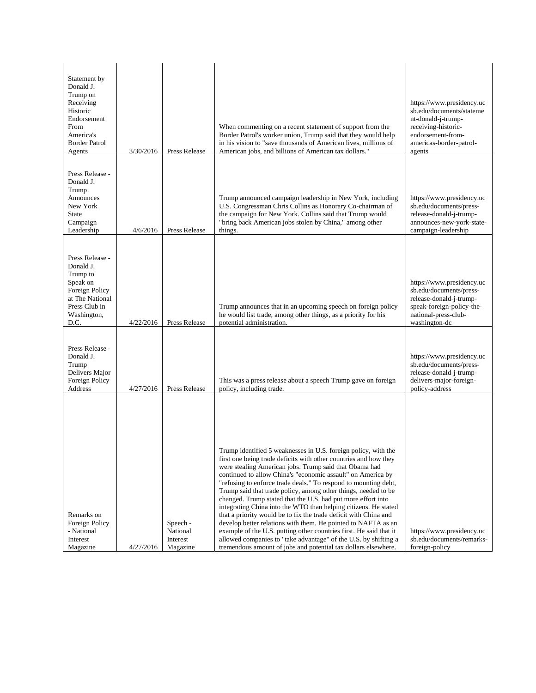| Statement by<br>Donald J.<br>Trump on<br>Receiving<br>Historic<br>Endorsement<br>From<br>America's<br><b>Border Patrol</b><br>Agents | 3/30/2016 | Press Release                                | When commenting on a recent statement of support from the<br>Border Patrol's worker union, Trump said that they would help<br>in his vision to "save thousands of American lives, millions of<br>American jobs, and billions of American tax dollars."                                                                                                                                                                                                                                                                                                                                                                                                                                                                                                                                                                                                                              | https://www.presidency.uc<br>sb.edu/documents/stateme<br>nt-donald-j-trump-<br>receiving-historic-<br>endorsement-from-<br>americas-border-patrol-<br>agents |
|--------------------------------------------------------------------------------------------------------------------------------------|-----------|----------------------------------------------|-------------------------------------------------------------------------------------------------------------------------------------------------------------------------------------------------------------------------------------------------------------------------------------------------------------------------------------------------------------------------------------------------------------------------------------------------------------------------------------------------------------------------------------------------------------------------------------------------------------------------------------------------------------------------------------------------------------------------------------------------------------------------------------------------------------------------------------------------------------------------------------|--------------------------------------------------------------------------------------------------------------------------------------------------------------|
| Press Release -<br>Donald J.<br>Trump<br>Announces<br>New York<br>State<br>Campaign<br>Leadership                                    | 4/6/2016  | Press Release                                | Trump announced campaign leadership in New York, including<br>U.S. Congressman Chris Collins as Honorary Co-chairman of<br>the campaign for New York. Collins said that Trump would<br>"bring back American jobs stolen by China," among other<br>things.                                                                                                                                                                                                                                                                                                                                                                                                                                                                                                                                                                                                                           | https://www.presidency.uc<br>sb.edu/documents/press-<br>release-donald-j-trump-<br>announces-new-york-state-<br>campaign-leadership                          |
| Press Release -<br>Donald J.<br>Trump to<br>Speak on<br>Foreign Policy<br>at The National<br>Press Club in<br>Washington,<br>D.C.    | 4/22/2016 | Press Release                                | Trump announces that in an upcoming speech on foreign policy<br>he would list trade, among other things, as a priority for his<br>potential administration.                                                                                                                                                                                                                                                                                                                                                                                                                                                                                                                                                                                                                                                                                                                         | https://www.presidency.uc<br>sb.edu/documents/press-<br>release-donald-j-trump-<br>speak-foreign-policy-the-<br>national-press-club-<br>washington-dc        |
| Press Release -<br>Donald J.<br>Trump<br>Delivers Major<br>Foreign Policy<br>Address                                                 | 4/27/2016 | Press Release                                | This was a press release about a speech Trump gave on foreign<br>policy, including trade.                                                                                                                                                                                                                                                                                                                                                                                                                                                                                                                                                                                                                                                                                                                                                                                           | https://www.presidency.uc<br>sb.edu/documents/press-<br>release-donald-j-trump-<br>delivers-major-foreign-<br>policy-address                                 |
| Remarks on<br>Foreign Policy<br>- National<br>Interest<br>Magazine                                                                   | 4/27/2016 | Speech -<br>National<br>Interest<br>Magazine | Trump identified 5 weaknesses in U.S. foreign policy, with the<br>first one being trade deficits with other countries and how they<br>were stealing American jobs. Trump said that Obama had<br>continued to allow China's "economic assault" on America by<br>"refusing to enforce trade deals." To respond to mounting debt,<br>Trump said that trade policy, among other things, needed to be<br>changed. Trump stated that the U.S. had put more effort into<br>integrating China into the WTO than helping citizens. He stated<br>that a priority would be to fix the trade deficit with China and<br>develop better relations with them. He pointed to NAFTA as an<br>example of the U.S. putting other countries first. He said that it<br>allowed companies to "take advantage" of the U.S. by shifting a<br>tremendous amount of jobs and potential tax dollars elsewhere. | https://www.presidency.uc<br>sb.edu/documents/remarks-<br>foreign-policy                                                                                     |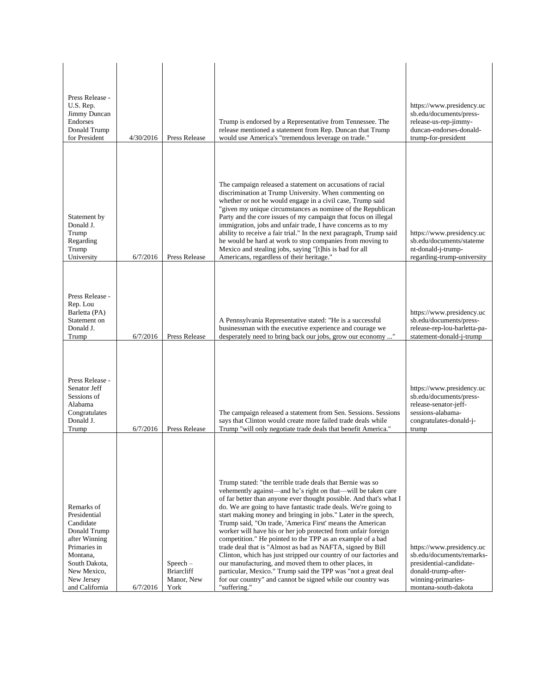| Press Release -<br>U.S. Rep.<br>Jimmy Duncan<br>Endorses<br>Donald Trump<br>for President                                                                            | 4/30/2016 | Press Release                                         | Trump is endorsed by a Representative from Tennessee. The<br>release mentioned a statement from Rep. Duncan that Trump<br>would use America's "tremendous leverage on trade."                                                                                                                                                                                                                                                                                                                                                                                                                                                                                                                                                                                                                                                                                                | https://www.presidency.uc<br>sb.edu/documents/press-<br>release-us-rep-jimmy-<br>duncan-endorses-donald-<br>trump-for-president                        |
|----------------------------------------------------------------------------------------------------------------------------------------------------------------------|-----------|-------------------------------------------------------|------------------------------------------------------------------------------------------------------------------------------------------------------------------------------------------------------------------------------------------------------------------------------------------------------------------------------------------------------------------------------------------------------------------------------------------------------------------------------------------------------------------------------------------------------------------------------------------------------------------------------------------------------------------------------------------------------------------------------------------------------------------------------------------------------------------------------------------------------------------------------|--------------------------------------------------------------------------------------------------------------------------------------------------------|
| Statement by<br>Donald J.<br>Trump<br>Regarding<br>Trump<br>University                                                                                               | 6/7/2016  | Press Release                                         | The campaign released a statement on accusations of racial<br>discrimination at Trump University. When commenting on<br>whether or not he would engage in a civil case, Trump said<br>"given my unique circumstances as nominee of the Republican<br>Party and the core issues of my campaign that focus on illegal<br>immigration, jobs and unfair trade, I have concerns as to my<br>ability to receive a fair trial." In the next paragraph, Trump said<br>he would be hard at work to stop companies from moving to<br>Mexico and stealing jobs, saying "[t] his is bad for all<br>Americans, regardless of their heritage."                                                                                                                                                                                                                                             | https://www.presidency.uc<br>sb.edu/documents/stateme<br>nt-donald-j-trump-<br>regarding-trump-university                                              |
| Press Release -<br>Rep. Lou<br>Barletta (PA)<br>Statement on<br>Donald J.<br>Trump                                                                                   | 6/7/2016  | Press Release                                         | A Pennsylvania Representative stated: "He is a successful<br>businessman with the executive experience and courage we<br>desperately need to bring back our jobs, grow our economy "                                                                                                                                                                                                                                                                                                                                                                                                                                                                                                                                                                                                                                                                                         | https://www.presidency.uc<br>sb.edu/documents/press-<br>release-rep-lou-barletta-pa-<br>statement-donald-j-trump                                       |
| Press Release -<br>Senator Jeff<br>Sessions of<br>Alabama<br>Congratulates<br>Donald J.<br>Trump                                                                     | 6/7/2016  | <b>Press Release</b>                                  | The campaign released a statement from Sen. Sessions. Sessions<br>says that Clinton would create more failed trade deals while<br>Trump "will only negotiate trade deals that benefit America."                                                                                                                                                                                                                                                                                                                                                                                                                                                                                                                                                                                                                                                                              | https://www.presidency.uc<br>sb.edu/documents/press-<br>release-senator-jeff-<br>sessions-alabama-<br>congratulates-donald-j-<br>trump                 |
| Remarks of<br>Presidential<br>Candidate<br>Donald Trump<br>after Winning<br>Primaries in<br>Montana,<br>South Dakota,<br>New Mexico,<br>New Jersey<br>and California | 6/7/2016  | $Speech -$<br><b>Briarcliff</b><br>Manor, New<br>York | Trump stated: "the terrible trade deals that Bernie was so<br>vehemently against—and he's right on that—will be taken care<br>of far better than anyone ever thought possible. And that's what I<br>do. We are going to have fantastic trade deals. We're going to<br>start making money and bringing in jobs." Later in the speech,<br>Trump said, "On trade, 'America First' means the American<br>worker will have his or her job protected from unfair foreign<br>competition." He pointed to the TPP as an example of a bad<br>trade deal that is "Almost as bad as NAFTA, signed by Bill<br>Clinton, which has just stripped our country of our factories and<br>our manufacturing, and moved them to other places, in<br>particular, Mexico." Trump said the TPP was "not a great deal<br>for our country" and cannot be signed while our country was<br>"suffering." | https://www.presidency.uc<br>sb.edu/documents/remarks-<br>presidential-candidate-<br>donald-trump-after-<br>winning-primaries-<br>montana-south-dakota |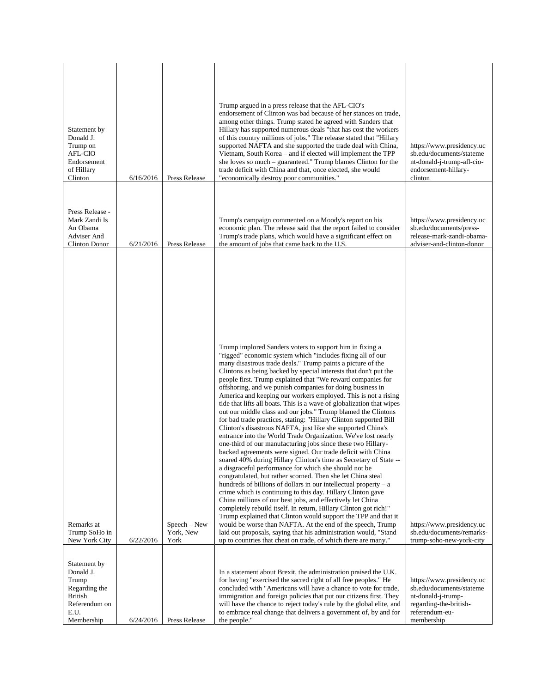| Statement by<br>Donald J.<br>Trump on<br>AFL-CIO<br>Endorsement<br>of Hillary<br>Clinton | 6/16/2016 | <b>Press Release</b>                | Trump argued in a press release that the AFL-CIO's<br>endorsement of Clinton was bad because of her stances on trade,<br>among other things. Trump stated he agreed with Sanders that<br>Hillary has supported numerous deals "that has cost the workers"<br>of this country millions of jobs." The release stated that "Hillary<br>supported NAFTA and she supported the trade deal with China,<br>Vietnam, South Korea – and if elected will implement the TPP<br>she loves so much – guaranteed." Trump blames Clinton for the<br>trade deficit with China and that, once elected, she would<br>"economically destroy poor communities."                                                                                                                                                                                                                                                                                                                                                                                                                                                                                                                                                                                                                                                                                                                                                                                                                                                                                                                                                                                                                                                                                                                                                                             | https://www.presidency.uc<br>sb.edu/documents/stateme<br>nt-donald-j-trump-afl-cio-<br>endorsement-hillary-<br>clinton |
|------------------------------------------------------------------------------------------|-----------|-------------------------------------|-------------------------------------------------------------------------------------------------------------------------------------------------------------------------------------------------------------------------------------------------------------------------------------------------------------------------------------------------------------------------------------------------------------------------------------------------------------------------------------------------------------------------------------------------------------------------------------------------------------------------------------------------------------------------------------------------------------------------------------------------------------------------------------------------------------------------------------------------------------------------------------------------------------------------------------------------------------------------------------------------------------------------------------------------------------------------------------------------------------------------------------------------------------------------------------------------------------------------------------------------------------------------------------------------------------------------------------------------------------------------------------------------------------------------------------------------------------------------------------------------------------------------------------------------------------------------------------------------------------------------------------------------------------------------------------------------------------------------------------------------------------------------------------------------------------------------|------------------------------------------------------------------------------------------------------------------------|
| Press Release -<br>Mark Zandi Is<br>An Obama<br>Adviser And<br>Clinton Donor             | 6/21/2016 | Press Release                       | Trump's campaign commented on a Moody's report on his<br>economic plan. The release said that the report failed to consider<br>Trump's trade plans, which would have a significant effect on<br>the amount of jobs that came back to the U.S.                                                                                                                                                                                                                                                                                                                                                                                                                                                                                                                                                                                                                                                                                                                                                                                                                                                                                                                                                                                                                                                                                                                                                                                                                                                                                                                                                                                                                                                                                                                                                                           | https://www.presidency.uc<br>sb.edu/documents/press-<br>release-mark-zandi-obama-<br>adviser-and-clinton-donor         |
| Remarks at<br>Trump SoHo in<br>New York City<br>Statement by<br>Donald J.<br>Trump       | 6/22/2016 | $Speech - New$<br>York, New<br>York | Trump implored Sanders voters to support him in fixing a<br>"rigged" economic system which "includes fixing all of our<br>many disastrous trade deals." Trump paints a picture of the<br>Clintons as being backed by special interests that don't put the<br>people first. Trump explained that "We reward companies for<br>offshoring, and we punish companies for doing business in<br>America and keeping our workers employed. This is not a rising<br>tide that lifts all boats. This is a wave of globalization that wipes<br>out our middle class and our jobs." Trump blamed the Clintons<br>for bad trade practices, stating: "Hillary Clinton supported Bill<br>Clinton's disastrous NAFTA, just like she supported China's<br>entrance into the World Trade Organization. We've lost nearly<br>one-third of our manufacturing jobs since these two Hillary-<br>backed agreements were signed. Our trade deficit with China<br>soared 40% during Hillary Clinton's time as Secretary of State --<br>a disgraceful performance for which she should not be<br>congratulated, but rather scorned. Then she let China steal<br>hundreds of billions of dollars in our intellectual property $-$ a<br>crime which is continuing to this day. Hillary Clinton gave<br>China millions of our best jobs, and effectively let China<br>completely rebuild itself. In return, Hillary Clinton got rich!"<br>Trump explained that Clinton would support the TPP and that it<br>would be worse than NAFTA. At the end of the speech, Trump<br>laid out proposals, saying that his administration would, "Stand"<br>up to countries that cheat on trade, of which there are many."<br>In a statement about Brexit, the administration praised the U.K.<br>for having "exercised the sacred right of all free peoples." He | https://www.presidency.uc<br>sb.edu/documents/remarks-<br>trump-soho-new-york-city<br>https://www.presidency.uc        |
| Regarding the<br><b>British</b><br>Referendum on<br>E.U.<br>Membership                   | 6/24/2016 | Press Release                       | concluded with "Americans will have a chance to vote for trade,<br>immigration and foreign policies that put our citizens first. They<br>will have the chance to reject today's rule by the global elite, and<br>to embrace real change that delivers a government of, by and for<br>the people."                                                                                                                                                                                                                                                                                                                                                                                                                                                                                                                                                                                                                                                                                                                                                                                                                                                                                                                                                                                                                                                                                                                                                                                                                                                                                                                                                                                                                                                                                                                       | sb.edu/documents/stateme<br>nt-donald-j-trump-<br>regarding-the-british-<br>referendum-eu-<br>membership               |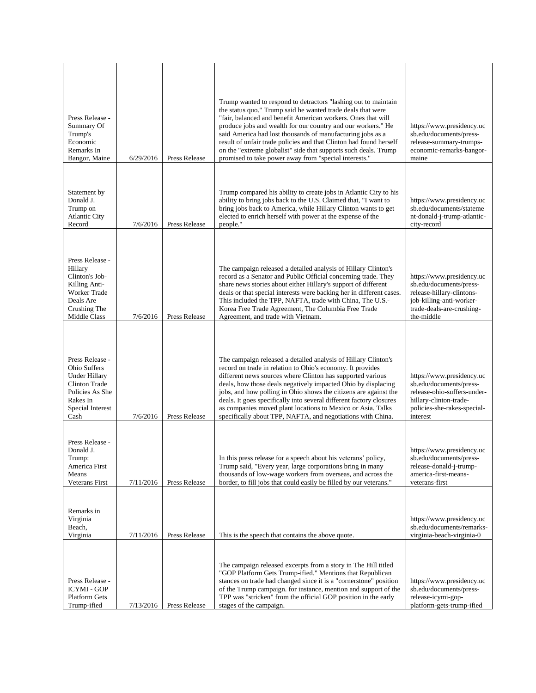| Press Release -<br>Summary Of<br>Trump's<br>Economic<br>Remarks In<br>Bangor, Maine                                                        | 6/29/2016 | <b>Press Release</b> | Trump wanted to respond to detractors "lashing out to maintain<br>the status quo." Trump said he wanted trade deals that were<br>"fair, balanced and benefit American workers. Ones that will<br>produce jobs and wealth for our country and our workers." He<br>said America had lost thousands of manufacturing jobs as a<br>result of unfair trade policies and that Clinton had found herself<br>on the "extreme globalist" side that supports such deals. Trump<br>promised to take power away from "special interests."        | https://www.presidency.uc<br>sb.edu/documents/press-<br>release-summary-trumps-<br>economic-remarks-bangor-<br>maine                                     |
|--------------------------------------------------------------------------------------------------------------------------------------------|-----------|----------------------|--------------------------------------------------------------------------------------------------------------------------------------------------------------------------------------------------------------------------------------------------------------------------------------------------------------------------------------------------------------------------------------------------------------------------------------------------------------------------------------------------------------------------------------|----------------------------------------------------------------------------------------------------------------------------------------------------------|
| Statement by<br>Donald J.<br>Trump on<br><b>Atlantic City</b><br>Record                                                                    | 7/6/2016  | Press Release        | Trump compared his ability to create jobs in Atlantic City to his<br>ability to bring jobs back to the U.S. Claimed that, "I want to<br>bring jobs back to America, while Hillary Clinton wants to get<br>elected to enrich herself with power at the expense of the<br>people."                                                                                                                                                                                                                                                     | https://www.presidency.uc<br>sb.edu/documents/stateme<br>nt-donald-j-trump-atlantic-<br>city-record                                                      |
| Press Release -<br>Hillary<br>Clinton's Job-<br>Killing Anti-<br><b>Worker Trade</b><br>Deals Are<br>Crushing The<br>Middle Class          | 7/6/2016  | Press Release        | The campaign released a detailed analysis of Hillary Clinton's<br>record as a Senator and Public Official concerning trade. They<br>share news stories about either Hillary's support of different<br>deals or that special interests were backing her in different cases.<br>This included the TPP, NAFTA, trade with China, The U.S.-<br>Korea Free Trade Agreement, The Columbia Free Trade<br>Agreement, and trade with Vietnam.                                                                                                 | https://www.presidency.uc<br>sb.edu/documents/press-<br>release-hillary-clintons-<br>job-killing-anti-worker-<br>trade-deals-are-crushing-<br>the-middle |
| Press Release -<br>Ohio Suffers<br><b>Under Hillary</b><br><b>Clinton Trade</b><br>Policies As She<br>Rakes In<br>Special Interest<br>Cash | 7/6/2016  | Press Release        | The campaign released a detailed analysis of Hillary Clinton's<br>record on trade in relation to Ohio's economy. It provides<br>different news sources where Clinton has supported various<br>deals, how those deals negatively impacted Ohio by displacing<br>jobs, and how polling in Ohio shows the citizens are against the<br>deals. It goes specifically into several different factory closures<br>as companies moved plant locations to Mexico or Asia. Talks<br>specifically about TPP, NAFTA, and negotiations with China. | https://www.presidency.uc<br>sb.edu/documents/press-<br>release-ohio-suffers-under-<br>hillary-clinton-trade-<br>policies-she-rakes-special-<br>interest |
| Press Release -<br>Donald J.<br>Trump:<br>America First<br>Means<br>Veterans First                                                         | 7/11/2016 | Press Release        | In this press release for a speech about his veterans' policy,<br>Trump said, "Every year, large corporations bring in many<br>thousands of low-wage workers from overseas, and across the<br>border, to fill jobs that could easily be filled by our veterans."                                                                                                                                                                                                                                                                     | https://www.presidency.uc<br>sb.edu/documents/press-<br>release-donald-j-trump-<br>america-first-means-<br>veterans-first                                |
| Remarks in<br>Virginia<br>Beach,<br>Virginia                                                                                               | 7/11/2016 | Press Release        | This is the speech that contains the above quote.                                                                                                                                                                                                                                                                                                                                                                                                                                                                                    | https://www.presidency.uc<br>sb.edu/documents/remarks-<br>virginia-beach-virginia-0                                                                      |
| Press Release -<br><b>ICYMI - GOP</b><br><b>Platform Gets</b><br>Trump-ified                                                               | 7/13/2016 | Press Release        | The campaign released excerpts from a story in The Hill titled<br>"GOP Platform Gets Trump-ified." Mentions that Republican<br>stances on trade had changed since it is a "cornerstone" position<br>of the Trump campaign. for instance, mention and support of the<br>TPP was "stricken" from the official GOP position in the early<br>stages of the campaign.                                                                                                                                                                     | https://www.presidency.uc<br>sb.edu/documents/press-<br>release-icymi-gop-<br>platform-gets-trump-ified                                                  |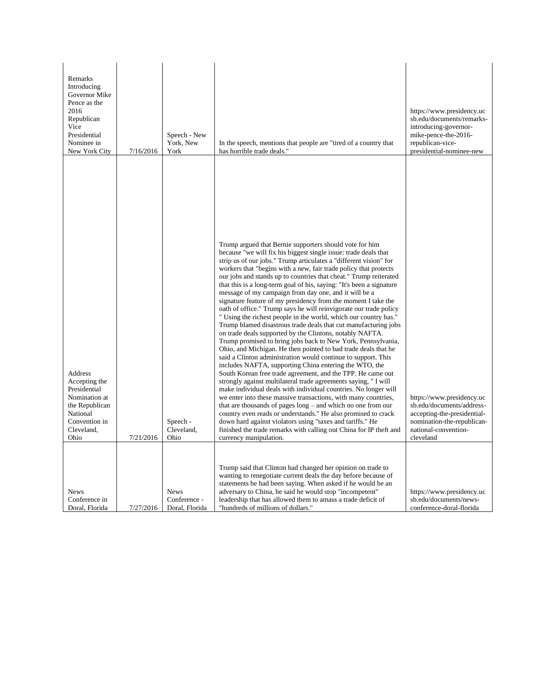| Remarks<br>Introducing<br>Governor Mike<br>Pence as the<br>2016<br>Republican<br>Vice<br>Presidential<br>Nominee in<br>New York City | 7/16/2016 | Speech - New<br>York, New<br>York             | In the speech, mentions that people are "tired of a country that<br>has horrible trade deals."                                                                                                                                                                                                                                                                                                                                                                                                                                                                                                                                                                                                                                                                                                                                                                                                                                                                                                                                                                                                                                                                                                                                                                                                                                                                                                                                                                                                                                                                                                                                                         | https://www.presidency.uc<br>sb.edu/documents/remarks-<br>introducing-governor-<br>mike-pence-the-2016-<br>republican-vice-<br>presidential-nominee-new  |
|--------------------------------------------------------------------------------------------------------------------------------------|-----------|-----------------------------------------------|--------------------------------------------------------------------------------------------------------------------------------------------------------------------------------------------------------------------------------------------------------------------------------------------------------------------------------------------------------------------------------------------------------------------------------------------------------------------------------------------------------------------------------------------------------------------------------------------------------------------------------------------------------------------------------------------------------------------------------------------------------------------------------------------------------------------------------------------------------------------------------------------------------------------------------------------------------------------------------------------------------------------------------------------------------------------------------------------------------------------------------------------------------------------------------------------------------------------------------------------------------------------------------------------------------------------------------------------------------------------------------------------------------------------------------------------------------------------------------------------------------------------------------------------------------------------------------------------------------------------------------------------------------|----------------------------------------------------------------------------------------------------------------------------------------------------------|
| Address<br>Accepting the<br>Presidential<br>Nomination at<br>the Republican<br>National<br>Convention in<br>Cleveland,<br>Ohio       | 7/21/2016 | Speech -<br>Cleveland,<br>Ohio                | Trump argued that Bernie supporters should vote for him<br>because "we will fix his biggest single issue: trade deals that<br>strip us of our jobs." Trump articulates a "different vision" for<br>workers that "begins with a new, fair trade policy that protects"<br>our jobs and stands up to countries that cheat." Trump reiterated<br>that this is a long-term goal of his, saying: "It's been a signature<br>message of my campaign from day one, and it will be a<br>signature feature of my presidency from the moment I take the<br>oath of office." Trump says he will reinvigorate our trade policy<br>" Using the richest people in the world, which our country has."<br>Trump blamed disastrous trade deals that cut manufacturing jobs<br>on trade deals supported by the Clintons, notably NAFTA.<br>Trump promised to bring jobs back to New York, Pennsylvania,<br>Ohio, and Michigan. He then pointed to bad trade deals that he<br>said a Clinton administration would continue to support. This<br>includes NAFTA, supporting China entering the WTO, the<br>South Korean free trade agreement, and the TPP. He came out<br>strongly against multilateral trade agreements saying, "I will<br>make individual deals with individual countries. No longer will<br>we enter into these massive transactions, with many countries,<br>that are thousands of pages $long -$ and which no one from our<br>country even reads or understands." He also promised to crack<br>down hard against violators using "taxes and tariffs." He<br>finished the trade remarks with calling out China for IP theft and<br>currency manipulation. | https://www.presidency.uc<br>sb.edu/documents/address-<br>accepting-the-presidential-<br>nomination-the-republican-<br>national-convention-<br>cleveland |
| <b>News</b><br>Conference in<br>Doral, Florida                                                                                       | 7/27/2016 | <b>News</b><br>Conference -<br>Doral, Florida | Trump said that Clinton had changed her opinion on trade to<br>wanting to renegotiate current deals the day before because of<br>statements he had been saying. When asked if he would be an<br>adversary to China, he said he would stop "incompetent"<br>leadership that has allowed them to amass a trade deficit of<br>"hundreds of millions of dollars."                                                                                                                                                                                                                                                                                                                                                                                                                                                                                                                                                                                                                                                                                                                                                                                                                                                                                                                                                                                                                                                                                                                                                                                                                                                                                          | https://www.presidency.uc<br>sb.edu/documents/news-<br>conference-doral-florida                                                                          |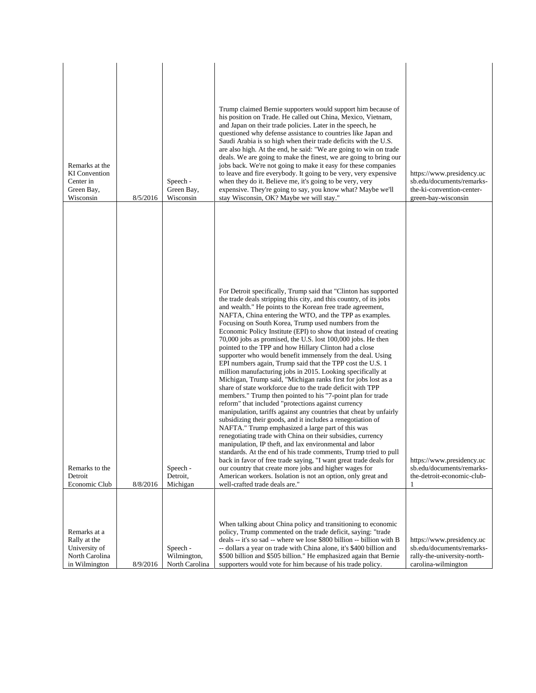| Remarks at the<br><b>KI</b> Convention<br>Center in<br>Green Bay,<br>Wisconsin   | 8/5/2016 | Speech -<br>Green Bay,<br>Wisconsin       | Trump claimed Bernie supporters would support him because of<br>his position on Trade. He called out China, Mexico, Vietnam,<br>and Japan on their trade policies. Later in the speech, he<br>questioned why defense assistance to countries like Japan and<br>Saudi Arabia is so high when their trade deficits with the U.S.<br>are also high. At the end, he said: "We are going to win on trade<br>deals. We are going to make the finest, we are going to bring our<br>jobs back. We're not going to make it easy for these companies<br>to leave and fire everybody. It going to be very, very expensive<br>when they do it. Believe me, it's going to be very, very<br>expensive. They're going to say, you know what? Maybe we'll<br>stay Wisconsin, OK? Maybe we will stay."                                                                                                                                                                                                                                                                                                                                                                                                                                                                                                      | https://www.presidency.uc<br>sb.edu/documents/remarks-<br>the-ki-convention-center-<br>green-bay-wisconsin   |
|----------------------------------------------------------------------------------|----------|-------------------------------------------|--------------------------------------------------------------------------------------------------------------------------------------------------------------------------------------------------------------------------------------------------------------------------------------------------------------------------------------------------------------------------------------------------------------------------------------------------------------------------------------------------------------------------------------------------------------------------------------------------------------------------------------------------------------------------------------------------------------------------------------------------------------------------------------------------------------------------------------------------------------------------------------------------------------------------------------------------------------------------------------------------------------------------------------------------------------------------------------------------------------------------------------------------------------------------------------------------------------------------------------------------------------------------------------------|--------------------------------------------------------------------------------------------------------------|
|                                                                                  |          |                                           | For Detroit specifically, Trump said that "Clinton has supported<br>the trade deals stripping this city, and this country, of its jobs<br>and wealth." He points to the Korean free trade agreement,<br>NAFTA, China entering the WTO, and the TPP as examples.<br>Focusing on South Korea, Trump used numbers from the<br>Economic Policy Institute (EPI) to show that instead of creating<br>70,000 jobs as promised, the U.S. lost 100,000 jobs. He then<br>pointed to the TPP and how Hillary Clinton had a close<br>supporter who would benefit immensely from the deal. Using<br>EPI numbers again, Trump said that the TPP cost the U.S. 1<br>million manufacturing jobs in 2015. Looking specifically at<br>Michigan, Trump said, "Michigan ranks first for jobs lost as a<br>share of state workforce due to the trade deficit with TPP<br>members." Trump then pointed to his "7-point plan for trade<br>reform" that included "protections against currency<br>manipulation, tariffs against any countries that cheat by unfairly<br>subsidizing their goods, and it includes a renegotiation of<br>NAFTA." Trump emphasized a large part of this was<br>renegotiating trade with China on their subsidies, currency<br>manipulation, IP theft, and lax environmental and labor |                                                                                                              |
| Remarks to the<br>Detroit<br>Economic Club                                       | 8/8/2016 | Speech -<br>Detroit,<br>Michigan          | standards. At the end of his trade comments, Trump tried to pull<br>back in favor of free trade saying, "I want great trade deals for<br>our country that create more jobs and higher wages for<br>American workers. Isolation is not an option, only great and<br>well-crafted trade deals are."                                                                                                                                                                                                                                                                                                                                                                                                                                                                                                                                                                                                                                                                                                                                                                                                                                                                                                                                                                                          | https://www.presidency.uc<br>sb.edu/documents/remarks-<br>the-detroit-economic-club-<br>1                    |
| Remarks at a<br>Rally at the<br>University of<br>North Carolina<br>in Wilmington | 8/9/2016 | Speech -<br>Wilmington,<br>North Carolina | When talking about China policy and transitioning to economic<br>policy, Trump commented on the trade deficit, saying: "trade<br>deals -- it's so sad -- where we lose \$800 billion -- billion with B<br>-- dollars a year on trade with China alone, it's \$400 billion and<br>\$500 billion and \$505 billion." He emphasized again that Bernie<br>supporters would vote for him because of his trade policy.                                                                                                                                                                                                                                                                                                                                                                                                                                                                                                                                                                                                                                                                                                                                                                                                                                                                           | https://www.presidency.uc<br>sb.edu/documents/remarks-<br>rally-the-university-north-<br>carolina-wilmington |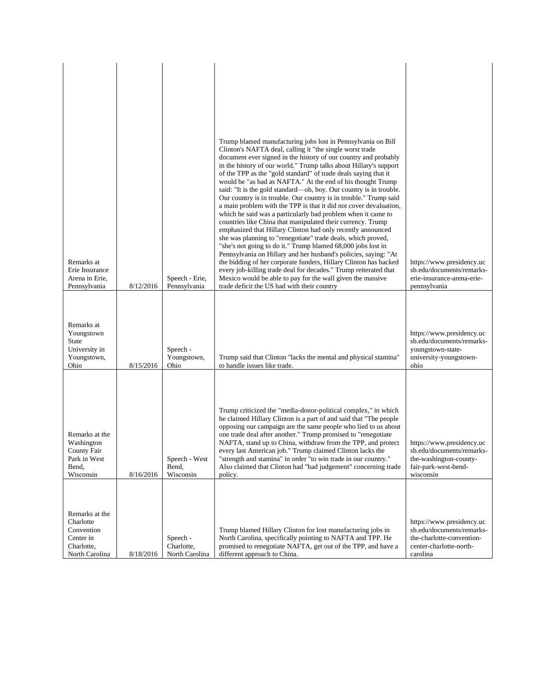| Remarks at<br>Erie Insurance<br>Arena in Erie,<br>Pennsylvania                         | 8/12/2016 | Speech - Erie,<br>Pennsylvania           | Trump blamed manufacturing jobs lost in Pennsylvania on Bill<br>Clinton's NAFTA deal, calling it "the single worst trade<br>document ever signed in the history of our country and probably<br>in the history of our world." Trump talks about Hillary's support<br>of the TPP as the "gold standard" of trade deals saying that it<br>would be "as bad as NAFTA." At the end of his thought Trump<br>said: "It is the gold standard—oh, boy. Our country is in trouble.<br>Our country is in trouble. Our country is in trouble." Trump said<br>a main problem with the TPP is that it did not cover devaluation,<br>which he said was a particularly bad problem when it came to<br>countries like China that manipulated their currency. Trump<br>emphasized that Hillary Clinton had only recently announced<br>she was planning to "renegotiate" trade deals, which proved,<br>"she's not going to do it." Trump blamed 68,000 jobs lost in<br>Pennsylvania on Hillary and her husband's policies, saying: "At<br>the bidding of her corporate funders, Hillary Clinton has backed<br>every job-killing trade deal for decades." Trump reiterated that<br>Mexico would be able to pay for the wall given the massive<br>trade deficit the US had with their country | https://www.presidency.uc<br>sb.edu/documents/remarks-<br>erie-insurance-arena-erie-<br>pennsylvania                       |
|----------------------------------------------------------------------------------------|-----------|------------------------------------------|--------------------------------------------------------------------------------------------------------------------------------------------------------------------------------------------------------------------------------------------------------------------------------------------------------------------------------------------------------------------------------------------------------------------------------------------------------------------------------------------------------------------------------------------------------------------------------------------------------------------------------------------------------------------------------------------------------------------------------------------------------------------------------------------------------------------------------------------------------------------------------------------------------------------------------------------------------------------------------------------------------------------------------------------------------------------------------------------------------------------------------------------------------------------------------------------------------------------------------------------------------------------------|----------------------------------------------------------------------------------------------------------------------------|
|                                                                                        |           |                                          |                                                                                                                                                                                                                                                                                                                                                                                                                                                                                                                                                                                                                                                                                                                                                                                                                                                                                                                                                                                                                                                                                                                                                                                                                                                                          |                                                                                                                            |
| Remarks at<br>Youngstown<br><b>State</b><br>University in<br>Youngstown,<br>Ohio       | 8/15/2016 | Speech -<br>Youngstown,<br>Ohio          | Trump said that Clinton "lacks the mental and physical stamina"<br>to handle issues like trade.                                                                                                                                                                                                                                                                                                                                                                                                                                                                                                                                                                                                                                                                                                                                                                                                                                                                                                                                                                                                                                                                                                                                                                          | https://www.presidency.uc<br>sb.edu/documents/remarks-<br>youngstown-state-<br>university-youngstown-<br>ohio              |
| Remarks at the<br>Washington<br>County Fair<br>Park in West<br>Bend,<br>Wisconsin      | 8/16/2016 | Speech - West<br>Bend,<br>Wisconsin      | Trump criticized the "media-donor-political complex," in which<br>he claimed Hillary Clinton is a part of and said that "The people<br>opposing our campaign are the same people who lied to us about<br>one trade deal after another." Trump promised to "renegotiate<br>NAFTA, stand up to China, withdraw from the TPP, and protect<br>every last American job." Trump claimed Clinton lacks the<br>"strength and stamina" in order "to win trade in our country."<br>Also claimed that Clinton had "bad judgement" concerning trade<br>policy.                                                                                                                                                                                                                                                                                                                                                                                                                                                                                                                                                                                                                                                                                                                       | https://www.presidency.uc<br>sb.edu/documents/remarks-<br>the-washington-county-<br>fair-park-west-bend-<br>wisconsin      |
| Remarks at the<br>Charlotte<br>Convention<br>Center in<br>Charlotte,<br>North Carolina | 8/18/2016 | Speech -<br>Charlotte,<br>North Carolina | Trump blamed Hillary Clinton for lost manufacturing jobs in<br>North Carolina, specifically pointing to NAFTA and TPP. He<br>promised to renegotiate NAFTA, get out of the TPP, and have a<br>different approach to China.                                                                                                                                                                                                                                                                                                                                                                                                                                                                                                                                                                                                                                                                                                                                                                                                                                                                                                                                                                                                                                               | https://www.presidency.uc<br>sb.edu/documents/remarks-<br>the-charlotte-convention-<br>center-charlotte-north-<br>carolina |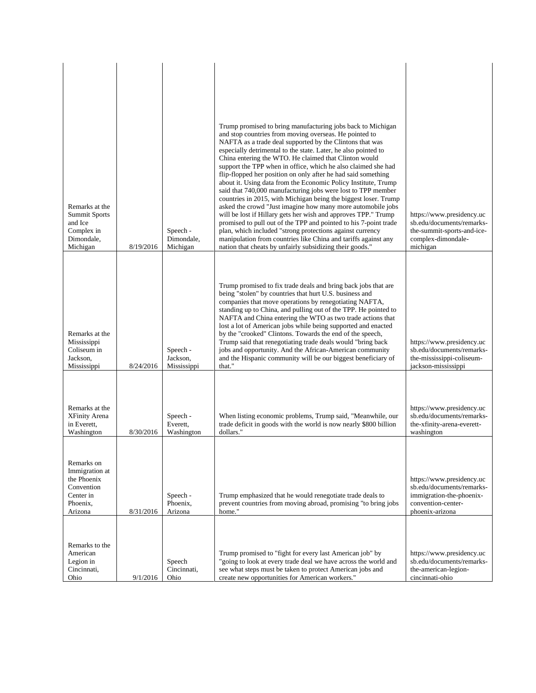|                                                                                               |           |                                     | Trump promised to bring manufacturing jobs back to Michigan<br>and stop countries from moving overseas. He pointed to<br>NAFTA as a trade deal supported by the Clintons that was<br>especially detrimental to the state. Later, he also pointed to<br>China entering the WTO. He claimed that Clinton would<br>support the TPP when in office, which he also claimed she had<br>flip-flopped her position on only after he had said something<br>about it. Using data from the Economic Policy Institute, Trump<br>said that 740,000 manufacturing jobs were lost to TPP member                                                                         |                                                                                                                             |
|-----------------------------------------------------------------------------------------------|-----------|-------------------------------------|----------------------------------------------------------------------------------------------------------------------------------------------------------------------------------------------------------------------------------------------------------------------------------------------------------------------------------------------------------------------------------------------------------------------------------------------------------------------------------------------------------------------------------------------------------------------------------------------------------------------------------------------------------|-----------------------------------------------------------------------------------------------------------------------------|
| Remarks at the<br><b>Summit Sports</b><br>and Ice<br>Complex in<br>Dimondale,<br>Michigan     | 8/19/2016 | Speech -<br>Dimondale,<br>Michigan  | countries in 2015, with Michigan being the biggest loser. Trump<br>asked the crowd "Just imagine how many more automobile jobs<br>will be lost if Hillary gets her wish and approves TPP." Trump<br>promised to pull out of the TPP and pointed to his 7-point trade<br>plan, which included "strong protections against currency<br>manipulation from countries like China and tariffs against any<br>nation that cheats by unfairly subsidizing their goods."                                                                                                                                                                                          | https://www.presidency.uc<br>sb.edu/documents/remarks-<br>the-summit-sports-and-ice-<br>complex-dimondale-<br>michigan      |
| Remarks at the<br>Mississippi<br>Coliseum in<br>Jackson,<br>Mississippi                       | 8/24/2016 | Speech -<br>Jackson,<br>Mississippi | Trump promised to fix trade deals and bring back jobs that are<br>being "stolen" by countries that hurt U.S. business and<br>companies that move operations by renegotiating NAFTA,<br>standing up to China, and pulling out of the TPP. He pointed to<br>NAFTA and China entering the WTO as two trade actions that<br>lost a lot of American jobs while being supported and enacted<br>by the "crooked" Clintons. Towards the end of the speech,<br>Trump said that renegotiating trade deals would "bring back<br>jobs and opportunity. And the African-American community<br>and the Hispanic community will be our biggest beneficiary of<br>that." | https://www.presidency.uc<br>sb.edu/documents/remarks-<br>the-mississippi-coliseum-<br>jackson-mississippi                  |
| Remarks at the<br>XFinity Arena<br>in Everett.<br>Washington                                  | 8/30/2016 | Speech -<br>Everett,<br>Washington  | When listing economic problems, Trump said, "Meanwhile, our<br>trade deficit in goods with the world is now nearly \$800 billion<br>dollars."                                                                                                                                                                                                                                                                                                                                                                                                                                                                                                            | https://www.presidency.uc<br>sb.edu/documents/remarks-<br>the-xfinity-arena-everett-<br>washington                          |
| Remarks on<br>Immigration at<br>the Phoenix<br>Convention<br>Center in<br>Phoenix,<br>Arizona | 8/31/2016 | Speech -<br>Phoenix,<br>Arizona     | Trump emphasized that he would renegotiate trade deals to<br>prevent countries from moving abroad, promising "to bring jobs<br>home."                                                                                                                                                                                                                                                                                                                                                                                                                                                                                                                    | https://www.presidency.uc<br>sb.edu/documents/remarks-<br>immigration-the-phoenix-<br>convention-center-<br>phoenix-arizona |
| Remarks to the<br>American<br>Legion in<br>Cincinnati,<br>Ohio                                | 9/1/2016  | Speech<br>Cincinnati,<br>Ohio       | Trump promised to "fight for every last American job" by<br>"going to look at every trade deal we have across the world and<br>see what steps must be taken to protect American jobs and<br>create new opportunities for American workers."                                                                                                                                                                                                                                                                                                                                                                                                              | https://www.presidency.uc<br>sb.edu/documents/remarks-<br>the-american-legion-<br>cincinnati-ohio                           |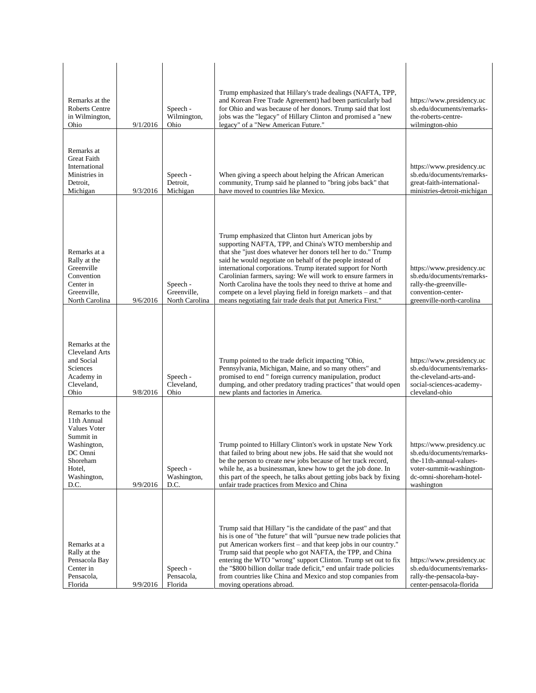| Remarks at the<br><b>Roberts Centre</b><br>in Wilmington,<br>Ohio                                                                        | 9/1/2016 | Speech -<br>Wilmington,<br>Ohio           | Trump emphasized that Hillary's trade dealings (NAFTA, TPP,<br>and Korean Free Trade Agreement) had been particularly bad<br>for Ohio and was because of her donors. Trump said that lost<br>jobs was the "legacy" of Hillary Clinton and promised a "new<br>legacy" of a "New American Future."                                                                                                                                                                                                                                                                                | https://www.presidency.uc<br>sb.edu/documents/remarks-<br>the-roberts-centre-<br>wilmington-ohio                                                       |
|------------------------------------------------------------------------------------------------------------------------------------------|----------|-------------------------------------------|---------------------------------------------------------------------------------------------------------------------------------------------------------------------------------------------------------------------------------------------------------------------------------------------------------------------------------------------------------------------------------------------------------------------------------------------------------------------------------------------------------------------------------------------------------------------------------|--------------------------------------------------------------------------------------------------------------------------------------------------------|
| Remarks at<br><b>Great Faith</b><br>International<br>Ministries in<br>Detroit.<br>Michigan                                               | 9/3/2016 | Speech -<br>Detroit,<br>Michigan          | When giving a speech about helping the African American<br>community, Trump said he planned to "bring jobs back" that<br>have moved to countries like Mexico.                                                                                                                                                                                                                                                                                                                                                                                                                   | https://www.presidency.uc<br>sb.edu/documents/remarks-<br>great-faith-international-<br>ministries-detroit-michigan                                    |
| Remarks at a<br>Rally at the<br>Greenville<br>Convention<br>Center in<br>Greenville,<br>North Carolina                                   | 9/6/2016 | Speech -<br>Greenville,<br>North Carolina | Trump emphasized that Clinton hurt American jobs by<br>supporting NAFTA, TPP, and China's WTO membership and<br>that she "just does whatever her donors tell her to do." Trump<br>said he would negotiate on behalf of the people instead of<br>international corporations. Trump iterated support for North<br>Carolinian farmers, saying: We will work to ensure farmers in<br>North Carolina have the tools they need to thrive at home and<br>compete on a level playing field in foreign markets – and that<br>means negotiating fair trade deals that put America First." | https://www.presidency.uc<br>sb.edu/documents/remarks-<br>rally-the-greenville-<br>convention-center-<br>greenville-north-carolina                     |
| Remarks at the<br><b>Cleveland Arts</b><br>and Social<br>Sciences<br>Academy in<br>Cleveland,<br>Ohio                                    | 9/8/2016 | Speech -<br>Cleveland,<br>Ohio            | Trump pointed to the trade deficit impacting "Ohio,<br>Pennsylvania, Michigan, Maine, and so many others" and<br>promised to end " foreign currency manipulation, product<br>dumping, and other predatory trading practices" that would open<br>new plants and factories in America.                                                                                                                                                                                                                                                                                            | https://www.presidency.uc<br>sb.edu/documents/remarks-<br>the-cleveland-arts-and-<br>social-sciences-academy-<br>cleveland-ohio                        |
| Remarks to the<br>11th Annual<br><b>Values Voter</b><br>Summit in<br>Washington,<br>DC Omni<br>Shoreham<br>Hotel,<br>Washington,<br>D.C. | 9/9/2016 | Speech -<br>Washington,<br>D.C.           | Trump pointed to Hillary Clinton's work in upstate New York<br>that failed to bring about new jobs. He said that she would not<br>be the person to create new jobs because of her track record,<br>while he, as a businessman, knew how to get the job done. In<br>this part of the speech, he talks about getting jobs back by fixing<br>unfair trade practices from Mexico and China                                                                                                                                                                                          | https://www.presidency.uc<br>sb.edu/documents/remarks-<br>the-11th-annual-values-<br>voter-summit-washington-<br>dc-omni-shoreham-hotel-<br>washington |
| Remarks at a<br>Rally at the<br>Pensacola Bay<br>Center in<br>Pensacola,<br>Florida                                                      | 9/9/2016 | Speech -<br>Pensacola,<br>Florida         | Trump said that Hillary "is the candidate of the past" and that<br>his is one of "the future" that will "pursue new trade policies that<br>put American workers first – and that keep jobs in our country."<br>Trump said that people who got NAFTA, the TPP, and China<br>entering the WTO "wrong" support Clinton. Trump set out to fix<br>the "\$800 billion dollar trade deficit," end unfair trade policies<br>from countries like China and Mexico and stop companies from<br>moving operations abroad.                                                                   | https://www.presidency.uc<br>sb.edu/documents/remarks-<br>rally-the-pensacola-bay-<br>center-pensacola-florida                                         |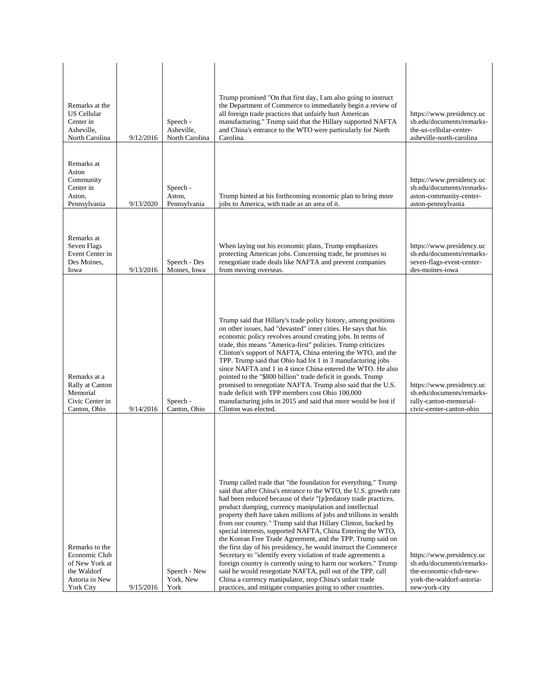| Remarks at the<br><b>US Cellular</b><br>Center in<br>Asheville,<br>North Carolina                      | 9/12/2016 | Speech -<br>Asheville,<br>North Carolina | Trump promised "On that first day, I am also going to instruct<br>the Department of Commerce to immediately begin a review of<br>all foreign trade practices that unfairly hurt American<br>manufacturing." Trump said that the Hillary supported NAFTA<br>and China's entrance to the WTO were particularly for North<br>Carolina.                                                                                                                                                                                                                                                                                                                                                                                                                                                                                                                                                                                                 | https://www.presidency.uc<br>sb.edu/documents/remarks-<br>the-us-cellular-center-<br>asheville-north-carolina                  |
|--------------------------------------------------------------------------------------------------------|-----------|------------------------------------------|-------------------------------------------------------------------------------------------------------------------------------------------------------------------------------------------------------------------------------------------------------------------------------------------------------------------------------------------------------------------------------------------------------------------------------------------------------------------------------------------------------------------------------------------------------------------------------------------------------------------------------------------------------------------------------------------------------------------------------------------------------------------------------------------------------------------------------------------------------------------------------------------------------------------------------------|--------------------------------------------------------------------------------------------------------------------------------|
| Remarks at<br>Aston<br>Community<br>Center in<br>Aston,<br>Pennsylvania                                | 9/13/2020 | Speech -<br>Aston,<br>Pennsylvania       | Trump hinted at his forthcoming economic plan to bring more<br>jobs to America, with trade as an area of it.                                                                                                                                                                                                                                                                                                                                                                                                                                                                                                                                                                                                                                                                                                                                                                                                                        | https://www.presidency.uc<br>sb.edu/documents/remarks-<br>aston-community-center-<br>aston-pennsylvania                        |
| Remarks at<br>Seven Flags<br>Event Center in<br>Des Moines,<br>Iowa                                    | 9/13/2016 | Speech - Des<br>Moines, Iowa             | When laying out his economic plans, Trump emphasizes<br>protecting American jobs. Concerning trade, he promises to<br>renegotiate trade deals like NAFTA and prevent companies<br>from moving overseas.                                                                                                                                                                                                                                                                                                                                                                                                                                                                                                                                                                                                                                                                                                                             | https://www.presidency.uc<br>sb.edu/documents/remarks-<br>seven-flags-event-center-<br>des-moines-iowa                         |
| Remarks at a<br>Rally at Canton<br>Memorial<br>Civic Center in<br>Canton, Ohio                         | 9/14/2016 | Speech -<br>Canton, Ohio                 | Trump said that Hillary's trade policy history, among positions<br>on other issues, had "devasted" inner cities. He says that his<br>economic policy revolves around creating jobs. In terms of<br>trade, this means "America-first" policies. Trump criticizes<br>Clinton's support of NAFTA, China entering the WTO, and the<br>TPP. Trump said that Ohio had lot 1 in 3 manufacturing jobs<br>since NAFTA and 1 in 4 since China entered the WTO. He also<br>pointed to the "\$800 billion" trade deficit in goods. Trump<br>promised to renegotiate NAFTA. Trump also said that the U.S.<br>trade deficit with TPP members cost Ohio 100,000<br>manufacturing jobs in 2015 and said that more would be lost if<br>Clinton was elected.                                                                                                                                                                                          | https://www.presidency.uc<br>sb.edu/documents/remarks-<br>rally-canton-memorial-<br>civic-center-canton-ohio                   |
| Remarks to the<br>Economic Club<br>of New York at<br>the Waldorf<br>Astoria in New<br><b>York City</b> | 9/15/2016 | Speech - New<br>York, New<br>York        | Trump called trade that "the foundation for everything." Trump<br>said that after China's entrance to the WTO, the U.S. growth rate<br>had been reduced because of their "[p]redatory trade practices,<br>product dumping, currency manipulation and intellectual<br>property theft have taken millions of jobs and trillions in wealth<br>from our country." Trump said that Hillary Clinton, backed by<br>special interests, supported NAFTA, China Entering the WTO,<br>the Korean Free Trade Agreement, and the TPP. Trump said on<br>the first day of his presidency, he would instruct the Commerce<br>Secretary to "identify every violation of trade agreements a<br>foreign country is currently using to harm our workers." Trump<br>said he would renegotiate NAFTA, pull out of the TPP, call<br>China a currency manipulator, stop China's unfair trade<br>practices, and mitigate companies going to other countries. | https://www.presidency.uc<br>sb.edu/documents/remarks-<br>the-economic-club-new-<br>york-the-waldorf-astoria-<br>new-york-city |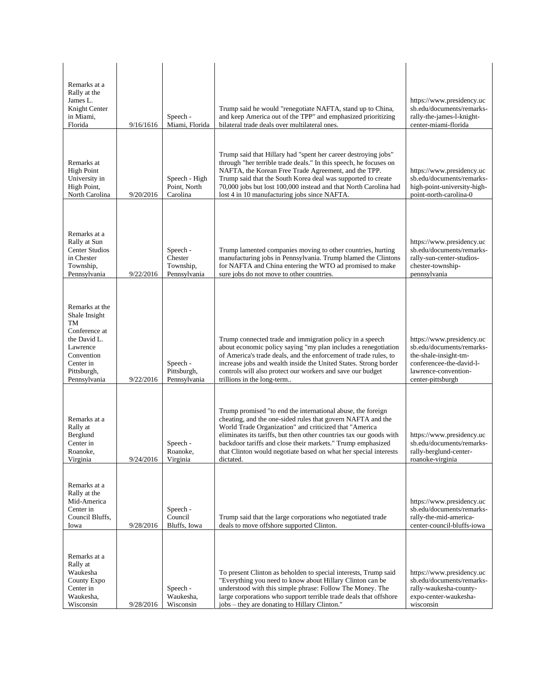| Remarks at a<br>Rally at the<br>James L.<br>Knight Center<br>in Miami,<br>Florida                                                            | 9/16/1616 | Speech -<br>Miami, Florida                       | Trump said he would "renegotiate NAFTA, stand up to China,<br>and keep America out of the TPP" and emphasized prioritizing<br>bilateral trade deals over multilateral ones.                                                                                                                                                                                                                                 | https://www.presidency.uc<br>sb.edu/documents/remarks-<br>rally-the-james-l-knight-<br>center-miami-florida                                              |
|----------------------------------------------------------------------------------------------------------------------------------------------|-----------|--------------------------------------------------|-------------------------------------------------------------------------------------------------------------------------------------------------------------------------------------------------------------------------------------------------------------------------------------------------------------------------------------------------------------------------------------------------------------|----------------------------------------------------------------------------------------------------------------------------------------------------------|
| Remarks at<br><b>High Point</b><br>University in<br>High Point,<br>North Carolina                                                            | 9/20/2016 | Speech - High<br>Point, North<br>Carolina        | Trump said that Hillary had "spent her career destroying jobs"<br>through "her terrible trade deals." In this speech, he focuses on<br>NAFTA, the Korean Free Trade Agreement, and the TPP.<br>Trump said that the South Korea deal was supported to create<br>70,000 jobs but lost 100,000 instead and that North Carolina had<br>lost 4 in 10 manufacturing jobs since NAFTA.                             | https://www.presidency.uc<br>sb.edu/documents/remarks-<br>high-point-university-high-<br>point-north-carolina-0                                          |
| Remarks at a<br>Rally at Sun<br><b>Center Studios</b><br>in Chester<br>Township,<br>Pennsylvania                                             | 9/22/2016 | Speech -<br>Chester<br>Township,<br>Pennsylvania | Trump lamented companies moving to other countries, hurting<br>manufacturing jobs in Pennsylvania. Trump blamed the Clintons<br>for NAFTA and China entering the WTO ad promised to make<br>sure jobs do not move to other countries.                                                                                                                                                                       | https://www.presidency.uc<br>sb.edu/documents/remarks-<br>rally-sun-center-studios-<br>chester-township-<br>pennsylvania                                 |
| Remarks at the<br>Shale Insight<br>TM<br>Conference at<br>the David L.<br>Lawrence<br>Convention<br>Center in<br>Pittsburgh,<br>Pennsylvania | 9/22/2016 | Speech -<br>Pittsburgh,<br>Pennsylvania          | Trump connected trade and immigration policy in a speech<br>about economic policy saying "my plan includes a renegotiation<br>of America's trade deals, and the enforcement of trade rules, to<br>increase jobs and wealth inside the United States. Strong border<br>controls will also protect our workers and save our budget<br>trillions in the long-term                                              | https://www.presidency.uc<br>sb.edu/documents/remarks-<br>the-shale-insight-tm-<br>conferencee-the-david-l-<br>lawrence-convention-<br>center-pittsburgh |
| Remarks at a<br>Rally at<br>Berglund<br>Center in<br>Roanoke.<br>Virginia                                                                    | 9/24/2016 | Speech -<br>Roanoke,<br>Virginia                 | Trump promised "to end the international abuse, the foreign<br>cheating, and the one-sided rules that govern NAFTA and the<br>World Trade Organization" and criticized that "America<br>eliminates its tariffs, but then other countries tax our goods with<br>backdoor tariffs and close their markets." Trump emphasized<br>that Clinton would negotiate based on what her special interests<br>dictated. | https://www.presidency.uc<br>sb.edu/documents/remarks-<br>rally-berglund-center-<br>roanoke-virginia                                                     |
| Remarks at a<br>Rally at the<br>Mid-America<br>Center in<br>Council Bluffs,<br>Iowa                                                          | 9/28/2016 | Speech -<br>Council<br>Bluffs, Iowa              | Trump said that the large corporations who negotiated trade<br>deals to move offshore supported Clinton.                                                                                                                                                                                                                                                                                                    | https://www.presidency.uc<br>sb.edu/documents/remarks-<br>rally-the-mid-america-<br>center-council-bluffs-iowa                                           |
| Remarks at a<br>Rally at<br>Waukesha<br>County Expo<br>Center in<br>Waukesha,<br>Wisconsin                                                   | 9/28/2016 | Speech -<br>Waukesha,<br>Wisconsin               | To present Clinton as beholden to special interests, Trump said<br>"Everything you need to know about Hillary Clinton can be<br>understood with this simple phrase: Follow The Money. The<br>large corporations who support terrible trade deals that offshore<br>jobs – they are donating to Hillary Clinton."                                                                                             | https://www.presidency.uc<br>sb.edu/documents/remarks-<br>rally-waukesha-county-<br>expo-center-waukesha-<br>wisconsin                                   |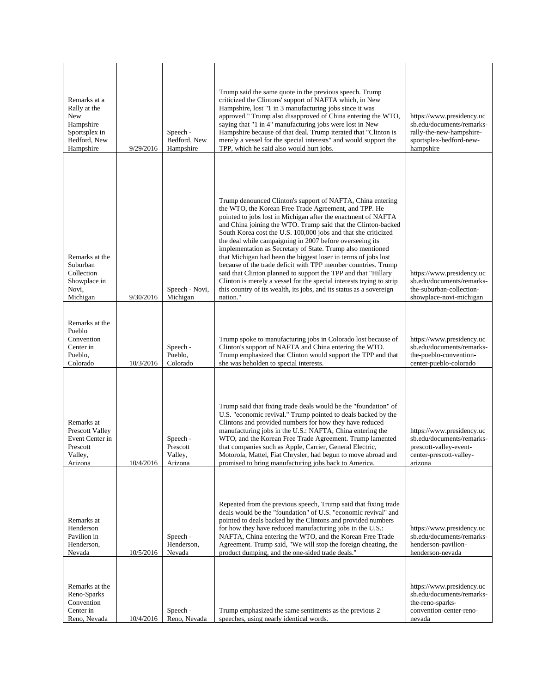| Remarks at a<br>Rally at the<br>New<br>Hampshire<br>Sportsplex in<br>Bedford, New<br>Hampshire | 9/29/2016 | Speech -<br>Bedford, New<br>Hampshire      | Trump said the same quote in the previous speech. Trump<br>criticized the Clintons' support of NAFTA which, in New<br>Hampshire, lost "1 in 3 manufacturing jobs since it was<br>approved." Trump also disapproved of China entering the WTO,<br>saying that "1 in 4" manufacturing jobs were lost in New<br>Hampshire because of that deal. Trump iterated that "Clinton is<br>merely a vessel for the special interests" and would support the<br>TPP, which he said also would hurt jobs.                                                                                                                                                                                                                                                                                                                      | https://www.presidency.uc<br>sb.edu/documents/remarks-<br>rally-the-new-hampshire-<br>sportsplex-bedford-new-<br>hampshire |
|------------------------------------------------------------------------------------------------|-----------|--------------------------------------------|-------------------------------------------------------------------------------------------------------------------------------------------------------------------------------------------------------------------------------------------------------------------------------------------------------------------------------------------------------------------------------------------------------------------------------------------------------------------------------------------------------------------------------------------------------------------------------------------------------------------------------------------------------------------------------------------------------------------------------------------------------------------------------------------------------------------|----------------------------------------------------------------------------------------------------------------------------|
| Remarks at the<br>Suburban<br>Collection<br>Showplace in<br>Novi,<br>Michigan                  | 9/30/2016 | Speech - Novi,<br>Michigan                 | Trump denounced Clinton's support of NAFTA, China entering<br>the WTO, the Korean Free Trade Agreement, and TPP. He<br>pointed to jobs lost in Michigan after the enactment of NAFTA<br>and China joining the WTO. Trump said that the Clinton-backed<br>South Korea cost the U.S. 100,000 jobs and that she criticized<br>the deal while campaigning in 2007 before overseeing its<br>implementation as Secretary of State. Trump also mentioned<br>that Michigan had been the biggest loser in terms of jobs lost<br>because of the trade deficit with TPP member countries. Trump<br>said that Clinton planned to support the TPP and that "Hillary<br>Clinton is merely a vessel for the special interests trying to strip<br>this country of its wealth, its jobs, and its status as a sovereign<br>nation." | https://www.presidency.uc<br>sb.edu/documents/remarks-<br>the-suburban-collection-<br>showplace-novi-michigan              |
| Remarks at the<br>Pueblo<br>Convention<br>Center in<br>Pueblo,<br>Colorado                     | 10/3/2016 | Speech -<br>Pueblo,<br>Colorado            | Trump spoke to manufacturing jobs in Colorado lost because of<br>Clinton's support of NAFTA and China entering the WTO.<br>Trump emphasized that Clinton would support the TPP and that<br>she was beholden to special interests.                                                                                                                                                                                                                                                                                                                                                                                                                                                                                                                                                                                 | https://www.presidency.uc<br>sb.edu/documents/remarks-<br>the-pueblo-convention-<br>center-pueblo-colorado                 |
| Remarks at<br>Prescott Valley<br>Event Center in<br>Prescott<br>Valley,<br>Arizona             | 10/4/2016 | Speech -<br>Prescott<br>Valley,<br>Arizona | Trump said that fixing trade deals would be the "foundation" of<br>U.S. "economic revival." Trump pointed to deals backed by the<br>Clintons and provided numbers for how they have reduced<br>manufacturing jobs in the U.S.: NAFTA, China entering the<br>WTO, and the Korean Free Trade Agreement. Trump lamented<br>that companies such as Apple, Carrier, General Electric,<br>Motorola, Mattel, Fiat Chrysler, had begun to move abroad and<br>promised to bring manufacturing jobs back to America.                                                                                                                                                                                                                                                                                                        | https://www.presidency.uc<br>sb.edu/documents/remarks-<br>prescott-valley-event-<br>center-prescott-valley-<br>arizona     |
| Remarks at<br>Henderson<br>Pavilion in<br>Henderson,<br>Nevada                                 | 10/5/2016 | Speech -<br>Henderson,<br>Nevada           | Repeated from the previous speech, Trump said that fixing trade<br>deals would be the "foundation" of U.S. "economic revival" and<br>pointed to deals backed by the Clintons and provided numbers<br>for how they have reduced manufacturing jobs in the U.S.:<br>NAFTA, China entering the WTO, and the Korean Free Trade<br>Agreement. Trump said, "We will stop the foreign cheating, the<br>product dumping, and the one-sided trade deals."                                                                                                                                                                                                                                                                                                                                                                  | https://www.presidency.uc<br>sb.edu/documents/remarks-<br>henderson-pavilion-<br>henderson-nevada                          |
| Remarks at the<br>Reno-Sparks<br>Convention<br>Center in<br>Reno, Nevada                       | 10/4/2016 | Speech -<br>Reno, Nevada                   | Trump emphasized the same sentiments as the previous 2<br>speeches, using nearly identical words.                                                                                                                                                                                                                                                                                                                                                                                                                                                                                                                                                                                                                                                                                                                 | https://www.presidency.uc<br>sb.edu/documents/remarks-<br>the-reno-sparks-<br>convention-center-reno-<br>nevada            |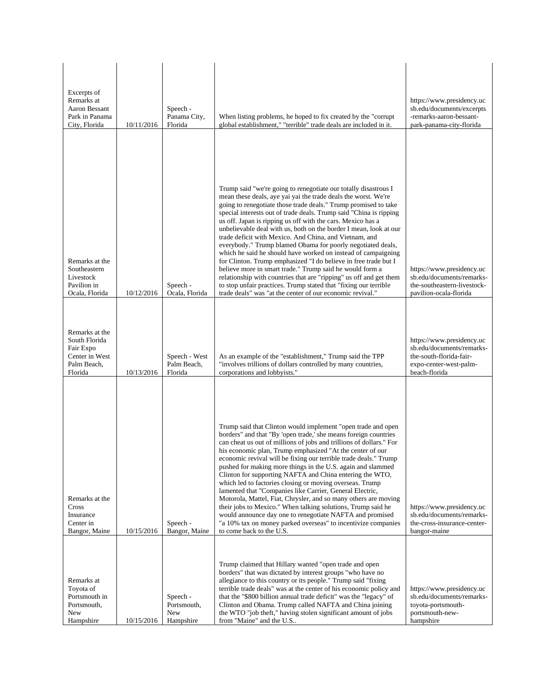| Excerpts of<br>Remarks at<br>Aaron Bessant<br>Park in Panama<br>City, Florida            | 10/11/2016 | Speech -<br>Panama City,<br>Florida         | When listing problems, he hoped to fix created by the "corrupt"<br>global establishment," "terrible" trade deals are included in it.                                                                                                                                                                                                                                                                                                                                                                                                                                                                                                                                                                                                                                                                                                                                                                                                           | https://www.presidency.uc<br>sb.edu/documents/excerpts<br>-remarks-aaron-bessant-<br>park-panama-city-florida                |
|------------------------------------------------------------------------------------------|------------|---------------------------------------------|------------------------------------------------------------------------------------------------------------------------------------------------------------------------------------------------------------------------------------------------------------------------------------------------------------------------------------------------------------------------------------------------------------------------------------------------------------------------------------------------------------------------------------------------------------------------------------------------------------------------------------------------------------------------------------------------------------------------------------------------------------------------------------------------------------------------------------------------------------------------------------------------------------------------------------------------|------------------------------------------------------------------------------------------------------------------------------|
| Remarks at the<br>Southeastern<br>Livestock<br>Pavilion in<br>Ocala, Florida             | 10/12/2016 | Speech -<br>Ocala, Florida                  | Trump said "we're going to renegotiate our totally disastrous I<br>mean these deals, aye yai yai the trade deals the worst. We're<br>going to renegotiate those trade deals." Trump promised to take<br>special interests out of trade deals. Trump said "China is ripping<br>us off. Japan is ripping us off with the cars. Mexico has a<br>unbelievable deal with us, both on the border I mean, look at our<br>trade deficit with Mexico. And China, and Vietnam, and<br>everybody." Trump blamed Obama for poorly negotiated deals,<br>which he said he should have worked on instead of campaigning<br>for Clinton. Trump emphasized "I do believe in free trade but I<br>believe more in smart trade." Trump said he would form a<br>relationship with countries that are "ripping" us off and get them<br>to stop unfair practices. Trump stated that "fixing our terrible<br>trade deals" was "at the center of our economic revival." | https://www.presidency.uc<br>sb.edu/documents/remarks-<br>the-southeastern-livestock-<br>pavilion-ocala-florida              |
| Remarks at the<br>South Florida<br>Fair Expo<br>Center in West<br>Palm Beach,<br>Florida | 10/13/2016 | Speech - West<br>Palm Beach,<br>Florida     | As an example of the "establishment," Trump said the TPP<br>"involves trillions of dollars controlled by many countries,<br>corporations and lobbyists."                                                                                                                                                                                                                                                                                                                                                                                                                                                                                                                                                                                                                                                                                                                                                                                       | https://www.presidency.uc<br>sb.edu/documents/remarks-<br>the-south-florida-fair-<br>expo-center-west-palm-<br>beach-florida |
| Remarks at the<br>Cross<br>Insurance<br>Center in<br>Bangor, Maine                       | 10/15/2016 | Speech -<br>Bangor, Maine                   | Trump said that Clinton would implement "open trade and open<br>borders" and that "By 'open trade,' she means foreign countries<br>can cheat us out of millions of jobs and trillions of dollars." For<br>his economic plan, Trump emphasized "At the center of our<br>economic revival will be fixing our terrible trade deals." Trump<br>pushed for making more things in the U.S. again and slammed<br>Clinton for supporting NAFTA and China entering the WTO,<br>which led to factories closing or moving overseas. Trump<br>lamented that "Companies like Carrier, General Electric,<br>Motorola, Mattel, Fiat, Chrysler, and so many others are moving<br>their jobs to Mexico." When talking solutions, Trump said he<br>would announce day one to renegotiate NAFTA and promised<br>"a 10% tax on money parked overseas" to incentivize companies<br>to come back to the U.S.                                                         | https://www.presidency.uc<br>sb.edu/documents/remarks-<br>the-cross-insurance-center-<br>bangor-maine                        |
| Remarks at<br>Toyota of<br>Portsmouth in<br>Portsmouth,<br>New<br>Hampshire              | 10/15/2016 | Speech -<br>Portsmouth,<br>New<br>Hampshire | Trump claimed that Hillary wanted "open trade and open<br>borders" that was dictated by interest groups "who have no<br>allegiance to this country or its people." Trump said "fixing"<br>terrible trade deals" was at the center of his economic policy and<br>that the "\$800 billion annual trade deficit" was the "legacy" of<br>Clinton and Obama. Trump called NAFTA and China joining<br>the WTO "job theft," having stolen significant amount of jobs<br>from "Maine" and the U.S                                                                                                                                                                                                                                                                                                                                                                                                                                                      | https://www.presidency.uc<br>sb.edu/documents/remarks-<br>toyota-portsmouth-<br>portsmouth-new-<br>hampshire                 |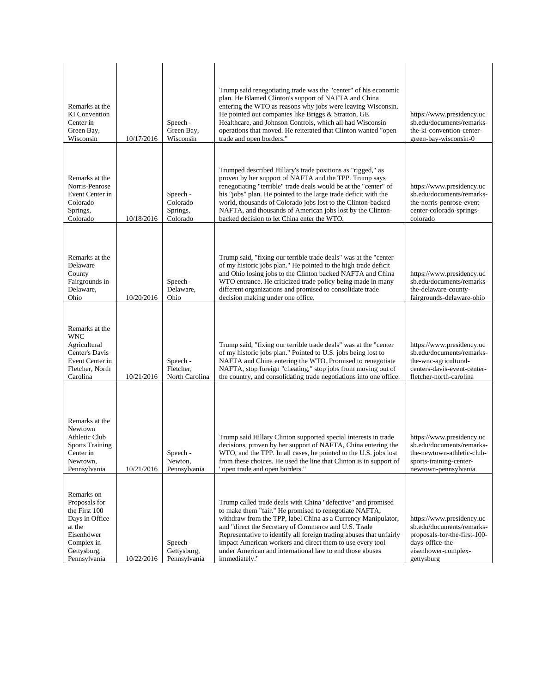| Remarks at the<br><b>KI</b> Convention<br>Center in<br>Green Bay,<br>Wisconsin                                                      | 10/17/2016 | Speech -<br>Green Bay,<br>Wisconsin          | Trump said renegotiating trade was the "center" of his economic<br>plan. He Blamed Clinton's support of NAFTA and China<br>entering the WTO as reasons why jobs were leaving Wisconsin.<br>He pointed out companies like Briggs & Stratton, GE<br>Healthcare, and Johnson Controls, which all had Wisconsin<br>operations that moved. He reiterated that Clinton wanted "open"<br>trade and open borders."                                                       | https://www.presidency.uc<br>sb.edu/documents/remarks-<br>the-ki-convention-center-<br>green-bay-wisconsin-0                                    |
|-------------------------------------------------------------------------------------------------------------------------------------|------------|----------------------------------------------|------------------------------------------------------------------------------------------------------------------------------------------------------------------------------------------------------------------------------------------------------------------------------------------------------------------------------------------------------------------------------------------------------------------------------------------------------------------|-------------------------------------------------------------------------------------------------------------------------------------------------|
| Remarks at the<br>Norris-Penrose<br>Event Center in<br>Colorado<br>Springs,<br>Colorado                                             | 10/18/2016 | Speech -<br>Colorado<br>Springs,<br>Colorado | Trumped described Hillary's trade positions as "rigged," as<br>proven by her support of NAFTA and the TPP. Trump says<br>renegotiating "terrible" trade deals would be at the "center" of<br>his "jobs" plan. He pointed to the large trade deficit with the<br>world, thousands of Colorado jobs lost to the Clinton-backed<br>NAFTA, and thousands of American jobs lost by the Clinton-<br>backed decision to let China enter the WTO.                        | https://www.presidency.uc<br>sb.edu/documents/remarks-<br>the-norris-penrose-event-<br>center-colorado-springs-<br>colorado                     |
| Remarks at the<br>Delaware<br>County<br>Fairgrounds in<br>Delaware,<br>Ohio                                                         | 10/20/2016 | Speech -<br>Delaware,<br>Ohio                | Trump said, "fixing our terrible trade deals" was at the "center<br>of my historic jobs plan." He pointed to the high trade deficit<br>and Ohio losing jobs to the Clinton backed NAFTA and China<br>WTO entrance. He criticized trade policy being made in many<br>different organizations and promised to consolidate trade<br>decision making under one office.                                                                                               | https://www.presidency.uc<br>sb.edu/documents/remarks-<br>the-delaware-county-<br>fairgrounds-delaware-ohio                                     |
| Remarks at the<br><b>WNC</b><br>Agricultural<br>Center's Davis<br>Event Center in<br>Fletcher, North<br>Carolina                    | 10/21/2016 | Speech -<br>Fletcher,<br>North Carolina      | Trump said, "fixing our terrible trade deals" was at the "center<br>of my historic jobs plan." Pointed to U.S. jobs being lost to<br>NAFTA and China entering the WTO. Promised to renegotiate<br>NAFTA, stop foreign "cheating," stop jobs from moving out of<br>the country, and consolidating trade negotiations into one office.                                                                                                                             | https://www.presidency.uc<br>sb.edu/documents/remarks-<br>the-wnc-agricultural-<br>centers-davis-event-center-<br>fletcher-north-carolina       |
| Remarks at the<br>Newtown<br>Athletic Club<br><b>Sports Training</b><br>Center in<br>Newtown,<br>Pennsylvania                       | 10/21/2016 | Speech -<br>Newton,<br>Pennsylvania          | Trump said Hillary Clinton supported special interests in trade<br>decisions, proven by her support of NAFTA, China entering the<br>WTO, and the TPP. In all cases, he pointed to the U.S. jobs lost<br>from these choices. He used the line that Clinton is in support of<br>"open trade and open borders."                                                                                                                                                     | https://www.presidency.uc<br>sb.edu/documents/remarks-<br>the-newtown-athletic-club-<br>sports-training-center-<br>newtown-pennsylvania         |
| Remarks on<br>Proposals for<br>the First 100<br>Days in Office<br>at the<br>Eisenhower<br>Complex in<br>Gettysburg,<br>Pennsylvania | 10/22/2016 | Speech -<br>Gettysburg,<br>Pennsylvania      | Trump called trade deals with China "defective" and promised<br>to make them "fair." He promised to renegotiate NAFTA,<br>withdraw from the TPP, label China as a Currency Manipulator,<br>and "direct the Secretary of Commerce and U.S. Trade<br>Representative to identify all foreign trading abuses that unfairly<br>impact American workers and direct them to use every tool<br>under American and international law to end those abuses<br>immediately." | https://www.presidency.uc<br>sb.edu/documents/remarks-<br>proposals-for-the-first-100-<br>days-office-the-<br>eisenhower-complex-<br>gettysburg |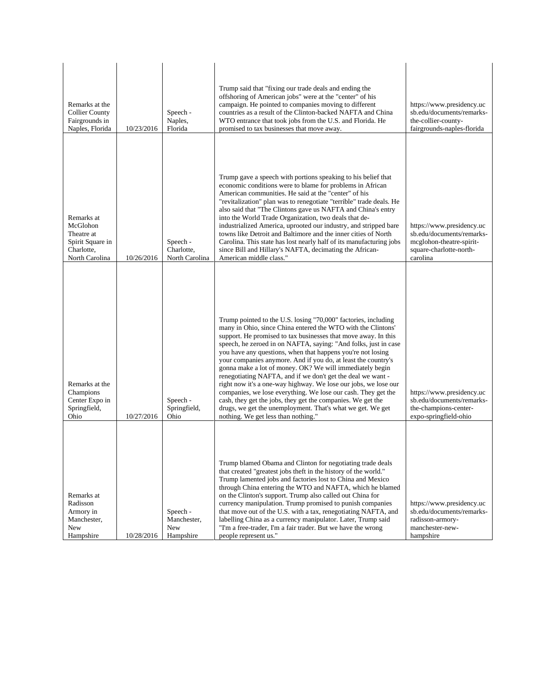| Remarks at the<br><b>Collier County</b><br>Fairgrounds in<br>Naples, Florida             | 10/23/2016 | Speech -<br>Naples,<br>Florida              | Trump said that "fixing our trade deals and ending the<br>offshoring of American jobs" were at the "center" of his<br>campaign. He pointed to companies moving to different<br>countries as a result of the Clinton-backed NAFTA and China<br>WTO entrance that took jobs from the U.S. and Florida. He<br>promised to tax businesses that move away.                                                                                                                                                                                                                                                                                                                                                                                                                                                                                  | https://www.presidency.uc<br>sb.edu/documents/remarks-<br>the-collier-county-<br>fairgrounds-naples-florida               |
|------------------------------------------------------------------------------------------|------------|---------------------------------------------|----------------------------------------------------------------------------------------------------------------------------------------------------------------------------------------------------------------------------------------------------------------------------------------------------------------------------------------------------------------------------------------------------------------------------------------------------------------------------------------------------------------------------------------------------------------------------------------------------------------------------------------------------------------------------------------------------------------------------------------------------------------------------------------------------------------------------------------|---------------------------------------------------------------------------------------------------------------------------|
| Remarks at<br>McGlohon<br>Theatre at<br>Spirit Square in<br>Charlotte,<br>North Carolina | 10/26/2016 | Speech -<br>Charlotte,<br>North Carolina    | Trump gave a speech with portions speaking to his belief that<br>economic conditions were to blame for problems in African<br>American communities. He said at the "center" of his<br>"revitalization" plan was to renegotiate "terrible" trade deals. He<br>also said that "The Clintons gave us NAFTA and China's entry<br>into the World Trade Organization, two deals that de-<br>industrialized America, uprooted our industry, and stripped bare<br>towns like Detroit and Baltimore and the inner cities of North<br>Carolina. This state has lost nearly half of its manufacturing jobs<br>since Bill and Hillary's NAFTA, decimating the African-<br>American middle class."                                                                                                                                                  | https://www.presidency.uc<br>sb.edu/documents/remarks-<br>mcglohon-theatre-spirit-<br>square-charlotte-north-<br>carolina |
| Remarks at the<br>Champions<br>Center Expo in<br>Springfield,<br>Ohio                    | 10/27/2016 | Speech -<br>Springfield,<br>Ohio            | Trump pointed to the U.S. losing "70,000" factories, including<br>many in Ohio, since China entered the WTO with the Clintons'<br>support. He promised to tax businesses that move away. In this<br>speech, he zeroed in on NAFTA, saying: "And folks, just in case<br>you have any questions, when that happens you're not losing<br>your companies anymore. And if you do, at least the country's<br>gonna make a lot of money. OK? We will immediately begin<br>renegotiating NAFTA, and if we don't get the deal we want -<br>right now it's a one-way highway. We lose our jobs, we lose our<br>companies, we lose everything. We lose our cash. They get the<br>cash, they get the jobs, they get the companies. We get the<br>drugs, we get the unemployment. That's what we get. We get<br>nothing. We get less than nothing." | https://www.presidency.uc<br>sb.edu/documents/remarks-<br>the-champions-center-<br>expo-springfield-ohio                  |
| Remarks at<br>Radisson<br>Armory in<br>Manchester,<br>New<br>Hampshire                   | 10/28/2016 | Speech -<br>Manchester,<br>New<br>Hampshire | Trump blamed Obama and Clinton for negotiating trade deals<br>that created "greatest jobs theft in the history of the world."<br>Trump lamented jobs and factories lost to China and Mexico<br>through China entering the WTO and NAFTA, which he blamed<br>on the Clinton's support. Trump also called out China for<br>currency manipulation. Trump promised to punish companies<br>that move out of the U.S. with a tax, renegotiating NAFTA, and<br>labelling China as a currency manipulator. Later, Trump said<br>"I'm a free-trader, I'm a fair trader. But we have the wrong<br>people represent us."                                                                                                                                                                                                                          | https://www.presidency.uc<br>sb.edu/documents/remarks-<br>radisson-armory-<br>manchester-new-<br>hampshire                |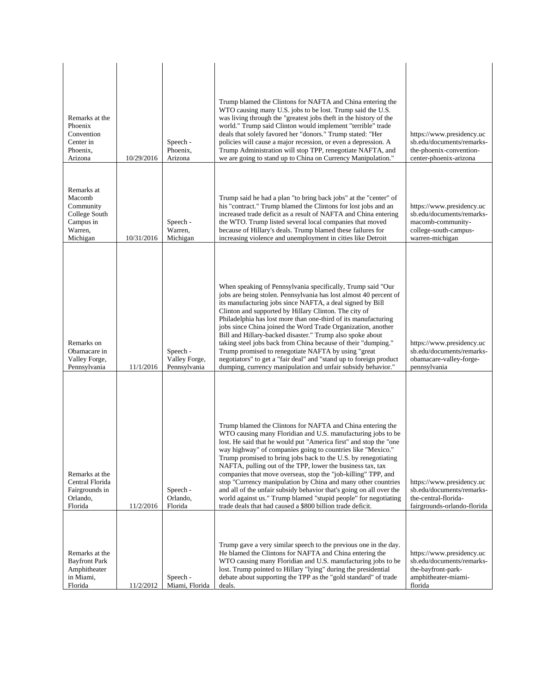| Remarks at the<br>Phoenix<br>Convention<br>Center in<br>Phoenix,<br>Arizona            | 10/29/2016 | Speech -<br>Phoenix,<br>Arizona           | Trump blamed the Clintons for NAFTA and China entering the<br>WTO causing many U.S. jobs to be lost. Trump said the U.S.<br>was living through the "greatest jobs theft in the history of the<br>world." Trump said Clinton would implement "terrible" trade<br>deals that solely favored her "donors." Trump stated: "Her<br>policies will cause a major recession, or even a depression. A<br>Trump Administration will stop TPP, renegotiate NAFTA, and<br>we are going to stand up to China on Currency Manipulation."                                                                                                                                                                                                               | https://www.presidency.uc<br>sb.edu/documents/remarks-<br>the-phoenix-convention-<br>center-phoenix-arizona             |
|----------------------------------------------------------------------------------------|------------|-------------------------------------------|------------------------------------------------------------------------------------------------------------------------------------------------------------------------------------------------------------------------------------------------------------------------------------------------------------------------------------------------------------------------------------------------------------------------------------------------------------------------------------------------------------------------------------------------------------------------------------------------------------------------------------------------------------------------------------------------------------------------------------------|-------------------------------------------------------------------------------------------------------------------------|
| Remarks at<br>Macomb<br>Community<br>College South<br>Campus in<br>Warren,<br>Michigan | 10/31/2016 | Speech -<br>Warren,<br>Michigan           | Trump said he had a plan "to bring back jobs" at the "center" of<br>his "contract." Trump blamed the Clintons for lost jobs and an<br>increased trade deficit as a result of NAFTA and China entering<br>the WTO. Trump listed several local companies that moved<br>because of Hillary's deals. Trump blamed these failures for<br>increasing violence and unemployment in cities like Detroit                                                                                                                                                                                                                                                                                                                                          | https://www.presidency.uc<br>sb.edu/documents/remarks-<br>macomb-community-<br>college-south-campus-<br>warren-michigan |
| Remarks on<br>Obamacare in<br>Valley Forge,<br>Pennsylvania                            | 11/1/2016  | Speech -<br>Valley Forge,<br>Pennsylvania | When speaking of Pennsylvania specifically, Trump said "Our<br>jobs are being stolen. Pennsylvania has lost almost 40 percent of<br>its manufacturing jobs since NAFTA, a deal signed by Bill<br>Clinton and supported by Hillary Clinton. The city of<br>Philadelphia has lost more than one-third of its manufacturing<br>jobs since China joined the Word Trade Organization, another<br>Bill and Hillary-backed disaster." Trump also spoke about<br>taking steel jobs back from China because of their "dumping."<br>Trump promised to renegotiate NAFTA by using "great<br>negotiators" to get a "fair deal" and "stand up to foreign product<br>dumping, currency manipulation and unfair subsidy behavior."                      | https://www.presidency.uc<br>sb.edu/documents/remarks-<br>obamacare-valley-forge-<br>pennsylvania                       |
| Remarks at the<br>Central Florida<br>Fairgrounds in<br>Orlando,<br>Florida             | 11/2/2016  | Speech -<br>Orlando,<br>Florida           | Trump blamed the Clintons for NAFTA and China entering the<br>WTO causing many Floridian and U.S. manufacturing jobs to be<br>lost. He said that he would put "America first" and stop the "one<br>way highway" of companies going to countries like "Mexico."<br>Trump promised to bring jobs back to the U.S. by renegotiating<br>NAFTA, pulling out of the TPP, lower the business tax, tax<br>companies that move overseas, stop the "job-killing" TPP, and<br>stop "Currency manipulation by China and many other countries<br>and all of the unfair subsidy behavior that's going on all over the<br>world against us." Trump blamed "stupid people" for negotiating<br>trade deals that had caused a \$800 billion trade deficit. | https://www.presidency.uc<br>sb.edu/documents/remarks-<br>the-central-florida-<br>fairgrounds-orlando-florida           |
| Remarks at the<br><b>Bayfront Park</b><br>Amphitheater<br>in Miami,<br>Florida         | 11/2/2012  | Speech -<br>Miami, Florida                | Trump gave a very similar speech to the previous one in the day.<br>He blamed the Clintons for NAFTA and China entering the<br>WTO causing many Floridian and U.S. manufacturing jobs to be<br>lost. Trump pointed to Hillary "lying" during the presidential<br>debate about supporting the TPP as the "gold standard" of trade<br>deals.                                                                                                                                                                                                                                                                                                                                                                                               | https://www.presidency.uc<br>sb.edu/documents/remarks-<br>the-bayfront-park-<br>amphitheater-miami-<br>florida          |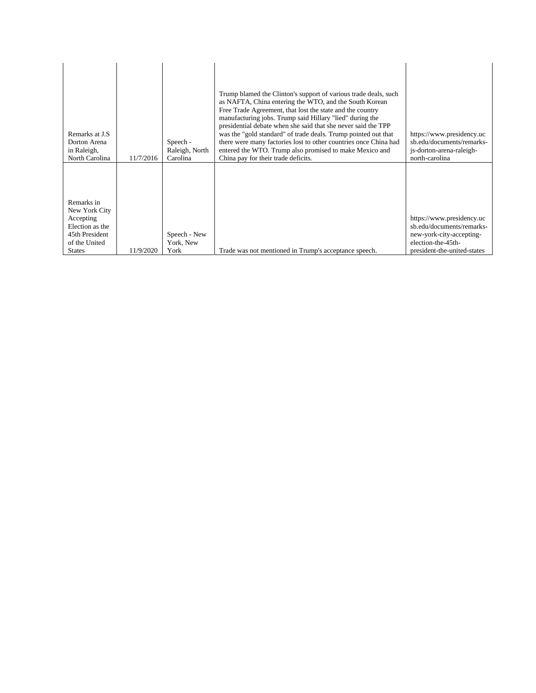| Remarks at J.S.<br>Dorton Arena<br>in Raleigh,<br>North Carolina                                                | 11/7/2016 | Speech -<br>Raleigh, North<br>Carolina | Trump blamed the Clinton's support of various trade deals, such<br>as NAFTA, China entering the WTO, and the South Korean<br>Free Trade Agreement, that lost the state and the country<br>manufacturing jobs. Trump said Hillary "lied" during the<br>presidential debate when she said that she never said the TPP<br>was the "gold standard" of trade deals. Trump pointed out that<br>there were many factories lost to other countries once China had<br>entered the WTO. Trump also promised to make Mexico and<br>China pay for their trade deficits. | https://www.presidency.uc<br>sb.edu/documents/remarks-<br>js-dorton-arena-raleigh-<br>north-carolina                                    |
|-----------------------------------------------------------------------------------------------------------------|-----------|----------------------------------------|-------------------------------------------------------------------------------------------------------------------------------------------------------------------------------------------------------------------------------------------------------------------------------------------------------------------------------------------------------------------------------------------------------------------------------------------------------------------------------------------------------------------------------------------------------------|-----------------------------------------------------------------------------------------------------------------------------------------|
| Remarks in<br>New York City<br>Accepting<br>Election as the<br>45th President<br>of the United<br><b>States</b> | 11/9/2020 | Speech - New<br>York, New<br>York      | Trade was not mentioned in Trump's acceptance speech.                                                                                                                                                                                                                                                                                                                                                                                                                                                                                                       | https://www.presidency.uc<br>sb.edu/documents/remarks-<br>new-york-city-accepting-<br>election-the-45th-<br>president-the-united-states |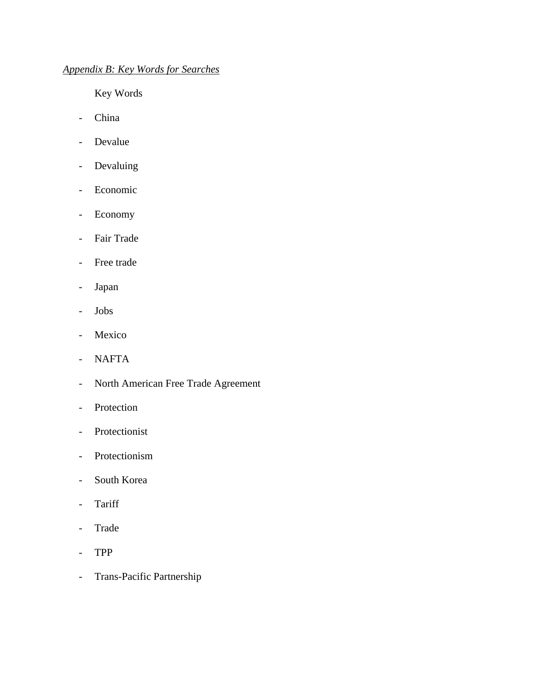## *Appendix B: Key Words for Searches*

Key Words

- China
- Devalue
- Devaluing
- Economic
- Economy
- Fair Trade
- Free trade
- Japan
- Jobs
- Mexico
- NAFTA
- North American Free Trade Agreement
- Protection
- Protectionist
- Protectionism
- South Korea
- Tariff
- Trade
- TPP
- Trans-Pacific Partnership